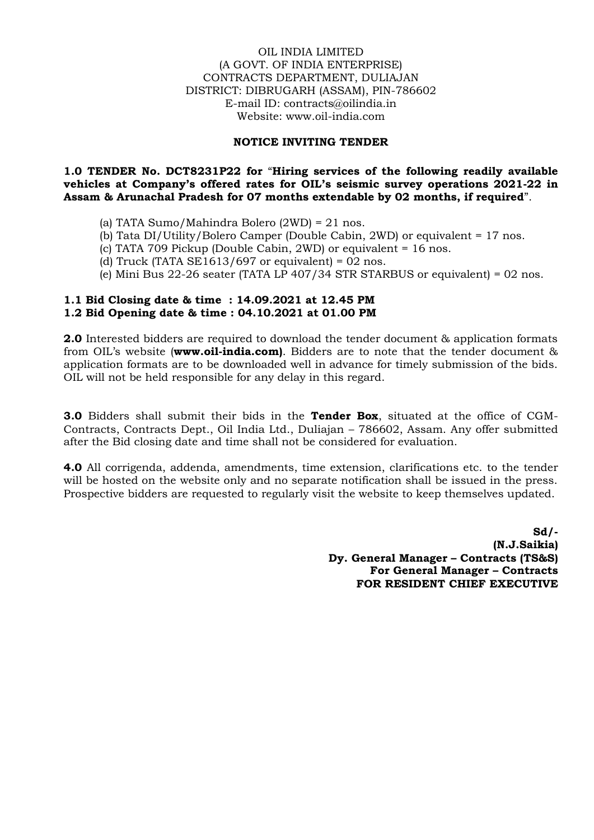### OIL INDIA LIMITED (A GOVT. OF INDIA ENTERPRISE) CONTRACTS DEPARTMENT, DULIAJAN DISTRICT: DIBRUGARH (ASSAM), PIN-786602 E-mail ID: contracts@oilindia.in Website: www.oil-india.com

### **NOTICE INVITING TENDER**

## **1.0 TENDER No. DCT8231P22 for** "**Hiring services of the following readily available vehicles at Company's offered rates for OIL's seismic survey operations 2021-22 in Assam & Arunachal Pradesh for 07 months extendable by 02 months, if required**".

- (a) TATA Sumo/Mahindra Bolero (2WD) = 21 nos.
- (b) Tata DI/Utility/Bolero Camper (Double Cabin, 2WD) or equivalent = 17 nos.
- (c) TATA 709 Pickup (Double Cabin, 2WD) or equivalent = 16 nos.
- (d) Truck (TATA SE1613/697 or equivalent) =  $02$  nos.
- (e) Mini Bus 22-26 seater (TATA LP 407/34 STR STARBUS or equivalent) = 02 nos.

## **1.1 Bid Closing date & time : 14.09.2021 at 12.45 PM 1.2 Bid Opening date & time : 04.10.2021 at 01.00 PM**

**2.0** Interested bidders are required to download the tender document & application formats from OIL's website (**www.oil-india.com)**. Bidders are to note that the tender document & application formats are to be downloaded well in advance for timely submission of the bids. OIL will not be held responsible for any delay in this regard.

**3.0** Bidders shall submit their bids in the **Tender Box**, situated at the office of CGM-Contracts, Contracts Dept., Oil India Ltd., Duliajan – 786602, Assam. Any offer submitted after the Bid closing date and time shall not be considered for evaluation.

**4.0** All corrigenda, addenda, amendments, time extension, clarifications etc. to the tender will be hosted on the website only and no separate notification shall be issued in the press. Prospective bidders are requested to regularly visit the website to keep themselves updated.

> **Sd/- (N.J.Saikia) Dy. General Manager – Contracts (TS&S) For General Manager – Contracts FOR RESIDENT CHIEF EXECUTIVE**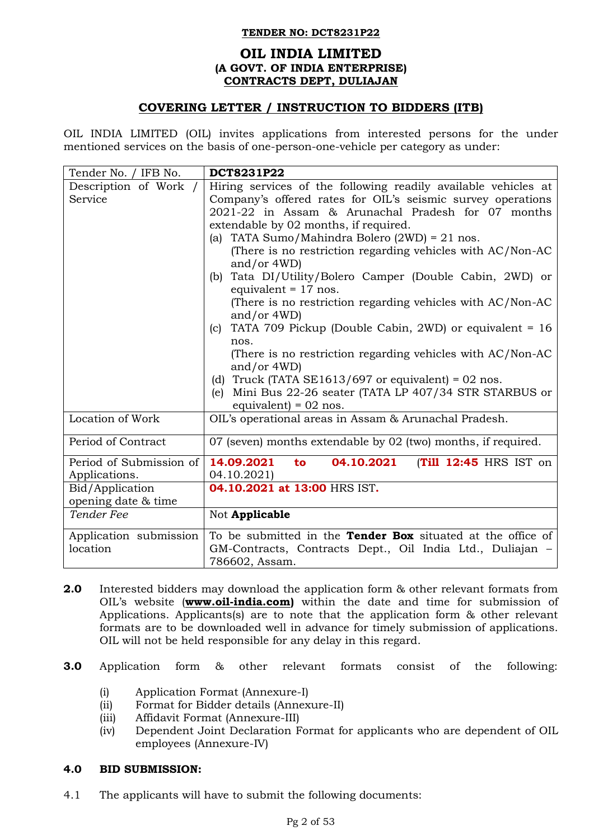## **OIL INDIA LIMITED (A GOVT. OF INDIA ENTERPRISE) CONTRACTS DEPT, DULIAJAN**

# **COVERING LETTER / INSTRUCTION TO BIDDERS (ITB)**

OIL INDIA LIMITED (OIL) invites applications from interested persons for the under mentioned services on the basis of one-person-one-vehicle per category as under:

| Tender No. / IFB No.                   | DCT8231P22                                                                                                                                                 |
|----------------------------------------|------------------------------------------------------------------------------------------------------------------------------------------------------------|
| Description of Work /                  | Hiring services of the following readily available vehicles at                                                                                             |
| Service                                | Company's offered rates for OIL's seismic survey operations<br>2021-22 in Assam & Arunachal Pradesh for 07 months<br>extendable by 02 months, if required. |
|                                        | (a) TATA Sumo/Mahindra Bolero $(2WD) = 21$ nos.                                                                                                            |
|                                        | (There is no restriction regarding vehicles with AC/Non-AC<br>and/or $4WD$ )                                                                               |
|                                        | (b) Tata DI/Utility/Bolero Camper (Double Cabin, 2WD) or<br>equivalent = $17$ nos.                                                                         |
|                                        | (There is no restriction regarding vehicles with AC/Non-AC<br>and/or $4WD$ )                                                                               |
|                                        | (c) TATA 709 Pickup (Double Cabin, 2WD) or equivalent = $16$<br>nos.                                                                                       |
|                                        | (There is no restriction regarding vehicles with AC/Non-AC                                                                                                 |
|                                        | and/or $4WD$ )                                                                                                                                             |
|                                        | (d) Truck (TATA SE1613/697 or equivalent) = 02 nos.                                                                                                        |
|                                        | Mini Bus 22-26 seater (TATA LP 407/34 STR STARBUS or<br>(e)<br>equivalent) = $02$ nos.                                                                     |
| Location of Work                       | OIL's operational areas in Assam & Arunachal Pradesh.                                                                                                      |
| Period of Contract                     | 07 (seven) months extendable by 02 (two) months, if required.                                                                                              |
| Period of Submission of                | 14.09.2021<br>(Till 12:45 HRS IST on<br>04.10.2021<br>to                                                                                                   |
| Applications.                          | 04.10.2021)                                                                                                                                                |
| Bid/Application<br>opening date & time | 04.10.2021 at 13:00 HRS IST.                                                                                                                               |
| Tender Fee                             | Not Applicable                                                                                                                                             |
| Application submission                 | To be submitted in the <b>Tender Box</b> situated at the office of                                                                                         |
| location                               | GM-Contracts, Contracts Dept., Oil India Ltd., Duliajan –                                                                                                  |
|                                        | 786602, Assam.                                                                                                                                             |

**2.0** Interested bidders may download the application form & other relevant formats from OIL's website (**[www.oil-india.com\)](http://www.oil-india.com/)** within the date and time for submission of Applications. Applicants(s) are to note that the application form & other relevant formats are to be downloaded well in advance for timely submission of applications. OIL will not be held responsible for any delay in this regard.

## **3.0** Application form & other relevant formats consist of the following:

- (i) Application Format (Annexure-I)
- (ii) Format for Bidder details (Annexure-II)
- (iii) Affidavit Format (Annexure-III)
- (iv) Dependent Joint Declaration Format for applicants who are dependent of OIL employees (Annexure-IV)

# **4.0 BID SUBMISSION:**

4.1 The applicants will have to submit the following documents: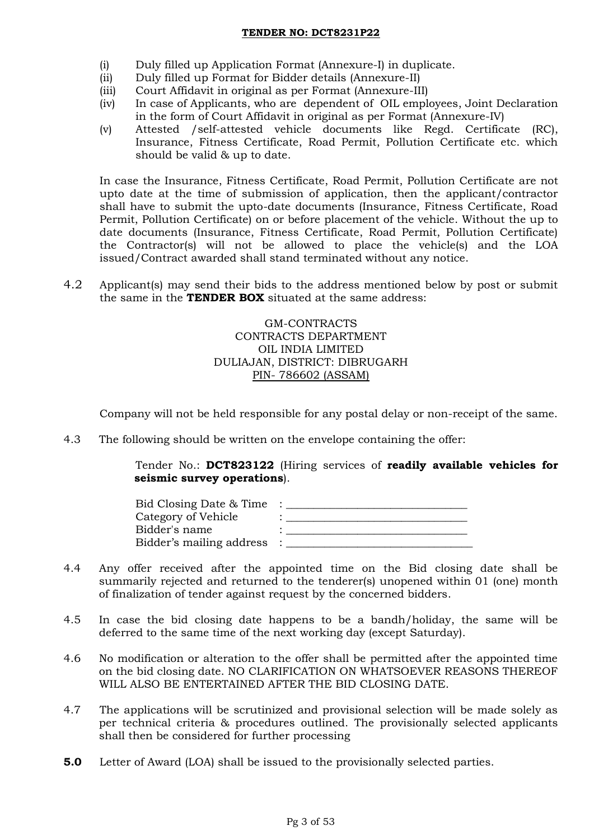- (i) Duly filled up Application Format (Annexure-I) in duplicate.
- (ii) Duly filled up Format for Bidder details (Annexure-II)
- (iii) Court Affidavit in original as per Format (Annexure-III)
- (iv) In case of Applicants, who are dependent of OIL employees, Joint Declaration in the form of Court Affidavit in original as per Format (Annexure-IV)
- (v) Attested /self-attested vehicle documents like Regd. Certificate (RC), Insurance, Fitness Certificate, Road Permit, Pollution Certificate etc. which should be valid & up to date.

In case the Insurance, Fitness Certificate, Road Permit, Pollution Certificate are not upto date at the time of submission of application, then the applicant/contractor shall have to submit the upto-date documents (Insurance, Fitness Certificate, Road Permit, Pollution Certificate) on or before placement of the vehicle. Without the up to date documents (Insurance, Fitness Certificate, Road Permit, Pollution Certificate) the Contractor(s) will not be allowed to place the vehicle(s) and the LOA issued/Contract awarded shall stand terminated without any notice.

4.2 Applicant(s) may send their bids to the address mentioned below by post or submit the same in the **TENDER BOX** situated at the same address:

> GM-CONTRACTS CONTRACTS DEPARTMENT OIL INDIA LIMITED DULIAJAN, DISTRICT: DIBRUGARH PIN- 786602 (ASSAM)

Company will not be held responsible for any postal delay or non-receipt of the same.

4.3 The following should be written on the envelope containing the offer:

Tender No.: **DCT823122** (Hiring services of **readily available vehicles for seismic survey operations**).

- 4.4 Any offer received after the appointed time on the Bid closing date shall be summarily rejected and returned to the tenderer(s) unopened within 01 (one) month of finalization of tender against request by the concerned bidders.
- 4.5 In case the bid closing date happens to be a bandh/holiday, the same will be deferred to the same time of the next working day (except Saturday).
- 4.6 No modification or alteration to the offer shall be permitted after the appointed time on the bid closing date. NO CLARIFICATION ON WHATSOEVER REASONS THEREOF WILL ALSO BE ENTERTAINED AFTER THE BID CLOSING DATE.
- 4.7 The applications will be scrutinized and provisional selection will be made solely as per technical criteria & procedures outlined. The provisionally selected applicants shall then be considered for further processing
- **5.0** Letter of Award (LOA) shall be issued to the provisionally selected parties.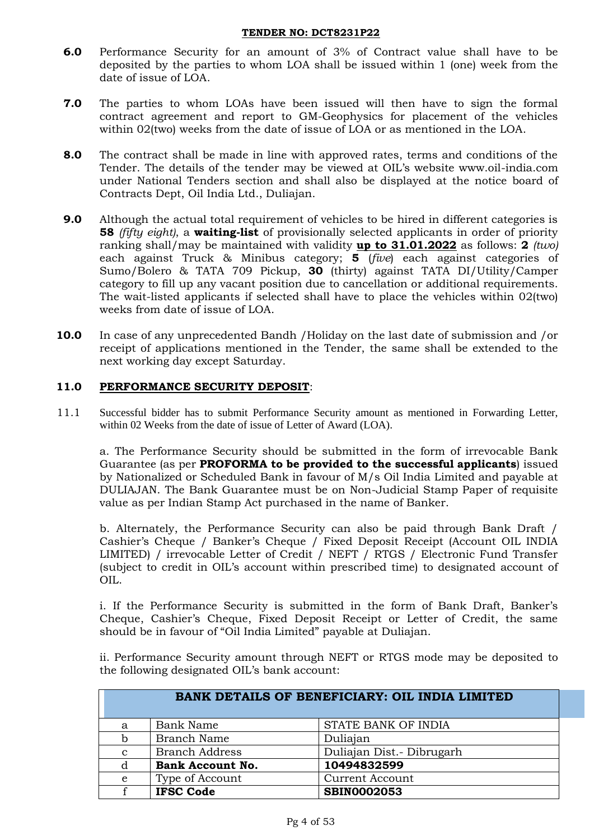- **6.0** Performance Security for an amount of 3% of Contract value shall have to be deposited by the parties to whom LOA shall be issued within 1 (one) week from the date of issue of LOA.
- **7.0** The parties to whom LOAs have been issued will then have to sign the formal contract agreement and report to GM-Geophysics for placement of the vehicles within 02(two) weeks from the date of issue of LOA or as mentioned in the LOA.
- **8.0** The contract shall be made in line with approved rates, terms and conditions of the Tender. The details of the tender may be viewed at OIL's website www.oil-india.com under National Tenders section and shall also be displayed at the notice board of Contracts Dept, Oil India Ltd., Duliajan.
- **9.0** Although the actual total requirement of vehicles to be hired in different categories is **58** *(fifty eight)*, a **waiting-list** of provisionally selected applicants in order of priority ranking shall/may be maintained with validity **up to 31.01.2022** as follows: **2** *(two)* each against Truck & Minibus category; **5** (*five*) each against categories of Sumo/Bolero & TATA 709 Pickup, **30** (thirty) against TATA DI/Utility/Camper category to fill up any vacant position due to cancellation or additional requirements. The wait-listed applicants if selected shall have to place the vehicles within 02(two) weeks from date of issue of LOA.
- **10.0** In case of any unprecedented Bandh /Holiday on the last date of submission and /or receipt of applications mentioned in the Tender, the same shall be extended to the next working day except Saturday.

## **11.0 PERFORMANCE SECURITY DEPOSIT**:

11.1 Successful bidder has to submit Performance Security amount as mentioned in Forwarding Letter, within 02 Weeks from the date of issue of Letter of Award (LOA).

a. The Performance Security should be submitted in the form of irrevocable Bank Guarantee (as per **PROFORMA to be provided to the successful applicants**) issued by Nationalized or Scheduled Bank in favour of M/s Oil India Limited and payable at DULIAJAN. The Bank Guarantee must be on Non-Judicial Stamp Paper of requisite value as per Indian Stamp Act purchased in the name of Banker.

b. Alternately, the Performance Security can also be paid through Bank Draft / Cashier's Cheque / Banker's Cheque / Fixed Deposit Receipt (Account OIL INDIA LIMITED) / irrevocable Letter of Credit / NEFT / RTGS / Electronic Fund Transfer (subject to credit in OIL's account within prescribed time) to designated account of OIL.

i. If the Performance Security is submitted in the form of Bank Draft, Banker's Cheque, Cashier's Cheque, Fixed Deposit Receipt or Letter of Credit, the same should be in favour of "Oil India Limited" payable at Duliajan.

ii. Performance Security amount through NEFT or RTGS mode may be deposited to the following designated OIL's bank account:

|              |                         | BANK DETAILS OF BENEFICIARY: OIL INDIA LIMITED |
|--------------|-------------------------|------------------------------------------------|
| a            | Bank Name               | STATE BANK OF INDIA                            |
| b            | <b>Branch Name</b>      | Duliajan                                       |
| $\mathbf{C}$ | <b>Branch Address</b>   | Duliajan Dist.- Dibrugarh                      |
| d            | <b>Bank Account No.</b> | 10494832599                                    |
| e            | Type of Account         | <b>Current Account</b>                         |
|              | <b>IFSC Code</b>        | <b>SBIN0002053</b>                             |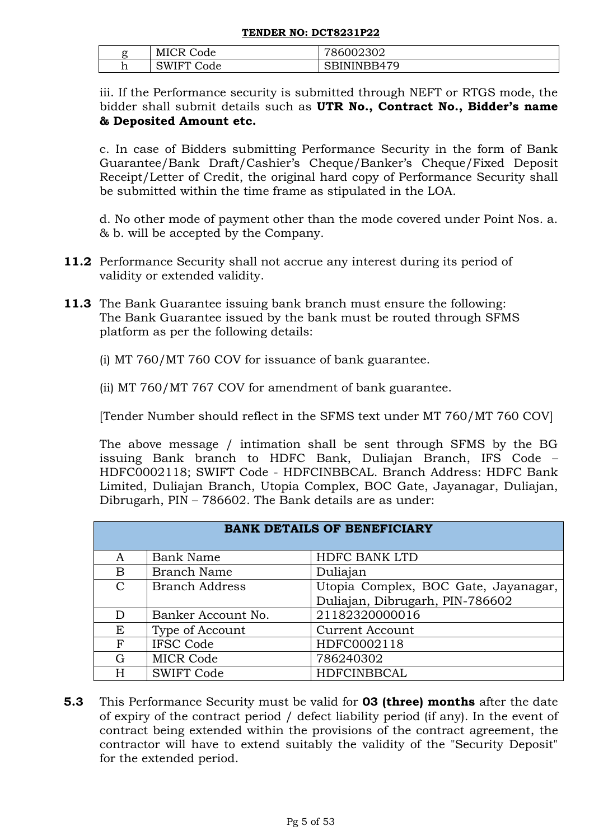| ~<br>. . | MIC<br>₩<br>ode           | 002302<br>ำเ<br>- v                      |
|----------|---------------------------|------------------------------------------|
| TT.      | . н<br>W<br>de<br><br>. . | 70<br>u<br>R4<br>ືື<br>- - - - - - - - - |

iii. If the Performance security is submitted through NEFT or RTGS mode, the bidder shall submit details such as **UTR No., Contract No., Bidder's name & Deposited Amount etc.** 

c. In case of Bidders submitting Performance Security in the form of Bank Guarantee/Bank Draft/Cashier's Cheque/Banker's Cheque/Fixed Deposit Receipt/Letter of Credit, the original hard copy of Performance Security shall be submitted within the time frame as stipulated in the LOA.

d. No other mode of payment other than the mode covered under Point Nos. a. & b. will be accepted by the Company.

- **11.2** Performance Security shall not accrue any interest during its period of validity or extended validity.
- **11.3** The Bank Guarantee issuing bank branch must ensure the following: The Bank Guarantee issued by the bank must be routed through SFMS platform as per the following details:
	- (i) MT 760/MT 760 COV for issuance of bank guarantee.

(ii) MT 760/MT 767 COV for amendment of bank guarantee.

[Tender Number should reflect in the SFMS text under MT 760/MT 760 COV]

The above message / intimation shall be sent through SFMS by the BG issuing Bank branch to HDFC Bank, Duliajan Branch, IFS Code – HDFC0002118; SWIFT Code - HDFCINBBCAL. Branch Address: HDFC Bank Limited, Duliajan Branch, Utopia Complex, BOC Gate, Jayanagar, Duliajan, Dibrugarh, PIN – 786602. The Bank details are as under:

|               | <b>BANK DETAILS OF BENEFICIARY</b> |                                      |  |  |  |
|---------------|------------------------------------|--------------------------------------|--|--|--|
| A             | <b>Bank Name</b>                   | <b>HDFC BANK LTD</b>                 |  |  |  |
| B             | Branch Name                        | Duliajan                             |  |  |  |
| $\mathcal{C}$ | <b>Branch Address</b>              | Utopia Complex, BOC Gate, Jayanagar, |  |  |  |
|               |                                    | Duliajan, Dibrugarh, PIN-786602      |  |  |  |
| D             | Banker Account No.                 | 21182320000016                       |  |  |  |
| Ε             | Type of Account                    | <b>Current Account</b>               |  |  |  |
| F             | <b>IFSC Code</b>                   | HDFC0002118                          |  |  |  |
| G             | <b>MICR Code</b>                   | 786240302                            |  |  |  |
| Н             | <b>SWIFT Code</b>                  | <b>HDFCINBBCAL</b>                   |  |  |  |

**5.3** This Performance Security must be valid for **03 (three) months** after the date of expiry of the contract period / defect liability period (if any). In the event of contract being extended within the provisions of the contract agreement, the contractor will have to extend suitably the validity of the "Security Deposit" for the extended period.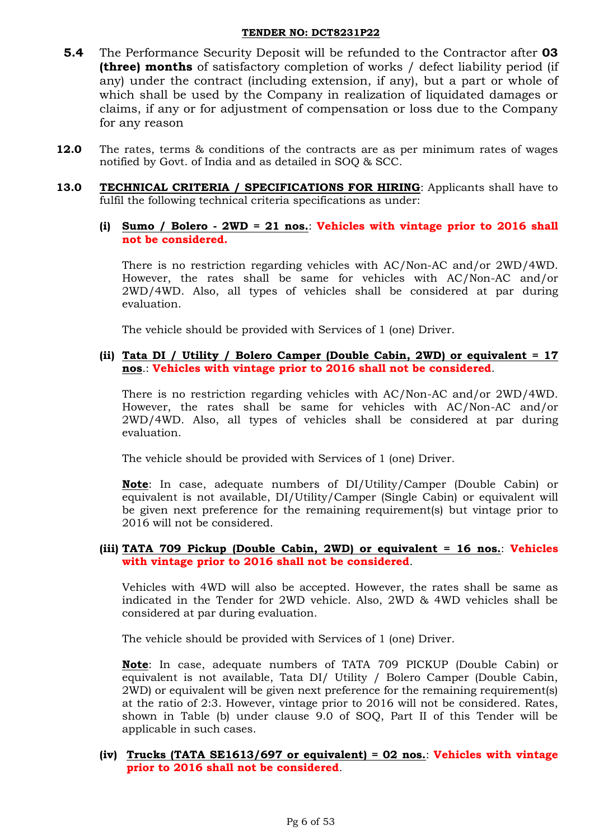- **5.4** The Performance Security Deposit will be refunded to the Contractor after **03 (three) months** of satisfactory completion of works / defect liability period (if any) under the contract (including extension, if any), but a part or whole of which shall be used by the Company in realization of liquidated damages or claims, if any or for adjustment of compensation or loss due to the Company for any reason
- **12.0** The rates, terms & conditions of the contracts are as per minimum rates of wages notified by Govt. of India and as detailed in SOQ & SCC.
- **13.0 TECHNICAL CRITERIA / SPECIFICATIONS FOR HIRING**: Applicants shall have to fulfil the following technical criteria specifications as under:
	- **(i) Sumo / Bolero - 2WD = 21 nos.**: **Vehicles with vintage prior to 2016 shall not be considered.**

There is no restriction regarding vehicles with AC/Non-AC and/or 2WD/4WD. However, the rates shall be same for vehicles with AC/Non-AC and/or 2WD/4WD. Also, all types of vehicles shall be considered at par during evaluation.

The vehicle should be provided with Services of 1 (one) Driver.

**(ii) Tata DI / Utility / Bolero Camper (Double Cabin, 2WD) or equivalent = 17 nos**.: **Vehicles with vintage prior to 2016 shall not be considered**.

There is no restriction regarding vehicles with AC/Non-AC and/or 2WD/4WD. However, the rates shall be same for vehicles with AC/Non-AC and/or 2WD/4WD. Also, all types of vehicles shall be considered at par during evaluation.

The vehicle should be provided with Services of 1 (one) Driver.

**Note**: In case, adequate numbers of DI/Utility/Camper (Double Cabin) or equivalent is not available, DI/Utility/Camper (Single Cabin) or equivalent will be given next preference for the remaining requirement(s) but vintage prior to 2016 will not be considered.

### **(iii) TATA 709 Pickup (Double Cabin, 2WD) or equivalent = 16 nos.**: **Vehicles with vintage prior to 2016 shall not be considered**.

Vehicles with 4WD will also be accepted. However, the rates shall be same as indicated in the Tender for 2WD vehicle. Also, 2WD & 4WD vehicles shall be considered at par during evaluation.

The vehicle should be provided with Services of 1 (one) Driver.

**Note**: In case, adequate numbers of TATA 709 PICKUP (Double Cabin) or equivalent is not available, Tata DI/ Utility / Bolero Camper (Double Cabin, 2WD) or equivalent will be given next preference for the remaining requirement(s) at the ratio of 2:3. However, vintage prior to 2016 will not be considered. Rates, shown in Table (b) under clause 9.0 of SOQ, Part II of this Tender will be applicable in such cases.

### **(iv) Trucks (TATA SE1613/697 or equivalent) = 02 nos.**: **Vehicles with vintage prior to 2016 shall not be considered**.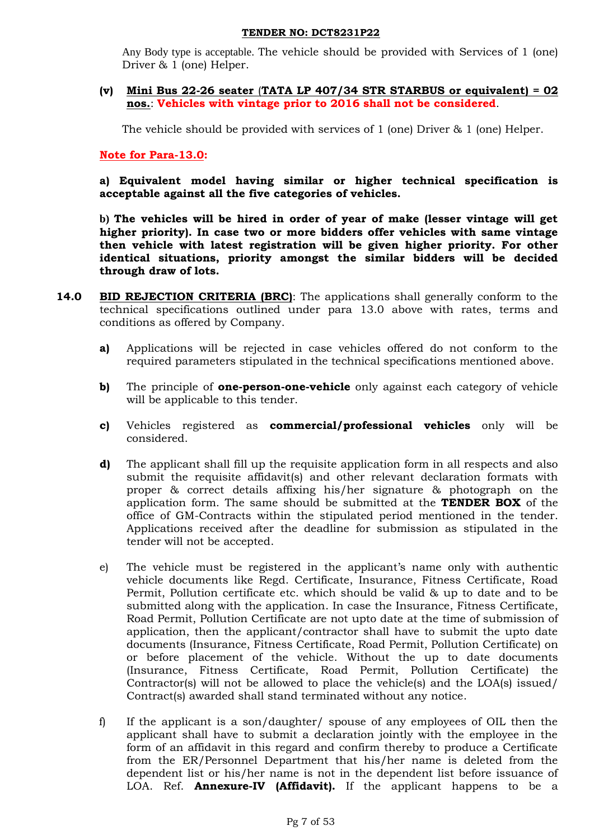Any Body type is acceptable. The vehicle should be provided with Services of 1 (one) Driver & 1 (one) Helper.

### **(v) Mini Bus 22-26 seater** (**TATA LP 407/34 STR STARBUS or equivalent) = 02 nos.**: **Vehicles with vintage prior to 2016 shall not be considered**.

The vehicle should be provided with services of 1 (one) Driver & 1 (one) Helper.

**Note for Para-13.0:** 

**a) Equivalent model having similar or higher technical specification is acceptable against all the five categories of vehicles.** 

**b) The vehicles will be hired in order of year of make (lesser vintage will get higher priority). In case two or more bidders offer vehicles with same vintage then vehicle with latest registration will be given higher priority. For other identical situations, priority amongst the similar bidders will be decided through draw of lots.** 

- **14.0 BID REJECTION CRITERIA (BRC)**: The applications shall generally conform to the technical specifications outlined under para 13.0 above with rates, terms and conditions as offered by Company.
	- **a)** Applications will be rejected in case vehicles offered do not conform to the required parameters stipulated in the technical specifications mentioned above.
	- **b)** The principle of **one-person-one-vehicle** only against each category of vehicle will be applicable to this tender.
	- **c)** Vehicles registered as **commercial/professional vehicles** only will be considered.
	- **d)** The applicant shall fill up the requisite application form in all respects and also submit the requisite affidavit(s) and other relevant declaration formats with proper & correct details affixing his/her signature & photograph on the application form. The same should be submitted at the **TENDER BOX** of the office of GM-Contracts within the stipulated period mentioned in the tender. Applications received after the deadline for submission as stipulated in the tender will not be accepted.
	- e) The vehicle must be registered in the applicant's name only with authentic vehicle documents like Regd. Certificate, Insurance, Fitness Certificate, Road Permit, Pollution certificate etc. which should be valid & up to date and to be submitted along with the application. In case the Insurance, Fitness Certificate, Road Permit, Pollution Certificate are not upto date at the time of submission of application, then the applicant/contractor shall have to submit the upto date documents (Insurance, Fitness Certificate, Road Permit, Pollution Certificate) on or before placement of the vehicle. Without the up to date documents (Insurance, Fitness Certificate, Road Permit, Pollution Certificate) the Contractor(s) will not be allowed to place the vehicle(s) and the LOA(s) issued/ Contract(s) awarded shall stand terminated without any notice.
	- f) If the applicant is a son/daughter/ spouse of any employees of OIL then the applicant shall have to submit a declaration jointly with the employee in the form of an affidavit in this regard and confirm thereby to produce a Certificate from the ER/Personnel Department that his/her name is deleted from the dependent list or his/her name is not in the dependent list before issuance of LOA. Ref. **Annexure-IV (Affidavit).** If the applicant happens to be a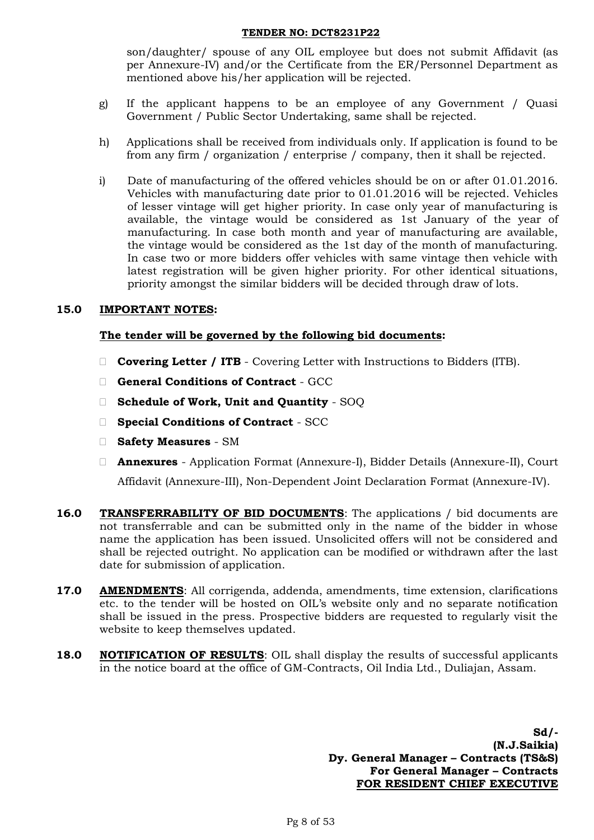son/daughter/ spouse of any OIL employee but does not submit Affidavit (as per Annexure-IV) and/or the Certificate from the ER/Personnel Department as mentioned above his/her application will be rejected.

- g) If the applicant happens to be an employee of any Government / Quasi Government / Public Sector Undertaking, same shall be rejected.
- h) Applications shall be received from individuals only. If application is found to be from any firm / organization / enterprise / company, then it shall be rejected.
- i) Date of manufacturing of the offered vehicles should be on or after 01.01.2016. Vehicles with manufacturing date prior to 01.01.2016 will be rejected. Vehicles of lesser vintage will get higher priority. In case only year of manufacturing is available, the vintage would be considered as 1st January of the year of manufacturing. In case both month and year of manufacturing are available, the vintage would be considered as the 1st day of the month of manufacturing. In case two or more bidders offer vehicles with same vintage then vehicle with latest registration will be given higher priority. For other identical situations, priority amongst the similar bidders will be decided through draw of lots.

# **15.0 IMPORTANT NOTES:**

# **The tender will be governed by the following bid documents:**

- **Covering Letter / ITB** Covering Letter with Instructions to Bidders (ITB).
- **General Conditions of Contract** GCC
- **Schedule of Work, Unit and Quantity** SOQ
- **Special Conditions of Contract** SCC
- **Safety Measures**  SM
- **Annexures** Application Format (Annexure-I), Bidder Details (Annexure-II), Court Affidavit (Annexure-III), Non-Dependent Joint Declaration Format (Annexure-IV).
- **16.0 TRANSFERRABILITY OF BID DOCUMENTS**: The applications / bid documents are not transferrable and can be submitted only in the name of the bidder in whose name the application has been issued. Unsolicited offers will not be considered and shall be rejected outright. No application can be modified or withdrawn after the last date for submission of application.
- **17.0 AMENDMENTS**: All corrigenda, addenda, amendments, time extension, clarifications etc. to the tender will be hosted on OIL's website only and no separate notification shall be issued in the press. Prospective bidders are requested to regularly visit the website to keep themselves updated.
- **18.0 NOTIFICATION OF RESULTS**: OIL shall display the results of successful applicants in the notice board at the office of GM-Contracts, Oil India Ltd., Duliajan, Assam.

**Sd/- (N.J.Saikia) Dy. General Manager – Contracts (TS&S) For General Manager – Contracts FOR RESIDENT CHIEF EXECUTIVE**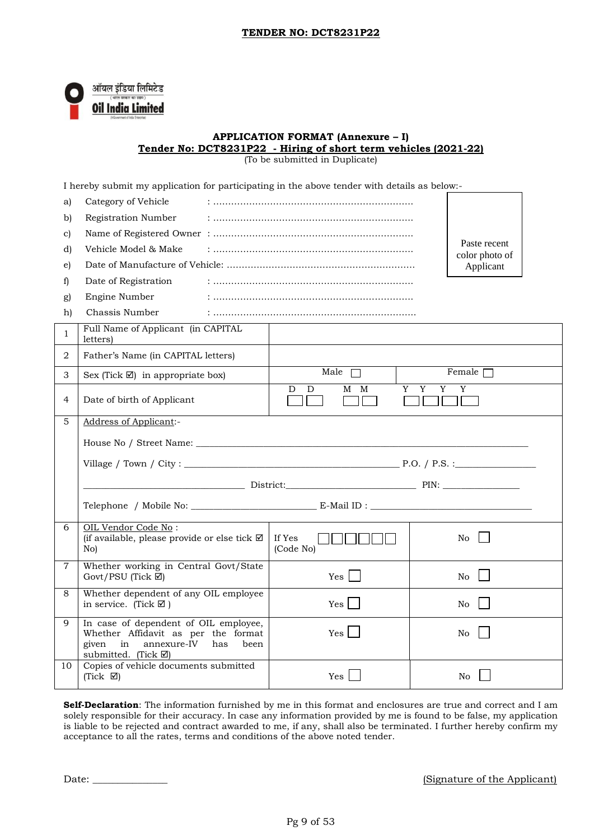

#### **APPLICATION FORMAT (Annexure – I) Tender No: DCT8231P22 - Hiring of short term vehicles (2021-22)**

(To be submitted in Duplicate)

|                | I hereby submit my application for participating in the above tender with details as below:-                                                                |                     |                                |  |  |  |
|----------------|-------------------------------------------------------------------------------------------------------------------------------------------------------------|---------------------|--------------------------------|--|--|--|
| a)             | Category of Vehicle                                                                                                                                         |                     |                                |  |  |  |
| b)             | Registration Number                                                                                                                                         |                     |                                |  |  |  |
| c)             |                                                                                                                                                             |                     |                                |  |  |  |
| d)             | Vehicle Model & Make                                                                                                                                        |                     | Paste recent<br>color photo of |  |  |  |
| e)             |                                                                                                                                                             |                     | Applicant                      |  |  |  |
| $\mathbf{f}$   | Date of Registration                                                                                                                                        |                     |                                |  |  |  |
| g)             | Engine Number                                                                                                                                               |                     |                                |  |  |  |
| h)             | Chassis Number                                                                                                                                              |                     |                                |  |  |  |
| $\mathbf{1}$   | Full Name of Applicant (in CAPITAL<br>letters)                                                                                                              |                     |                                |  |  |  |
| 2              | Father's Name (in CAPITAL letters)                                                                                                                          |                     |                                |  |  |  |
| 3              | Sex (Tick $\boxtimes$ ) in appropriate box)                                                                                                                 | Male $\Box$         | Female $\Box$                  |  |  |  |
| 4              | Date of birth of Applicant                                                                                                                                  | M M<br>D<br>D       | Y Y<br>Y<br>Y                  |  |  |  |
| 5              | Address of Applicant:-                                                                                                                                      |                     |                                |  |  |  |
|                |                                                                                                                                                             |                     |                                |  |  |  |
|                |                                                                                                                                                             |                     |                                |  |  |  |
|                |                                                                                                                                                             |                     |                                |  |  |  |
|                |                                                                                                                                                             |                     |                                |  |  |  |
| 6              | OIL Vendor Code No:<br>(if available, please provide or else tick $\boxtimes$<br>No)                                                                        | If Yes<br>(Code No) | No                             |  |  |  |
| $\overline{7}$ | Whether working in Central Govt/State<br>Govt/PSU (Tick $\boxtimes$ )                                                                                       | Yes                 | No l                           |  |  |  |
| 8              | Whether dependent of any OIL employee<br>in service. (Tick $\boxtimes$ )                                                                                    | Yes                 | No                             |  |  |  |
| 9              | In case of dependent of OIL employee,<br>Whether Affidavit as per the format<br>given<br>in<br>annexure-IV<br>has<br>been<br>submitted. (Tick $\boxtimes$ ) | Yes                 | N <sub>o</sub>                 |  |  |  |
| 10             | Copies of vehicle documents submitted<br>(Tick $\boxtimes$ )                                                                                                | Yes                 | No                             |  |  |  |

**Self-Declaration**: The information furnished by me in this format and enclosures are true and correct and I am solely responsible for their accuracy. In case any information provided by me is found to be false, my application is liable to be rejected and contract awarded to me, if any, shall also be terminated. I further hereby confirm my acceptance to all the rates, terms and conditions of the above noted tender.

Date: \_\_\_\_\_\_\_\_\_\_\_\_\_\_\_ (Signature of the Applicant)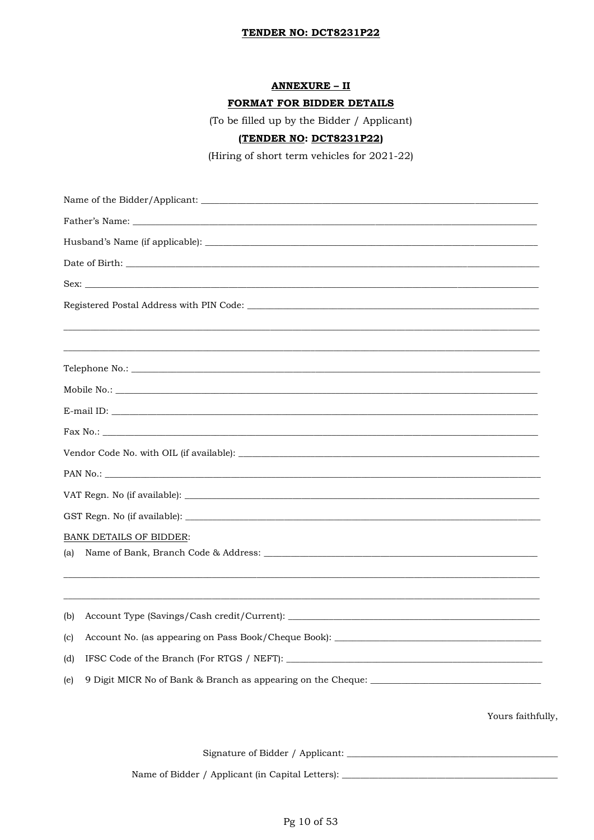## **ANNEXURE - II**

### FORMAT FOR BIDDER DETAILS

(To be filled up by the Bidder / Applicant)

# (TENDER NO: DCT8231P22)

(Hiring of short term vehicles for 2021-22)

| <b>BANK DETAILS OF BIDDER:</b>                                                           |                   |  |  |  |  |  |  |  |
|------------------------------------------------------------------------------------------|-------------------|--|--|--|--|--|--|--|
| (a)                                                                                      |                   |  |  |  |  |  |  |  |
| (b)                                                                                      |                   |  |  |  |  |  |  |  |
| Account No. (as appearing on Pass Book/Cheque Book): ____________________________<br>(c) |                   |  |  |  |  |  |  |  |
| (d)                                                                                      |                   |  |  |  |  |  |  |  |
| (e)                                                                                      |                   |  |  |  |  |  |  |  |
|                                                                                          | Yours faithfully, |  |  |  |  |  |  |  |
|                                                                                          |                   |  |  |  |  |  |  |  |

Pg 10 of 53

Name of Bidder / Applicant (in Capital Letters): \_\_\_\_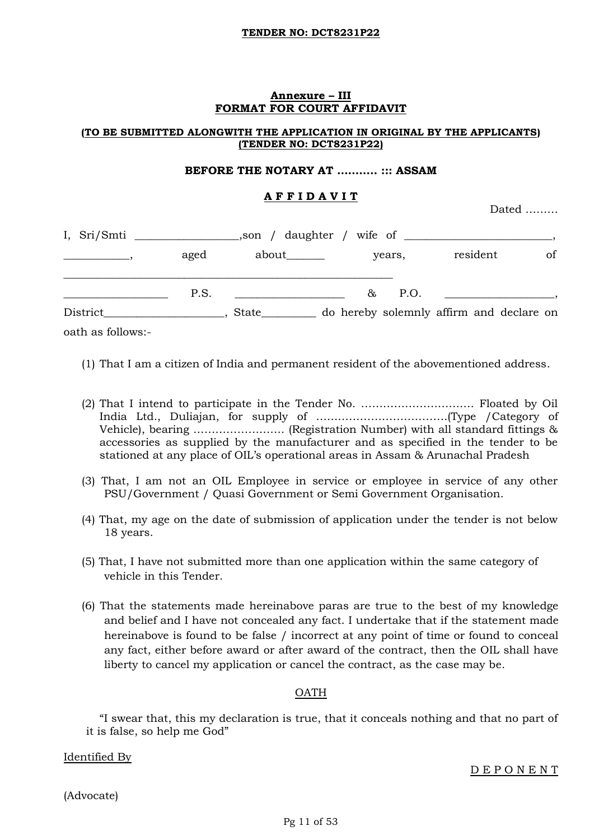### **Annexure – III FORMAT FOR COURT AFFIDAVIT**

### **(TO BE SUBMITTED ALONGWITH THE APPLICATION IN ORIGINAL BY THE APPLICANTS) (TENDER NO: DCT8231P22)**

### **BEFORE THE NOTARY AT ……….. ::: ASSAM**

## **A F F I D A V I T**

Dated ………

| I, Sri/Smti       |      |                                                                                                                       |            |                                          |    |
|-------------------|------|-----------------------------------------------------------------------------------------------------------------------|------------|------------------------------------------|----|
|                   | aged | about_______                                                                                                          | years,     | resident                                 | of |
|                   | P.S. | <u> 1990 - Jan Stein Harry Stein Harry Stein Harry Stein Harry Stein Harry Stein Harry Stein Harry Stein Harry St</u> | 85<br>P.O. |                                          |    |
| District          |      | State                                                                                                                 |            | do hereby solemnly affirm and declare on |    |
| oath as follows:- |      |                                                                                                                       |            |                                          |    |

- (1) That I am a citizen of India and permanent resident of the abovementioned address.
- (2) That I intend to participate in the Tender No. …………………………. Floated by Oil India Ltd., Duliajan, for supply of ………………………………(Type /Category of Vehicle), bearing ……………………. (Registration Number) with all standard fittings & accessories as supplied by the manufacturer and as specified in the tender to be stationed at any place of OIL's operational areas in Assam & Arunachal Pradesh
- (3) That, I am not an OIL Employee in service or employee in service of any other PSU/Government / Quasi Government or Semi Government Organisation.
- (4) That, my age on the date of submission of application under the tender is not below 18 years.
- (5) That, I have not submitted more than one application within the same category of vehicle in this Tender.
- (6) That the statements made hereinabove paras are true to the best of my knowledge and belief and I have not concealed any fact. I undertake that if the statement made hereinabove is found to be false / incorrect at any point of time or found to conceal any fact, either before award or after award of the contract, then the OIL shall have liberty to cancel my application or cancel the contract, as the case may be.

# OATH

"I swear that, this my declaration is true, that it conceals nothing and that no part of it is false, so help me God"

Identified By

D E P O N E N T

(Advocate)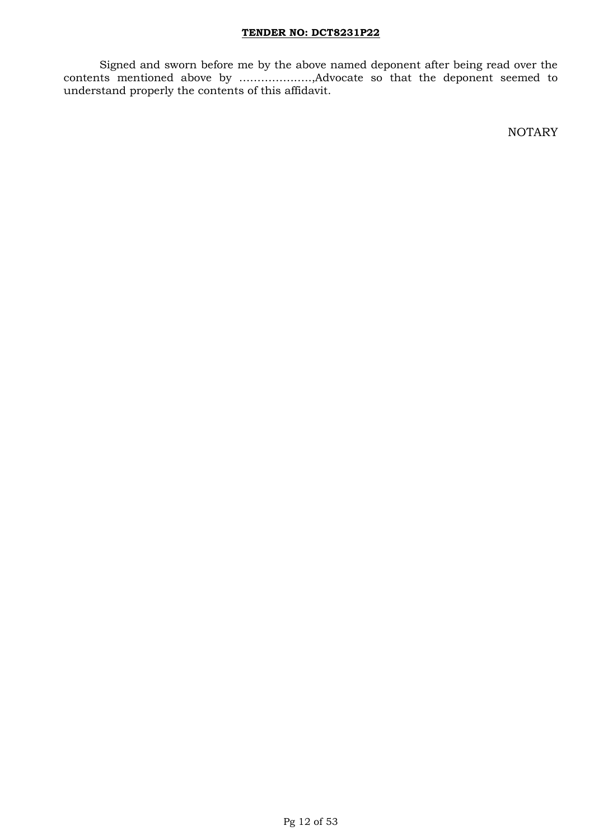Signed and sworn before me by the above named deponent after being read over the contents mentioned above by ………………..,Advocate so that the deponent seemed to understand properly the contents of this affidavit.

NOTARY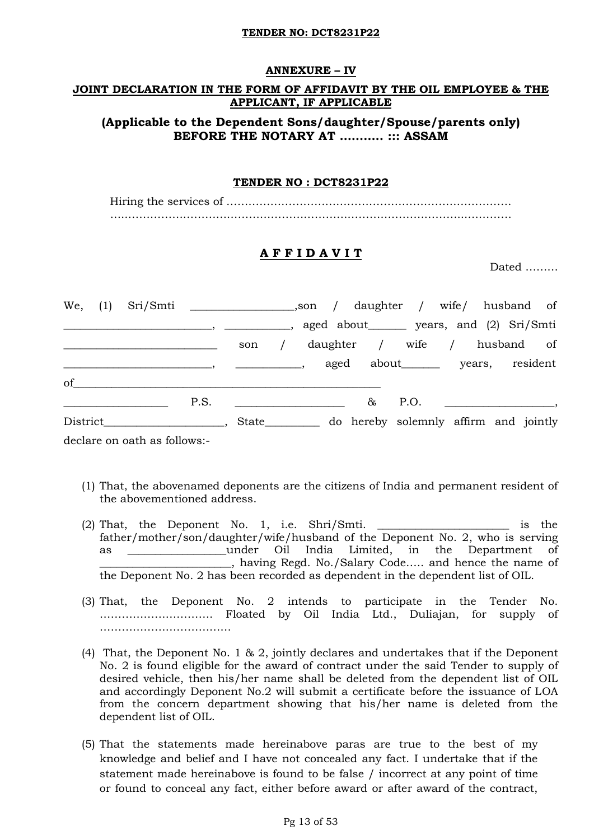### **ANNEXURE – IV**

## **JOINT DECLARATION IN THE FORM OF AFFIDAVIT BY THE OIL EMPLOYEE & THE APPLICANT, IF APPLICABLE**

# **(Applicable to the Dependent Sons/daughter/Spouse/parents only) BEFORE THE NOTARY AT ……….. ::: ASSAM**

### **TENDER NO : DCT8231P22**

Hiring the services of …………………………………………………………………… …..………………………………………………………………………………...…………

## **A F F I D A V I T**

Dated ………

|    |  | We, (1) Sri/Smti _______________________,son / daughter / wife/ husband of |                                          |  |                                            |  |                           |  |
|----|--|----------------------------------------------------------------------------|------------------------------------------|--|--------------------------------------------|--|---------------------------|--|
|    |  |                                                                            |                                          |  | aged about _______ years, and (2) Sri/Smti |  |                           |  |
|    |  |                                                                            |                                          |  | son / daughter / wife / husband of         |  |                           |  |
|    |  |                                                                            | <u> 1990 - Johann John Store, mars e</u> |  | aged about_______ years, resident          |  |                           |  |
| of |  |                                                                            |                                          |  |                                            |  |                           |  |
|    |  | P.S.                                                                       |                                          |  |                                            |  | $\&$ P.O. $\qquad \qquad$ |  |
|    |  |                                                                            | State___________                         |  | do hereby solemnly affirm and jointly      |  |                           |  |

declare on oath as follows:-

- (1) That, the abovenamed deponents are the citizens of India and permanent resident of the abovementioned address.
- (2) That, the Deponent No. 1, i.e. Shri/Smti. \_\_\_\_\_\_\_\_\_\_\_\_\_\_\_\_\_\_\_\_\_\_\_\_ is the father/mother/son/daughter/wife/husband of the Deponent No. 2, who is serving as \_\_\_\_\_\_\_\_\_\_\_\_\_\_\_\_\_\_under Oil India Limited, in the Department of \_\_\_\_\_\_\_\_\_\_\_\_\_\_\_\_\_\_\_\_\_\_\_\_, having Regd. No./Salary Code….. and hence the name of the Deponent No. 2 has been recorded as dependent in the dependent list of OIL.
- (3) That, the Deponent No. 2 intends to participate in the Tender No. …………………………. Floated by Oil India Ltd., Duliajan, for supply of ………………………………
- (4) That, the Deponent No. 1 & 2, jointly declares and undertakes that if the Deponent No. 2 is found eligible for the award of contract under the said Tender to supply of desired vehicle, then his/her name shall be deleted from the dependent list of OIL and accordingly Deponent No.2 will submit a certificate before the issuance of LOA from the concern department showing that his/her name is deleted from the dependent list of OIL.
- (5) That the statements made hereinabove paras are true to the best of my knowledge and belief and I have not concealed any fact. I undertake that if the statement made hereinabove is found to be false / incorrect at any point of time or found to conceal any fact, either before award or after award of the contract,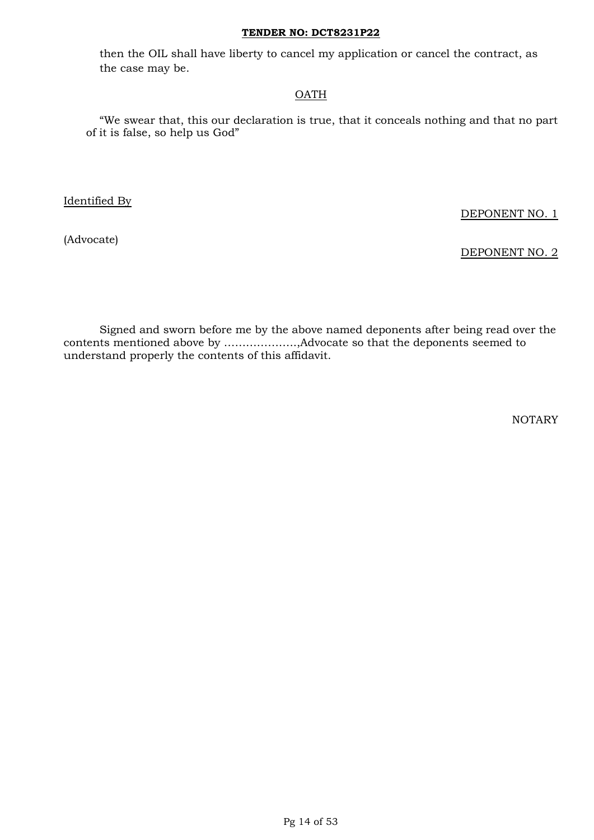then the OIL shall have liberty to cancel my application or cancel the contract, as the case may be.

## OATH

"We swear that, this our declaration is true, that it conceals nothing and that no part of it is false, so help us God"

Identified By

DEPONENT NO. 1

(Advocate)

DEPONENT NO. 2

Signed and sworn before me by the above named deponents after being read over the contents mentioned above by ………………..,Advocate so that the deponents seemed to understand properly the contents of this affidavit.

NOTARY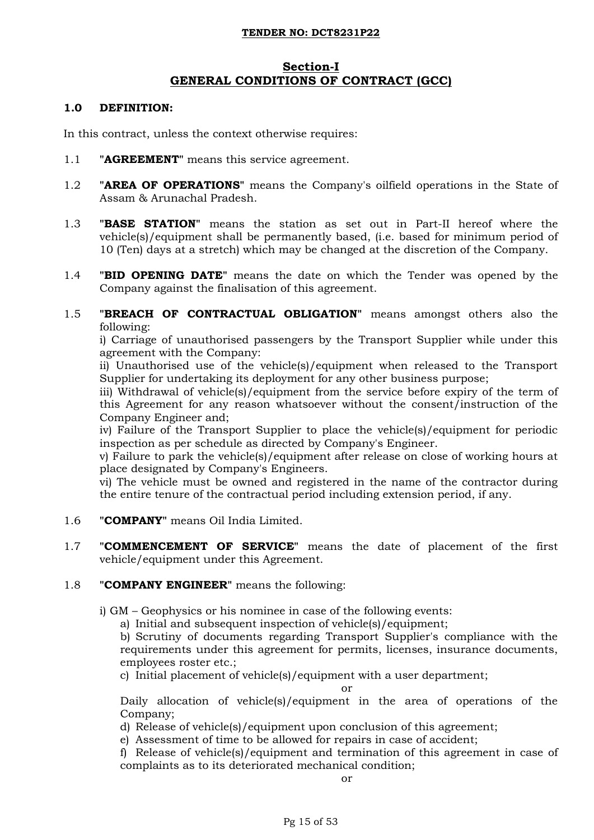# **Section-I GENERAL CONDITIONS OF CONTRACT (GCC)**

### **1.0 DEFINITION:**

In this contract, unless the context otherwise requires:

- 1.1 **"AGREEMENT"** means this service agreement.
- 1.2 **"AREA OF OPERATIONS"** means the Company's oilfield operations in the State of Assam & Arunachal Pradesh.
- 1.3 **"BASE STATION"** means the station as set out in Part-II hereof where the vehicle(s)/equipment shall be permanently based, (i.e. based for minimum period of 10 (Ten) days at a stretch) which may be changed at the discretion of the Company.
- 1.4 **"BID OPENING DATE"** means the date on which the Tender was opened by the Company against the finalisation of this agreement.
- 1.5 **"BREACH OF CONTRACTUAL OBLIGATION"** means amongst others also the following:

i) Carriage of unauthorised passengers by the Transport Supplier while under this agreement with the Company:

ii) Unauthorised use of the vehicle(s)/equipment when released to the Transport Supplier for undertaking its deployment for any other business purpose;

iii) Withdrawal of vehicle(s)/equipment from the service before expiry of the term of this Agreement for any reason whatsoever without the consent/instruction of the Company Engineer and;

iv) Failure of the Transport Supplier to place the vehicle(s)/equipment for periodic inspection as per schedule as directed by Company's Engineer.

v) Failure to park the vehicle(s)/equipment after release on close of working hours at place designated by Company's Engineers.

vi) The vehicle must be owned and registered in the name of the contractor during the entire tenure of the contractual period including extension period, if any.

- 1.6 **"COMPANY"** means Oil India Limited.
- 1.7 **"COMMENCEMENT OF SERVICE"** means the date of placement of the first vehicle/equipment under this Agreement.

## 1.8 **"COMPANY ENGINEER"** means the following:

- i) GM Geophysics or his nominee in case of the following events:
	- a) Initial and subsequent inspection of vehicle(s)/equipment;

b) Scrutiny of documents regarding Transport Supplier's compliance with the requirements under this agreement for permits, licenses, insurance documents, employees roster etc.;

c) Initial placement of vehicle(s)/equipment with a user department;

#### or

Daily allocation of vehicle(s)/equipment in the area of operations of the Company;

d) Release of vehicle(s)/equipment upon conclusion of this agreement;

e) Assessment of time to be allowed for repairs in case of accident;

f) Release of vehicle(s)/equipment and termination of this agreement in case of complaints as to its deteriorated mechanical condition;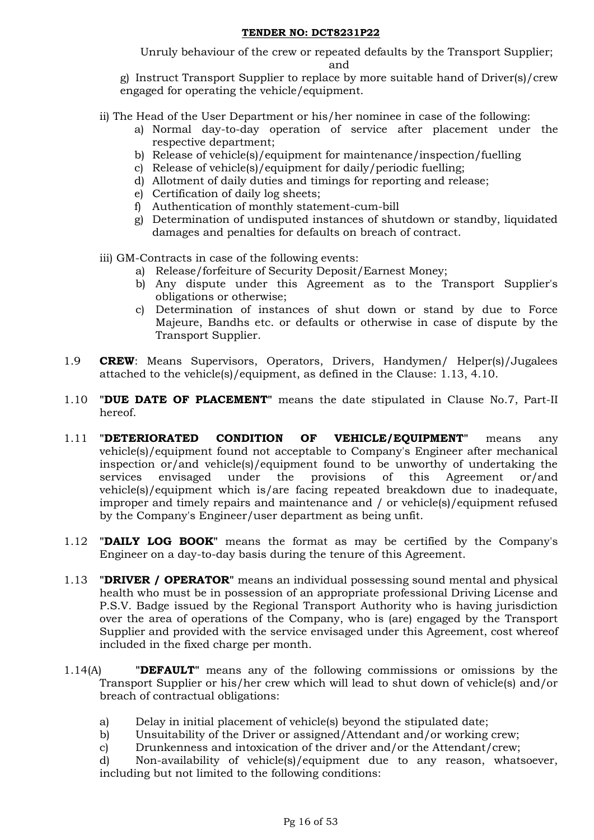Unruly behaviour of the crew or repeated defaults by the Transport Supplier; and

g) Instruct Transport Supplier to replace by more suitable hand of Driver(s)/crew engaged for operating the vehicle/equipment.

- ii) The Head of the User Department or his/her nominee in case of the following:
	- a) Normal day-to-day operation of service after placement under the respective department;
	- b) Release of vehicle(s)/equipment for maintenance/inspection/fuelling
	- c) Release of vehicle(s)/equipment for daily/periodic fuelling;
	- d) Allotment of daily duties and timings for reporting and release;
	- e) Certification of daily log sheets;
	- f) Authentication of monthly statement-cum-bill
	- g) Determination of undisputed instances of shutdown or standby, liquidated damages and penalties for defaults on breach of contract.
- iii) GM-Contracts in case of the following events:
	- a) Release/forfeiture of Security Deposit/Earnest Money;
	- b) Any dispute under this Agreement as to the Transport Supplier's obligations or otherwise;
	- c) Determination of instances of shut down or stand by due to Force Majeure, Bandhs etc. or defaults or otherwise in case of dispute by the Transport Supplier.
- 1.9 **CREW**: Means Supervisors, Operators, Drivers, Handymen/ Helper(s)/Jugalees attached to the vehicle(s)/equipment, as defined in the Clause: 1.13, 4.10.
- 1.10 **"DUE DATE OF PLACEMENT"** means the date stipulated in Clause No.7, Part-II hereof.
- 1.11 **"DETERIORATED CONDITION OF VEHICLE/EQUIPMENT"** means any vehicle(s)/equipment found not acceptable to Company's Engineer after mechanical inspection or/and vehicle(s)/equipment found to be unworthy of undertaking the services envisaged under the provisions of this Agreement or/and vehicle(s)/equipment which is/are facing repeated breakdown due to inadequate, improper and timely repairs and maintenance and / or vehicle(s)/equipment refused by the Company's Engineer/user department as being unfit.
- 1.12 **"DAILY LOG BOOK"** means the format as may be certified by the Company's Engineer on a day-to-day basis during the tenure of this Agreement.
- 1.13 **"DRIVER / OPERATOR"** means an individual possessing sound mental and physical health who must be in possession of an appropriate professional Driving License and P.S.V. Badge issued by the Regional Transport Authority who is having jurisdiction over the area of operations of the Company, who is (are) engaged by the Transport Supplier and provided with the service envisaged under this Agreement, cost whereof included in the fixed charge per month.
- 1.14(A) **"DEFAULT"** means any of the following commissions or omissions by the Transport Supplier or his/her crew which will lead to shut down of vehicle(s) and/or breach of contractual obligations:
	- a) Delay in initial placement of vehicle(s) beyond the stipulated date;
	- b) Unsuitability of the Driver or assigned/Attendant and/or working crew;
	- c) Drunkenness and intoxication of the driver and/or the Attendant/crew;

d) Non-availability of vehicle(s)/equipment due to any reason, whatsoever, including but not limited to the following conditions: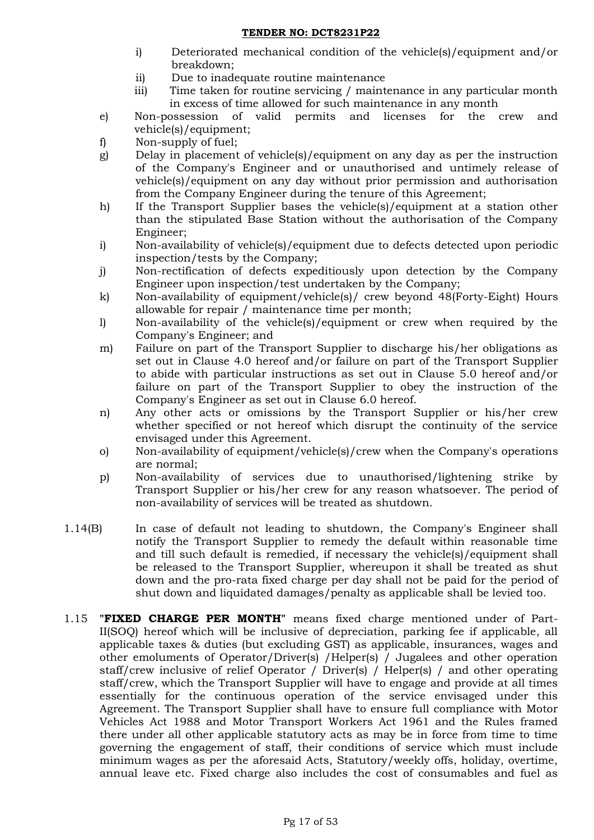- i) Deteriorated mechanical condition of the vehicle(s)/equipment and/or breakdown;
- ii) Due to inadequate routine maintenance
- iii) Time taken for routine servicing / maintenance in any particular month in excess of time allowed for such maintenance in any month
- e) Non-possession of valid permits and licenses for the crew and vehicle(s)/equipment;
- f) Non-supply of fuel;
- g) Delay in placement of vehicle(s)/equipment on any day as per the instruction of the Company's Engineer and or unauthorised and untimely release of vehicle(s)/equipment on any day without prior permission and authorisation from the Company Engineer during the tenure of this Agreement;
- h) If the Transport Supplier bases the vehicle(s)/equipment at a station other than the stipulated Base Station without the authorisation of the Company Engineer;
- i) Non-availability of vehicle(s)/equipment due to defects detected upon periodic inspection/tests by the Company;
- j) Non-rectification of defects expeditiously upon detection by the Company Engineer upon inspection/test undertaken by the Company;
- k) Non-availability of equipment/vehicle(s)/ crew beyond 48(Forty-Eight) Hours allowable for repair / maintenance time per month;
- l) Non-availability of the vehicle(s)/equipment or crew when required by the Company's Engineer; and
- m) Failure on part of the Transport Supplier to discharge his/her obligations as set out in Clause 4.0 hereof and/or failure on part of the Transport Supplier to abide with particular instructions as set out in Clause 5.0 hereof and/or failure on part of the Transport Supplier to obey the instruction of the Company's Engineer as set out in Clause 6.0 hereof.
- n) Any other acts or omissions by the Transport Supplier or his/her crew whether specified or not hereof which disrupt the continuity of the service envisaged under this Agreement.
- o) Non-availability of equipment/vehicle(s)/crew when the Company's operations are normal;
- p) Non-availability of services due to unauthorised/lightening strike by Transport Supplier or his/her crew for any reason whatsoever. The period of non-availability of services will be treated as shutdown.
- 1.14(B) In case of default not leading to shutdown, the Company's Engineer shall notify the Transport Supplier to remedy the default within reasonable time and till such default is remedied, if necessary the vehicle(s)/equipment shall be released to the Transport Supplier, whereupon it shall be treated as shut down and the pro-rata fixed charge per day shall not be paid for the period of shut down and liquidated damages/penalty as applicable shall be levied too.
- 1.15 **"FIXED CHARGE PER MONTH"** means fixed charge mentioned under of Part-II(SOQ) hereof which will be inclusive of depreciation, parking fee if applicable, all applicable taxes & duties (but excluding GST) as applicable, insurances, wages and other emoluments of Operator/Driver(s) /Helper(s) / Jugalees and other operation staff/crew inclusive of relief Operator / Driver(s) / Helper(s) / and other operating staff/crew, which the Transport Supplier will have to engage and provide at all times essentially for the continuous operation of the service envisaged under this Agreement. The Transport Supplier shall have to ensure full compliance with Motor Vehicles Act 1988 and Motor Transport Workers Act 1961 and the Rules framed there under all other applicable statutory acts as may be in force from time to time governing the engagement of staff, their conditions of service which must include minimum wages as per the aforesaid Acts, Statutory/weekly offs, holiday, overtime, annual leave etc. Fixed charge also includes the cost of consumables and fuel as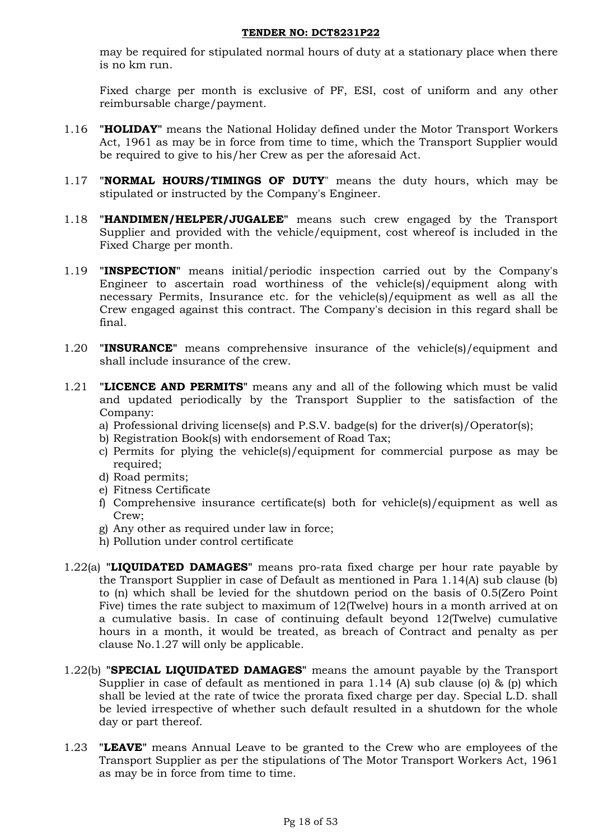may be required for stipulated normal hours of duty at a stationary place when there is no km run.

Fixed charge per month is exclusive of PF, ESI, cost of uniform and any other reimbursable charge/payment.

- 1.16 **"HOLIDAY"** means the National Holiday defined under the Motor Transport Workers Act, 1961 as may be in force from time to time, which the Transport Supplier would be required to give to his/her Crew as per the aforesaid Act.
- 1.17 **"NORMAL HOURS/TIMINGS OF DUTY**" means the duty hours, which may be stipulated or instructed by the Company's Engineer.
- 1.18 **"HANDIMEN/HELPER/JUGALEE"** means such crew engaged by the Transport Supplier and provided with the vehicle/equipment, cost whereof is included in the Fixed Charge per month.
- 1.19 **"INSPECTION"** means initial/periodic inspection carried out by the Company's Engineer to ascertain road worthiness of the vehicle(s)/equipment along with necessary Permits, Insurance etc. for the vehicle(s)/equipment as well as all the Crew engaged against this contract. The Company's decision in this regard shall be final.
- 1.20 **"INSURANCE"** means comprehensive insurance of the vehicle(s)/equipment and shall include insurance of the crew.
- 1.21 **"LICENCE AND PERMITS"** means any and all of the following which must be valid and updated periodically by the Transport Supplier to the satisfaction of the Company:
	- a) Professional driving license(s) and P.S.V. badge(s) for the driver(s)/Operator(s);
	- b) Registration Book(s) with endorsement of Road Tax;
	- c) Permits for plying the vehicle(s)/equipment for commercial purpose as may be required;
	- d) Road permits;
	- e) Fitness Certificate
	- f) Comprehensive insurance certificate(s) both for vehicle(s)/equipment as well as Crew;
	- g) Any other as required under law in force;
	- h) Pollution under control certificate
- 1.22(a) **"LIQUIDATED DAMAGES"** means pro-rata fixed charge per hour rate payable by the Transport Supplier in case of Default as mentioned in Para 1.14(A) sub clause (b) to (n) which shall be levied for the shutdown period on the basis of 0.5(Zero Point Five) times the rate subject to maximum of 12(Twelve) hours in a month arrived at on a cumulative basis. In case of continuing default beyond 12(Twelve) cumulative hours in a month, it would be treated, as breach of Contract and penalty as per clause No.1.27 will only be applicable.
- 1.22(b) **"SPECIAL LIQUIDATED DAMAGES"** means the amount payable by the Transport Supplier in case of default as mentioned in para 1.14 (A) sub clause (o) & (p) which shall be levied at the rate of twice the prorata fixed charge per day. Special L.D. shall be levied irrespective of whether such default resulted in a shutdown for the whole day or part thereof.
- 1.23 **"LEAVE"** means Annual Leave to be granted to the Crew who are employees of the Transport Supplier as per the stipulations of The Motor Transport Workers Act, 1961 as may be in force from time to time.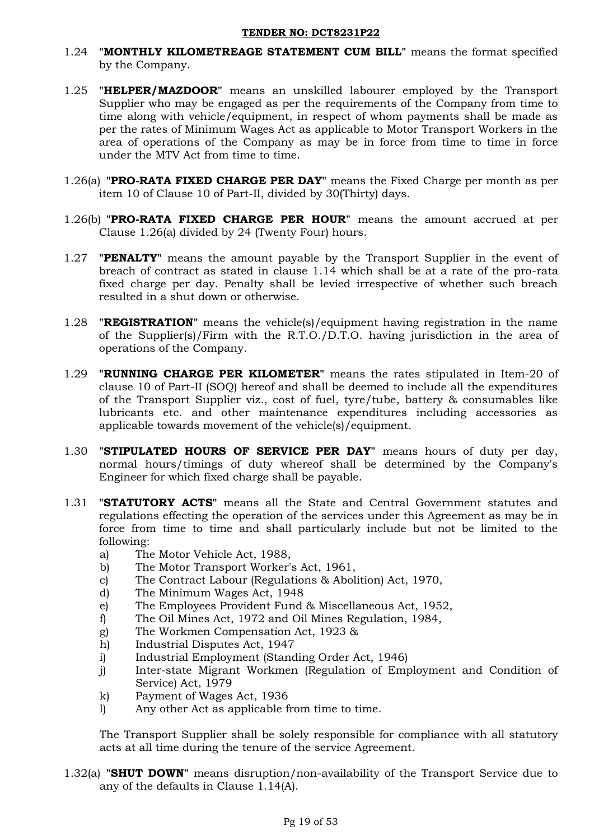- 1.24 **"MONTHLY KILOMETREAGE STATEMENT CUM BILL"** means the format specified by the Company.
- 1.25 **"HELPER/MAZDOOR"** means an unskilled labourer employed by the Transport Supplier who may be engaged as per the requirements of the Company from time to time along with vehicle/equipment, in respect of whom payments shall be made as per the rates of Minimum Wages Act as applicable to Motor Transport Workers in the area of operations of the Company as may be in force from time to time in force under the MTV Act from time to time.
- 1.26(a) **"PRO-RATA FIXED CHARGE PER DAY"** means the Fixed Charge per month as per item 10 of Clause 10 of Part-II, divided by 30(Thirty) days.
- 1.26(b) **"PRO-RATA FIXED CHARGE PER HOUR"** means the amount accrued at per Clause 1.26(a) divided by 24 (Twenty Four) hours.
- 1.27 **"PENALTY"** means the amount payable by the Transport Supplier in the event of breach of contract as stated in clause 1.14 which shall be at a rate of the pro-rata fixed charge per day. Penalty shall be levied irrespective of whether such breach resulted in a shut down or otherwise.
- 1.28 **"REGISTRATION"** means the vehicle(s)/equipment having registration in the name of the Supplier(s)/Firm with the R.T.O./D.T.O. having jurisdiction in the area of operations of the Company.
- 1.29 **"RUNNING CHARGE PER KILOMETER"** means the rates stipulated in Item-20 of clause 10 of Part-II (SOQ) hereof and shall be deemed to include all the expenditures of the Transport Supplier viz., cost of fuel, tyre/tube, battery & consumables like lubricants etc. and other maintenance expenditures including accessories as applicable towards movement of the vehicle(s)/equipment.
- 1.30 **"STIPULATED HOURS OF SERVICE PER DAY"** means hours of duty per day, normal hours/timings of duty whereof shall be determined by the Company's Engineer for which fixed charge shall be payable.
- 1.31 **"STATUTORY ACTS"** means all the State and Central Government statutes and regulations effecting the operation of the services under this Agreement as may be in force from time to time and shall particularly include but not be limited to the following:
	- a) The Motor Vehicle Act, 1988,
	- b) The Motor Transport Worker's Act, 1961,
	- c) The Contract Labour (Regulations & Abolition) Act, 1970,
	- d) The Minimum Wages Act, 1948
	- e) The Employees Provident Fund & Miscellaneous Act, 1952,
	- f) The Oil Mines Act, 1972 and Oil Mines Regulation, 1984,
	- g) The Workmen Compensation Act, 1923 &
	- h) Industrial Disputes Act, 1947
	- i) Industrial Employment (Standing Order Act, 1946)
	- j) Inter-state Migrant Workmen (Regulation of Employment and Condition of Service) Act, 1979
	- k) Payment of Wages Act, 1936
	- l) Any other Act as applicable from time to time.

The Transport Supplier shall be solely responsible for compliance with all statutory acts at all time during the tenure of the service Agreement.

1.32(a) **"SHUT DOWN"** means disruption/non-availability of the Transport Service due to any of the defaults in Clause 1.14(A).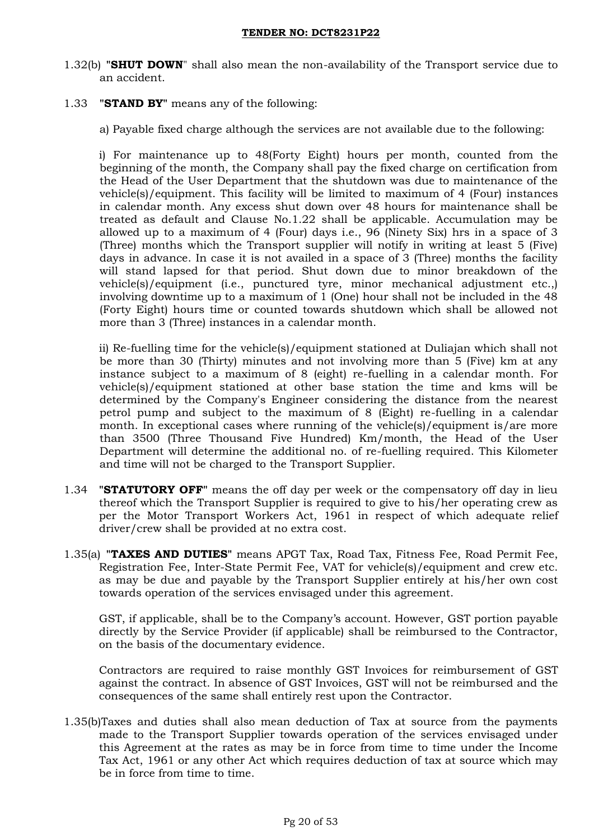- 1.32(b) **"SHUT DOWN**" shall also mean the non-availability of the Transport service due to an accident.
- 1.33 **"STAND BY"** means any of the following:
	- a) Payable fixed charge although the services are not available due to the following:

i) For maintenance up to 48(Forty Eight) hours per month, counted from the beginning of the month, the Company shall pay the fixed charge on certification from the Head of the User Department that the shutdown was due to maintenance of the vehicle(s)/equipment. This facility will be limited to maximum of 4 (Four) instances in calendar month. Any excess shut down over 48 hours for maintenance shall be treated as default and Clause No.1.22 shall be applicable. Accumulation may be allowed up to a maximum of 4 (Four) days i.e., 96 (Ninety Six) hrs in a space of 3 (Three) months which the Transport supplier will notify in writing at least 5 (Five) days in advance. In case it is not availed in a space of 3 (Three) months the facility will stand lapsed for that period. Shut down due to minor breakdown of the vehicle(s)/equipment (i.e., punctured tyre, minor mechanical adjustment etc.,) involving downtime up to a maximum of 1 (One) hour shall not be included in the 48 (Forty Eight) hours time or counted towards shutdown which shall be allowed not more than 3 (Three) instances in a calendar month.

ii) Re-fuelling time for the vehicle(s)/equipment stationed at Duliajan which shall not be more than 30 (Thirty) minutes and not involving more than 5 (Five) km at any instance subject to a maximum of 8 (eight) re-fuelling in a calendar month. For vehicle(s)/equipment stationed at other base station the time and kms will be determined by the Company's Engineer considering the distance from the nearest petrol pump and subject to the maximum of 8 (Eight) re-fuelling in a calendar month. In exceptional cases where running of the vehicle(s)/equipment is/are more than 3500 (Three Thousand Five Hundred) Km/month, the Head of the User Department will determine the additional no. of re-fuelling required. This Kilometer and time will not be charged to the Transport Supplier.

- 1.34 **"STATUTORY OFF"** means the off day per week or the compensatory off day in lieu thereof which the Transport Supplier is required to give to his/her operating crew as per the Motor Transport Workers Act, 1961 in respect of which adequate relief driver/crew shall be provided at no extra cost.
- 1.35(a) **"TAXES AND DUTIES"** means APGT Tax, Road Tax, Fitness Fee, Road Permit Fee, Registration Fee, Inter-State Permit Fee, VAT for vehicle(s)/equipment and crew etc. as may be due and payable by the Transport Supplier entirely at his/her own cost towards operation of the services envisaged under this agreement.

GST, if applicable, shall be to the Company's account. However, GST portion payable directly by the Service Provider (if applicable) shall be reimbursed to the Contractor, on the basis of the documentary evidence.

Contractors are required to raise monthly GST Invoices for reimbursement of GST against the contract. In absence of GST Invoices, GST will not be reimbursed and the consequences of the same shall entirely rest upon the Contractor.

1.35(b)Taxes and duties shall also mean deduction of Tax at source from the payments made to the Transport Supplier towards operation of the services envisaged under this Agreement at the rates as may be in force from time to time under the Income Tax Act, 1961 or any other Act which requires deduction of tax at source which may be in force from time to time.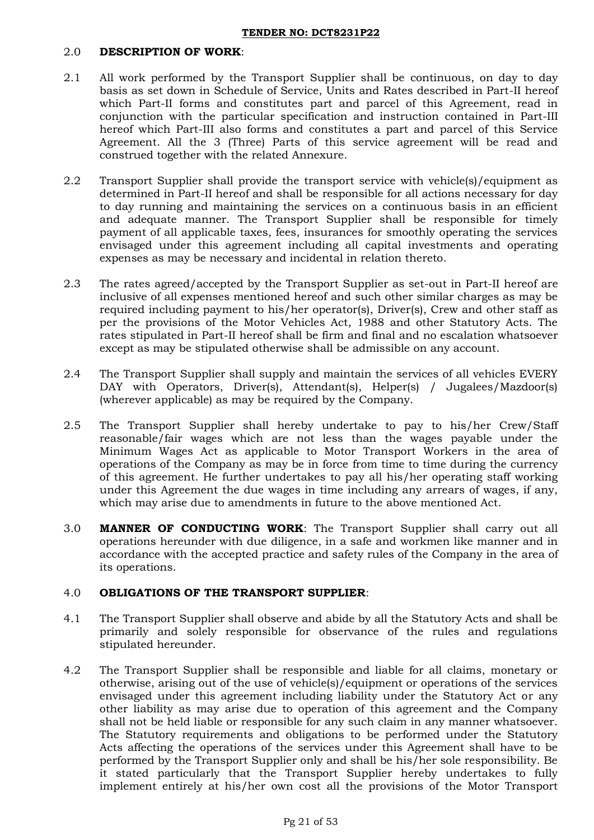## 2.0 **DESCRIPTION OF WORK**:

- 2.1 All work performed by the Transport Supplier shall be continuous, on day to day basis as set down in Schedule of Service, Units and Rates described in Part-II hereof which Part-II forms and constitutes part and parcel of this Agreement, read in conjunction with the particular specification and instruction contained in Part-III hereof which Part-III also forms and constitutes a part and parcel of this Service Agreement. All the 3 (Three) Parts of this service agreement will be read and construed together with the related Annexure.
- 2.2 Transport Supplier shall provide the transport service with vehicle(s)/equipment as determined in Part-II hereof and shall be responsible for all actions necessary for day to day running and maintaining the services on a continuous basis in an efficient and adequate manner. The Transport Supplier shall be responsible for timely payment of all applicable taxes, fees, insurances for smoothly operating the services envisaged under this agreement including all capital investments and operating expenses as may be necessary and incidental in relation thereto.
- 2.3 The rates agreed/accepted by the Transport Supplier as set-out in Part-II hereof are inclusive of all expenses mentioned hereof and such other similar charges as may be required including payment to his/her operator(s), Driver(s), Crew and other staff as per the provisions of the Motor Vehicles Act, 1988 and other Statutory Acts. The rates stipulated in Part-II hereof shall be firm and final and no escalation whatsoever except as may be stipulated otherwise shall be admissible on any account.
- 2.4 The Transport Supplier shall supply and maintain the services of all vehicles EVERY DAY with Operators, Driver(s), Attendant(s), Helper(s) / Jugalees/Mazdoor(s) (wherever applicable) as may be required by the Company.
- 2.5 The Transport Supplier shall hereby undertake to pay to his/her Crew/Staff reasonable/fair wages which are not less than the wages payable under the Minimum Wages Act as applicable to Motor Transport Workers in the area of operations of the Company as may be in force from time to time during the currency of this agreement. He further undertakes to pay all his/her operating staff working under this Agreement the due wages in time including any arrears of wages, if any, which may arise due to amendments in future to the above mentioned Act.
- 3.0 **MANNER OF CONDUCTING WORK**: The Transport Supplier shall carry out all operations hereunder with due diligence, in a safe and workmen like manner and in accordance with the accepted practice and safety rules of the Company in the area of its operations.

## 4.0 **OBLIGATIONS OF THE TRANSPORT SUPPLIER**:

- 4.1 The Transport Supplier shall observe and abide by all the Statutory Acts and shall be primarily and solely responsible for observance of the rules and regulations stipulated hereunder.
- 4.2 The Transport Supplier shall be responsible and liable for all claims, monetary or otherwise, arising out of the use of vehicle(s)/equipment or operations of the services envisaged under this agreement including liability under the Statutory Act or any other liability as may arise due to operation of this agreement and the Company shall not be held liable or responsible for any such claim in any manner whatsoever. The Statutory requirements and obligations to be performed under the Statutory Acts affecting the operations of the services under this Agreement shall have to be performed by the Transport Supplier only and shall be his/her sole responsibility. Be it stated particularly that the Transport Supplier hereby undertakes to fully implement entirely at his/her own cost all the provisions of the Motor Transport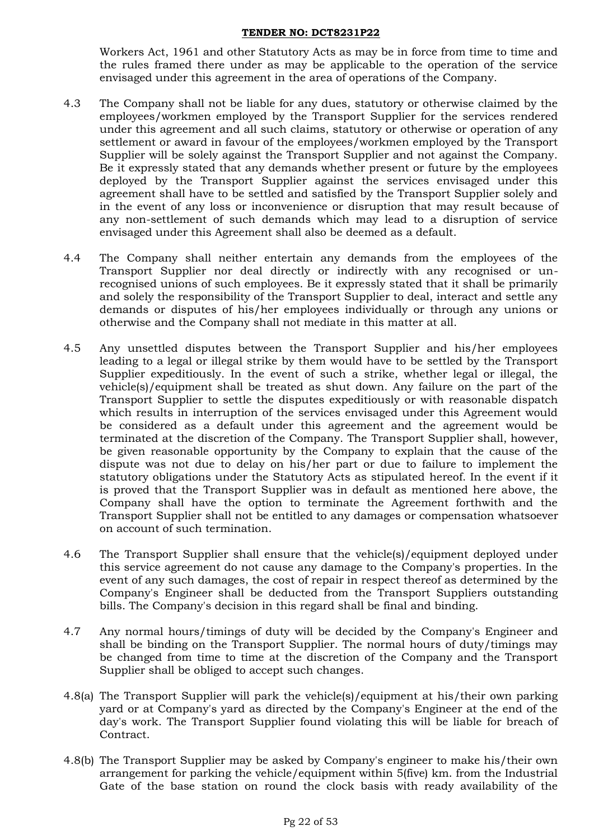Workers Act, 1961 and other Statutory Acts as may be in force from time to time and the rules framed there under as may be applicable to the operation of the service envisaged under this agreement in the area of operations of the Company.

- 4.3 The Company shall not be liable for any dues, statutory or otherwise claimed by the employees/workmen employed by the Transport Supplier for the services rendered under this agreement and all such claims, statutory or otherwise or operation of any settlement or award in favour of the employees/workmen employed by the Transport Supplier will be solely against the Transport Supplier and not against the Company. Be it expressly stated that any demands whether present or future by the employees deployed by the Transport Supplier against the services envisaged under this agreement shall have to be settled and satisfied by the Transport Supplier solely and in the event of any loss or inconvenience or disruption that may result because of any non-settlement of such demands which may lead to a disruption of service envisaged under this Agreement shall also be deemed as a default.
- 4.4 The Company shall neither entertain any demands from the employees of the Transport Supplier nor deal directly or indirectly with any recognised or unrecognised unions of such employees. Be it expressly stated that it shall be primarily and solely the responsibility of the Transport Supplier to deal, interact and settle any demands or disputes of his/her employees individually or through any unions or otherwise and the Company shall not mediate in this matter at all.
- 4.5 Any unsettled disputes between the Transport Supplier and his/her employees leading to a legal or illegal strike by them would have to be settled by the Transport Supplier expeditiously. In the event of such a strike, whether legal or illegal, the vehicle(s)/equipment shall be treated as shut down. Any failure on the part of the Transport Supplier to settle the disputes expeditiously or with reasonable dispatch which results in interruption of the services envisaged under this Agreement would be considered as a default under this agreement and the agreement would be terminated at the discretion of the Company. The Transport Supplier shall, however, be given reasonable opportunity by the Company to explain that the cause of the dispute was not due to delay on his/her part or due to failure to implement the statutory obligations under the Statutory Acts as stipulated hereof. In the event if it is proved that the Transport Supplier was in default as mentioned here above, the Company shall have the option to terminate the Agreement forthwith and the Transport Supplier shall not be entitled to any damages or compensation whatsoever on account of such termination.
- 4.6 The Transport Supplier shall ensure that the vehicle(s)/equipment deployed under this service agreement do not cause any damage to the Company's properties. In the event of any such damages, the cost of repair in respect thereof as determined by the Company's Engineer shall be deducted from the Transport Suppliers outstanding bills. The Company's decision in this regard shall be final and binding.
- 4.7 Any normal hours/timings of duty will be decided by the Company's Engineer and shall be binding on the Transport Supplier. The normal hours of duty/timings may be changed from time to time at the discretion of the Company and the Transport Supplier shall be obliged to accept such changes.
- 4.8(a) The Transport Supplier will park the vehicle(s)/equipment at his/their own parking yard or at Company's yard as directed by the Company's Engineer at the end of the day's work. The Transport Supplier found violating this will be liable for breach of Contract.
- 4.8(b) The Transport Supplier may be asked by Company's engineer to make his/their own arrangement for parking the vehicle/equipment within 5(five) km. from the Industrial Gate of the base station on round the clock basis with ready availability of the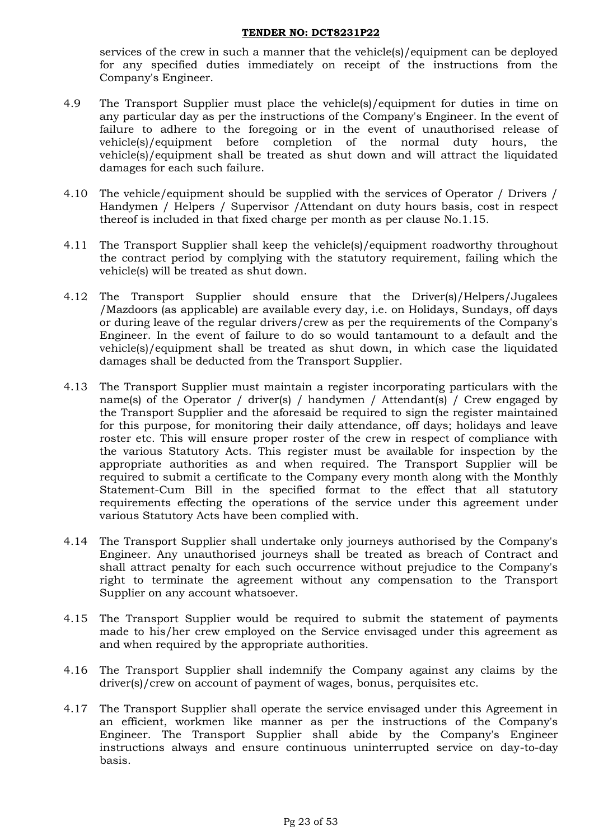services of the crew in such a manner that the vehicle(s)/equipment can be deployed for any specified duties immediately on receipt of the instructions from the Company's Engineer.

- 4.9 The Transport Supplier must place the vehicle(s)/equipment for duties in time on any particular day as per the instructions of the Company's Engineer. In the event of failure to adhere to the foregoing or in the event of unauthorised release of vehicle(s)/equipment before completion of the normal duty hours, the vehicle(s)/equipment shall be treated as shut down and will attract the liquidated damages for each such failure.
- 4.10 The vehicle/equipment should be supplied with the services of Operator / Drivers / Handymen / Helpers / Supervisor /Attendant on duty hours basis, cost in respect thereof is included in that fixed charge per month as per clause No.1.15.
- 4.11 The Transport Supplier shall keep the vehicle(s)/equipment roadworthy throughout the contract period by complying with the statutory requirement, failing which the vehicle(s) will be treated as shut down.
- 4.12 The Transport Supplier should ensure that the Driver(s)/Helpers/Jugalees /Mazdoors (as applicable) are available every day, i.e. on Holidays, Sundays, off days or during leave of the regular drivers/crew as per the requirements of the Company's Engineer. In the event of failure to do so would tantamount to a default and the vehicle(s)/equipment shall be treated as shut down, in which case the liquidated damages shall be deducted from the Transport Supplier.
- 4.13 The Transport Supplier must maintain a register incorporating particulars with the name(s) of the Operator / driver(s) / handymen / Attendant(s) / Crew engaged by the Transport Supplier and the aforesaid be required to sign the register maintained for this purpose, for monitoring their daily attendance, off days; holidays and leave roster etc. This will ensure proper roster of the crew in respect of compliance with the various Statutory Acts. This register must be available for inspection by the appropriate authorities as and when required. The Transport Supplier will be required to submit a certificate to the Company every month along with the Monthly Statement-Cum Bill in the specified format to the effect that all statutory requirements effecting the operations of the service under this agreement under various Statutory Acts have been complied with.
- 4.14 The Transport Supplier shall undertake only journeys authorised by the Company's Engineer. Any unauthorised journeys shall be treated as breach of Contract and shall attract penalty for each such occurrence without prejudice to the Company's right to terminate the agreement without any compensation to the Transport Supplier on any account whatsoever.
- 4.15 The Transport Supplier would be required to submit the statement of payments made to his/her crew employed on the Service envisaged under this agreement as and when required by the appropriate authorities.
- 4.16 The Transport Supplier shall indemnify the Company against any claims by the driver(s)/crew on account of payment of wages, bonus, perquisites etc.
- 4.17 The Transport Supplier shall operate the service envisaged under this Agreement in an efficient, workmen like manner as per the instructions of the Company's Engineer. The Transport Supplier shall abide by the Company's Engineer instructions always and ensure continuous uninterrupted service on day-to-day basis.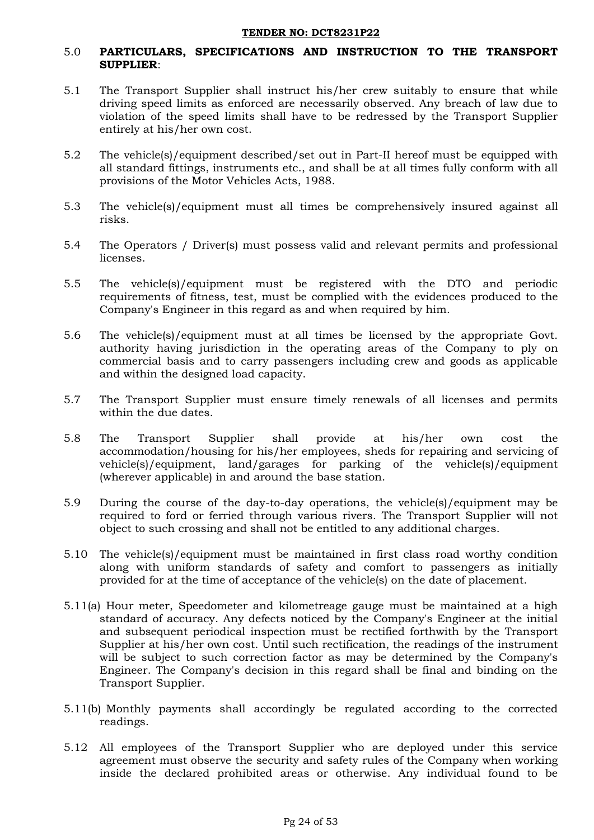## 5.0 **PARTICULARS, SPECIFICATIONS AND INSTRUCTION TO THE TRANSPORT SUPPLIER**:

- 5.1 The Transport Supplier shall instruct his/her crew suitably to ensure that while driving speed limits as enforced are necessarily observed. Any breach of law due to violation of the speed limits shall have to be redressed by the Transport Supplier entirely at his/her own cost.
- 5.2 The vehicle(s)/equipment described/set out in Part-II hereof must be equipped with all standard fittings, instruments etc., and shall be at all times fully conform with all provisions of the Motor Vehicles Acts, 1988.
- 5.3 The vehicle(s)/equipment must all times be comprehensively insured against all risks.
- 5.4 The Operators / Driver(s) must possess valid and relevant permits and professional licenses.
- 5.5 The vehicle(s)/equipment must be registered with the DTO and periodic requirements of fitness, test, must be complied with the evidences produced to the Company's Engineer in this regard as and when required by him.
- 5.6 The vehicle(s)/equipment must at all times be licensed by the appropriate Govt. authority having jurisdiction in the operating areas of the Company to ply on commercial basis and to carry passengers including crew and goods as applicable and within the designed load capacity.
- 5.7 The Transport Supplier must ensure timely renewals of all licenses and permits within the due dates.
- 5.8 The Transport Supplier shall provide at his/her own cost the accommodation/housing for his/her employees, sheds for repairing and servicing of vehicle(s)/equipment, land/garages for parking of the vehicle(s)/equipment (wherever applicable) in and around the base station.
- 5.9 During the course of the day-to-day operations, the vehicle(s)/equipment may be required to ford or ferried through various rivers. The Transport Supplier will not object to such crossing and shall not be entitled to any additional charges.
- 5.10 The vehicle(s)/equipment must be maintained in first class road worthy condition along with uniform standards of safety and comfort to passengers as initially provided for at the time of acceptance of the vehicle(s) on the date of placement.
- 5.11(a) Hour meter, Speedometer and kilometreage gauge must be maintained at a high standard of accuracy. Any defects noticed by the Company's Engineer at the initial and subsequent periodical inspection must be rectified forthwith by the Transport Supplier at his/her own cost. Until such rectification, the readings of the instrument will be subject to such correction factor as may be determined by the Company's Engineer. The Company's decision in this regard shall be final and binding on the Transport Supplier.
- 5.11(b) Monthly payments shall accordingly be regulated according to the corrected readings.
- 5.12 All employees of the Transport Supplier who are deployed under this service agreement must observe the security and safety rules of the Company when working inside the declared prohibited areas or otherwise. Any individual found to be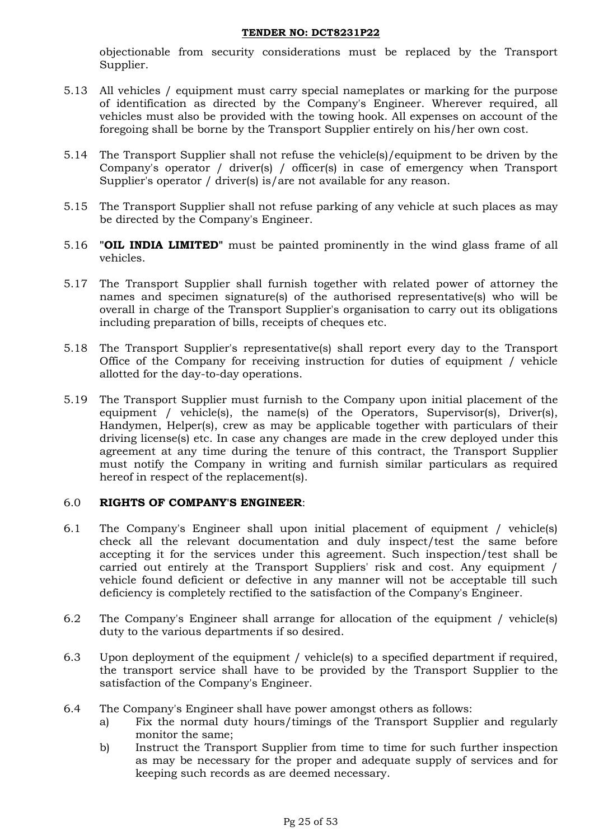objectionable from security considerations must be replaced by the Transport Supplier.

- 5.13 All vehicles / equipment must carry special nameplates or marking for the purpose of identification as directed by the Company's Engineer. Wherever required, all vehicles must also be provided with the towing hook. All expenses on account of the foregoing shall be borne by the Transport Supplier entirely on his/her own cost.
- 5.14 The Transport Supplier shall not refuse the vehicle(s)/equipment to be driven by the Company's operator / driver(s) / officer(s) in case of emergency when Transport Supplier's operator / driver(s) is/are not available for any reason.
- 5.15 The Transport Supplier shall not refuse parking of any vehicle at such places as may be directed by the Company's Engineer.
- 5.16 **"OIL INDIA LIMITED"** must be painted prominently in the wind glass frame of all vehicles.
- 5.17 The Transport Supplier shall furnish together with related power of attorney the names and specimen signature(s) of the authorised representative(s) who will be overall in charge of the Transport Supplier's organisation to carry out its obligations including preparation of bills, receipts of cheques etc.
- 5.18 The Transport Supplier's representative(s) shall report every day to the Transport Office of the Company for receiving instruction for duties of equipment / vehicle allotted for the day-to-day operations.
- 5.19 The Transport Supplier must furnish to the Company upon initial placement of the equipment / vehicle(s), the name(s) of the Operators, Supervisor(s), Driver(s), Handymen, Helper(s), crew as may be applicable together with particulars of their driving license(s) etc. In case any changes are made in the crew deployed under this agreement at any time during the tenure of this contract, the Transport Supplier must notify the Company in writing and furnish similar particulars as required hereof in respect of the replacement(s).

## 6.0 **RIGHTS OF COMPANY'S ENGINEER**:

- 6.1 The Company's Engineer shall upon initial placement of equipment / vehicle(s) check all the relevant documentation and duly inspect/test the same before accepting it for the services under this agreement. Such inspection/test shall be carried out entirely at the Transport Suppliers' risk and cost. Any equipment / vehicle found deficient or defective in any manner will not be acceptable till such deficiency is completely rectified to the satisfaction of the Company's Engineer.
- 6.2 The Company's Engineer shall arrange for allocation of the equipment / vehicle(s) duty to the various departments if so desired.
- 6.3 Upon deployment of the equipment / vehicle(s) to a specified department if required, the transport service shall have to be provided by the Transport Supplier to the satisfaction of the Company's Engineer.
- 6.4 The Company's Engineer shall have power amongst others as follows:
	- a) Fix the normal duty hours/timings of the Transport Supplier and regularly monitor the same;
	- b) Instruct the Transport Supplier from time to time for such further inspection as may be necessary for the proper and adequate supply of services and for keeping such records as are deemed necessary.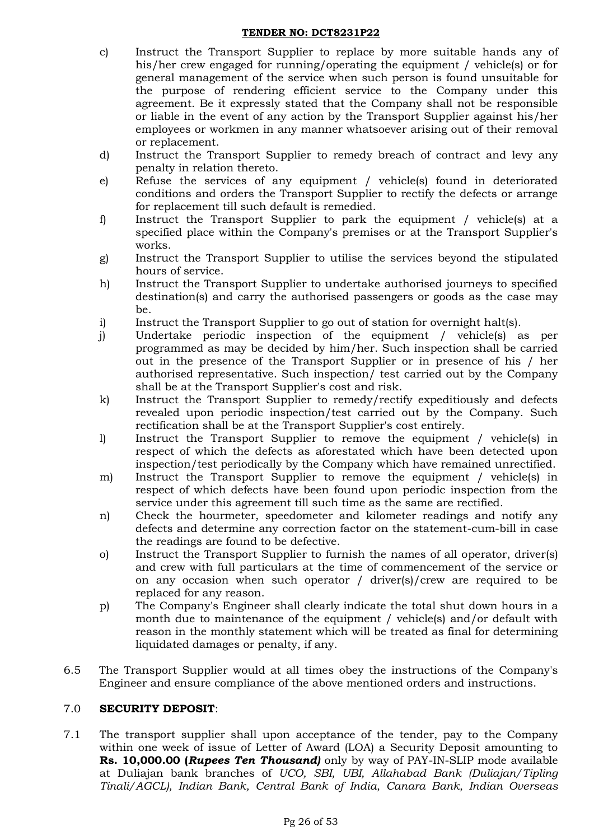- c) Instruct the Transport Supplier to replace by more suitable hands any of his/her crew engaged for running/operating the equipment / vehicle(s) or for general management of the service when such person is found unsuitable for the purpose of rendering efficient service to the Company under this agreement. Be it expressly stated that the Company shall not be responsible or liable in the event of any action by the Transport Supplier against his/her employees or workmen in any manner whatsoever arising out of their removal or replacement.
- d) Instruct the Transport Supplier to remedy breach of contract and levy any penalty in relation thereto.
- e) Refuse the services of any equipment / vehicle(s) found in deteriorated conditions and orders the Transport Supplier to rectify the defects or arrange for replacement till such default is remedied.
- f) Instruct the Transport Supplier to park the equipment / vehicle(s) at a specified place within the Company's premises or at the Transport Supplier's works.
- g) Instruct the Transport Supplier to utilise the services beyond the stipulated hours of service.
- h) Instruct the Transport Supplier to undertake authorised journeys to specified destination(s) and carry the authorised passengers or goods as the case may be.
- i) Instruct the Transport Supplier to go out of station for overnight halt(s).
- j) Undertake periodic inspection of the equipment / vehicle(s) as per programmed as may be decided by him/her. Such inspection shall be carried out in the presence of the Transport Supplier or in presence of his / her authorised representative. Such inspection/ test carried out by the Company shall be at the Transport Supplier's cost and risk.
- k) Instruct the Transport Supplier to remedy/rectify expeditiously and defects revealed upon periodic inspection/test carried out by the Company. Such rectification shall be at the Transport Supplier's cost entirely.
- l) Instruct the Transport Supplier to remove the equipment / vehicle(s) in respect of which the defects as aforestated which have been detected upon inspection/test periodically by the Company which have remained unrectified.
- m) Instruct the Transport Supplier to remove the equipment / vehicle(s) in respect of which defects have been found upon periodic inspection from the service under this agreement till such time as the same are rectified.
- n) Check the hourmeter, speedometer and kilometer readings and notify any defects and determine any correction factor on the statement-cum-bill in case the readings are found to be defective.
- o) Instruct the Transport Supplier to furnish the names of all operator, driver(s) and crew with full particulars at the time of commencement of the service or on any occasion when such operator / driver(s)/crew are required to be replaced for any reason.
- p) The Company's Engineer shall clearly indicate the total shut down hours in a month due to maintenance of the equipment / vehicle(s) and/or default with reason in the monthly statement which will be treated as final for determining liquidated damages or penalty, if any.
- 6.5 The Transport Supplier would at all times obey the instructions of the Company's Engineer and ensure compliance of the above mentioned orders and instructions.

# 7.0 **SECURITY DEPOSIT**:

7.1 The transport supplier shall upon acceptance of the tender, pay to the Company within one week of issue of Letter of Award (LOA) a Security Deposit amounting to **Rs. 10,000.00 (***Rupees Ten Thousand)* only by way of PAY-IN-SLIP mode available at Duliajan bank branches of *UCO, SBI, UBI, Allahabad Bank (Duliajan/Tipling Tinali/AGCL), Indian Bank, Central Bank of India, Canara Bank, Indian Overseas*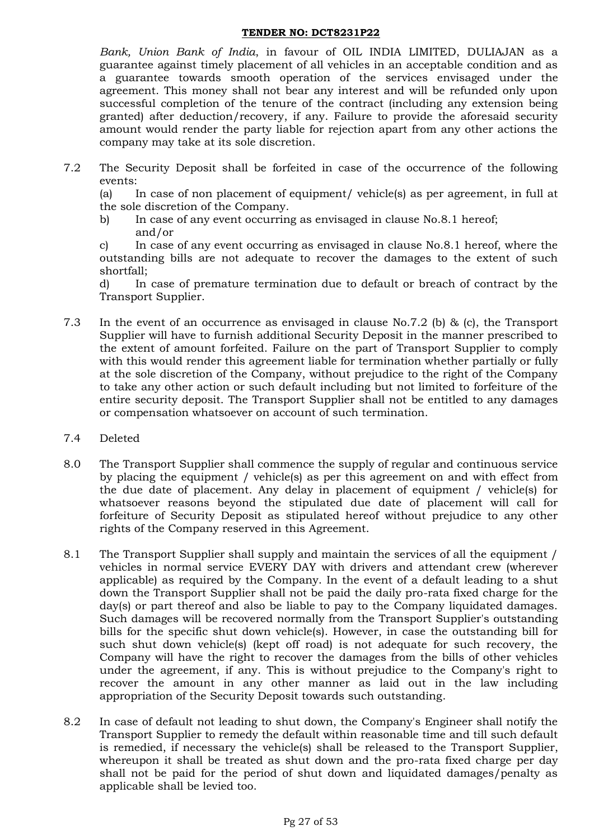*Bank, Union Bank of India*, in favour of OIL INDIA LIMITED, DULIAJAN as a guarantee against timely placement of all vehicles in an acceptable condition and as a guarantee towards smooth operation of the services envisaged under the agreement. This money shall not bear any interest and will be refunded only upon successful completion of the tenure of the contract (including any extension being granted) after deduction/recovery, if any. Failure to provide the aforesaid security amount would render the party liable for rejection apart from any other actions the company may take at its sole discretion.

7.2 The Security Deposit shall be forfeited in case of the occurrence of the following events:

(a) In case of non placement of equipment/ vehicle(s) as per agreement, in full at the sole discretion of the Company.

b) In case of any event occurring as envisaged in clause No.8.1 hereof; and/or

c) In case of any event occurring as envisaged in clause No.8.1 hereof, where the outstanding bills are not adequate to recover the damages to the extent of such shortfall;

d) In case of premature termination due to default or breach of contract by the Transport Supplier.

- 7.3 In the event of an occurrence as envisaged in clause No.7.2 (b) & (c), the Transport Supplier will have to furnish additional Security Deposit in the manner prescribed to the extent of amount forfeited. Failure on the part of Transport Supplier to comply with this would render this agreement liable for termination whether partially or fully at the sole discretion of the Company, without prejudice to the right of the Company to take any other action or such default including but not limited to forfeiture of the entire security deposit. The Transport Supplier shall not be entitled to any damages or compensation whatsoever on account of such termination.
- 7.4 Deleted
- 8.0 The Transport Supplier shall commence the supply of regular and continuous service by placing the equipment / vehicle(s) as per this agreement on and with effect from the due date of placement. Any delay in placement of equipment / vehicle(s) for whatsoever reasons beyond the stipulated due date of placement will call for forfeiture of Security Deposit as stipulated hereof without prejudice to any other rights of the Company reserved in this Agreement.
- 8.1 The Transport Supplier shall supply and maintain the services of all the equipment / vehicles in normal service EVERY DAY with drivers and attendant crew (wherever applicable) as required by the Company. In the event of a default leading to a shut down the Transport Supplier shall not be paid the daily pro-rata fixed charge for the day(s) or part thereof and also be liable to pay to the Company liquidated damages. Such damages will be recovered normally from the Transport Supplier's outstanding bills for the specific shut down vehicle(s). However, in case the outstanding bill for such shut down vehicle(s) (kept off road) is not adequate for such recovery, the Company will have the right to recover the damages from the bills of other vehicles under the agreement, if any. This is without prejudice to the Company's right to recover the amount in any other manner as laid out in the law including appropriation of the Security Deposit towards such outstanding.
- 8.2 In case of default not leading to shut down, the Company's Engineer shall notify the Transport Supplier to remedy the default within reasonable time and till such default is remedied, if necessary the vehicle(s) shall be released to the Transport Supplier, whereupon it shall be treated as shut down and the pro-rata fixed charge per day shall not be paid for the period of shut down and liquidated damages/penalty as applicable shall be levied too.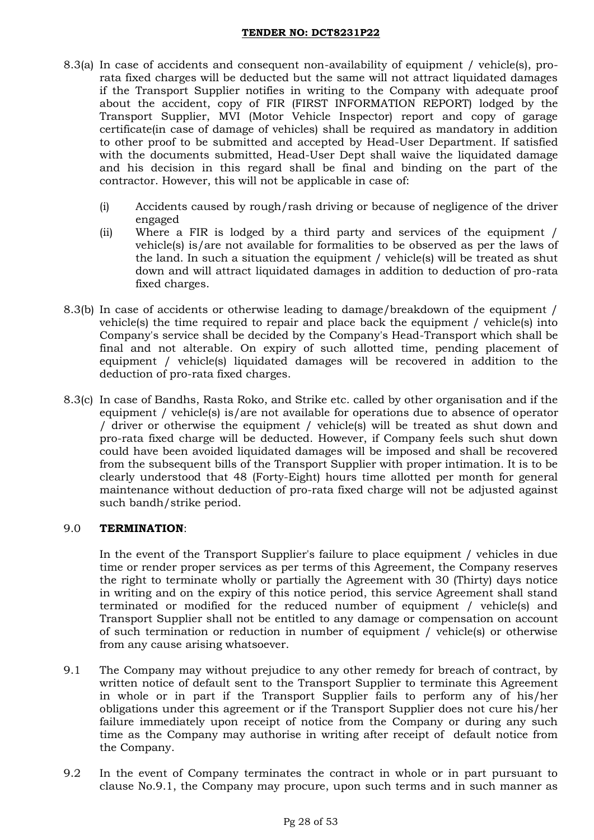- 8.3(a) In case of accidents and consequent non-availability of equipment / vehicle(s), prorata fixed charges will be deducted but the same will not attract liquidated damages if the Transport Supplier notifies in writing to the Company with adequate proof about the accident, copy of FIR (FIRST INFORMATION REPORT) lodged by the Transport Supplier, MVI (Motor Vehicle Inspector) report and copy of garage certificate(in case of damage of vehicles) shall be required as mandatory in addition to other proof to be submitted and accepted by Head-User Department. If satisfied with the documents submitted, Head-User Dept shall waive the liquidated damage and his decision in this regard shall be final and binding on the part of the contractor. However, this will not be applicable in case of:
	- (i) Accidents caused by rough/rash driving or because of negligence of the driver engaged
	- (ii) Where a FIR is lodged by a third party and services of the equipment / vehicle(s) is/are not available for formalities to be observed as per the laws of the land. In such a situation the equipment / vehicle(s) will be treated as shut down and will attract liquidated damages in addition to deduction of pro-rata fixed charges.
- 8.3(b) In case of accidents or otherwise leading to damage/breakdown of the equipment / vehicle(s) the time required to repair and place back the equipment / vehicle(s) into Company's service shall be decided by the Company's Head-Transport which shall be final and not alterable. On expiry of such allotted time, pending placement of equipment / vehicle(s) liquidated damages will be recovered in addition to the deduction of pro-rata fixed charges.
- 8.3(c) In case of Bandhs, Rasta Roko, and Strike etc. called by other organisation and if the equipment / vehicle(s) is/are not available for operations due to absence of operator / driver or otherwise the equipment / vehicle(s) will be treated as shut down and pro-rata fixed charge will be deducted. However, if Company feels such shut down could have been avoided liquidated damages will be imposed and shall be recovered from the subsequent bills of the Transport Supplier with proper intimation. It is to be clearly understood that 48 (Forty-Eight) hours time allotted per month for general maintenance without deduction of pro-rata fixed charge will not be adjusted against such bandh/strike period.

## 9.0 **TERMINATION**:

In the event of the Transport Supplier's failure to place equipment / vehicles in due time or render proper services as per terms of this Agreement, the Company reserves the right to terminate wholly or partially the Agreement with 30 (Thirty) days notice in writing and on the expiry of this notice period, this service Agreement shall stand terminated or modified for the reduced number of equipment / vehicle(s) and Transport Supplier shall not be entitled to any damage or compensation on account of such termination or reduction in number of equipment / vehicle(s) or otherwise from any cause arising whatsoever.

- 9.1 The Company may without prejudice to any other remedy for breach of contract, by written notice of default sent to the Transport Supplier to terminate this Agreement in whole or in part if the Transport Supplier fails to perform any of his/her obligations under this agreement or if the Transport Supplier does not cure his/her failure immediately upon receipt of notice from the Company or during any such time as the Company may authorise in writing after receipt of default notice from the Company.
- 9.2 In the event of Company terminates the contract in whole or in part pursuant to clause No.9.1, the Company may procure, upon such terms and in such manner as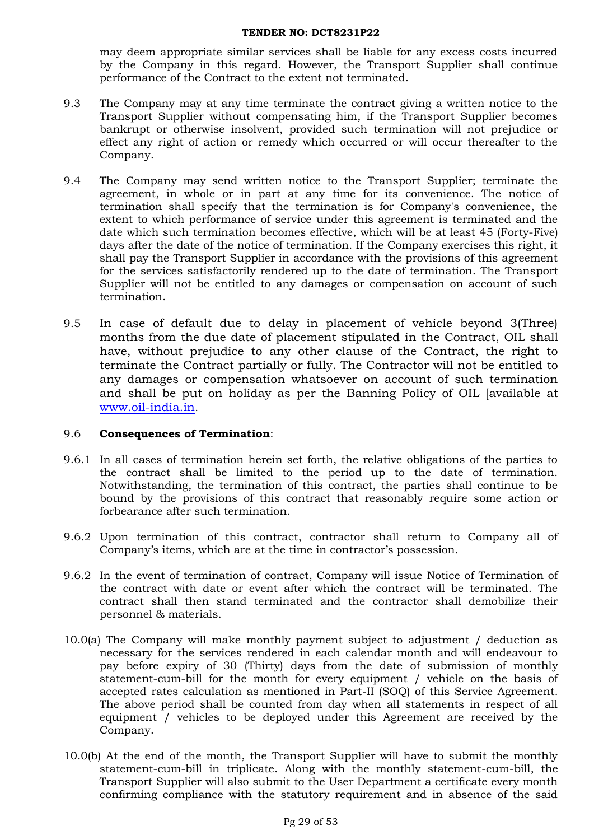may deem appropriate similar services shall be liable for any excess costs incurred by the Company in this regard. However, the Transport Supplier shall continue performance of the Contract to the extent not terminated.

- 9.3 The Company may at any time terminate the contract giving a written notice to the Transport Supplier without compensating him, if the Transport Supplier becomes bankrupt or otherwise insolvent, provided such termination will not prejudice or effect any right of action or remedy which occurred or will occur thereafter to the Company.
- 9.4 The Company may send written notice to the Transport Supplier; terminate the agreement, in whole or in part at any time for its convenience. The notice of termination shall specify that the termination is for Company's convenience, the extent to which performance of service under this agreement is terminated and the date which such termination becomes effective, which will be at least 45 (Forty-Five) days after the date of the notice of termination. If the Company exercises this right, it shall pay the Transport Supplier in accordance with the provisions of this agreement for the services satisfactorily rendered up to the date of termination. The Transport Supplier will not be entitled to any damages or compensation on account of such termination.
- 9.5 In case of default due to delay in placement of vehicle beyond 3(Three) months from the due date of placement stipulated in the Contract, OIL shall have, without prejudice to any other clause of the Contract, the right to terminate the Contract partially or fully. The Contractor will not be entitled to any damages or compensation whatsoever on account of such termination and shall be put on holiday as per the Banning Policy of OIL [available at [www.oil-india.in](https://ind01.safelinks.protection.outlook.com/?url=http%3A%2F%2Fwww.oil-india.in%2F&data=04%7C01%7Cnj_saikia%40oilindia.in%7C09bee7af5cf24878af7208d924a2e64a%7Ce31a7fb602724369aa63b1e02fa1144d%7C1%7C0%7C637581104329026304%7CUnknown%7CTWFpbGZsb3d8eyJWIjoiMC4wLjAwMDAiLCJQIjoiV2luMzIiLCJBTiI6Ik1haWwiLCJXVCI6Mn0%3D%7C1000&sdata=D%2BqM9tIDE4xK12eMHJUQ4hZRWTA8u%2F05wKPr3pr1eb8%3D&reserved=0).

## 9.6 **Consequences of Termination**:

- 9.6.1 In all cases of termination herein set forth, the relative obligations of the parties to the contract shall be limited to the period up to the date of termination. Notwithstanding, the termination of this contract, the parties shall continue to be bound by the provisions of this contract that reasonably require some action or forbearance after such termination.
- 9.6.2 Upon termination of this contract, contractor shall return to Company all of Company's items, which are at the time in contractor's possession.
- 9.6.2 In the event of termination of contract, Company will issue Notice of Termination of the contract with date or event after which the contract will be terminated. The contract shall then stand terminated and the contractor shall demobilize their personnel & materials.
- 10.0(a) The Company will make monthly payment subject to adjustment / deduction as necessary for the services rendered in each calendar month and will endeavour to pay before expiry of 30 (Thirty) days from the date of submission of monthly statement-cum-bill for the month for every equipment / vehicle on the basis of accepted rates calculation as mentioned in Part-II (SOQ) of this Service Agreement. The above period shall be counted from day when all statements in respect of all equipment / vehicles to be deployed under this Agreement are received by the Company.
- 10.0(b) At the end of the month, the Transport Supplier will have to submit the monthly statement-cum-bill in triplicate. Along with the monthly statement-cum-bill, the Transport Supplier will also submit to the User Department a certificate every month confirming compliance with the statutory requirement and in absence of the said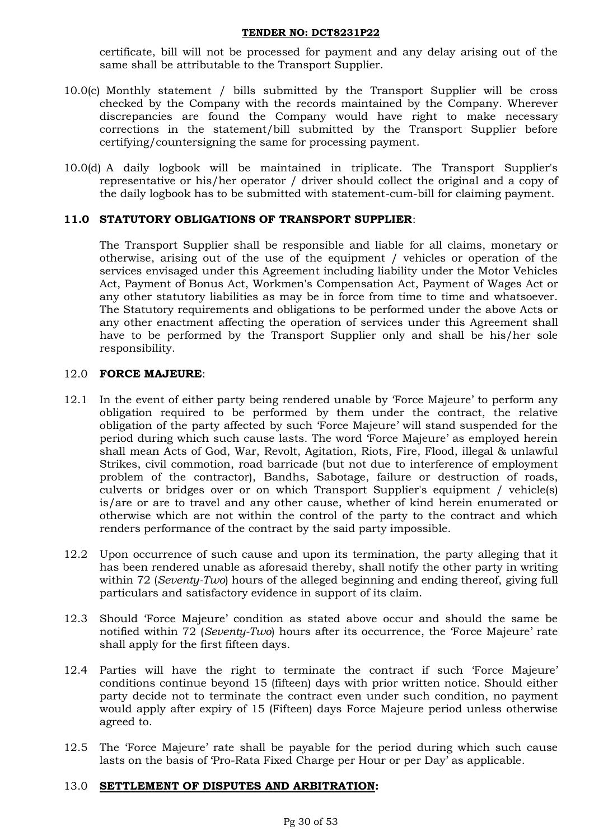certificate, bill will not be processed for payment and any delay arising out of the same shall be attributable to the Transport Supplier.

- 10.0(c) Monthly statement / bills submitted by the Transport Supplier will be cross checked by the Company with the records maintained by the Company. Wherever discrepancies are found the Company would have right to make necessary corrections in the statement/bill submitted by the Transport Supplier before certifying/countersigning the same for processing payment.
- 10.0(d) A daily logbook will be maintained in triplicate. The Transport Supplier's representative or his/her operator / driver should collect the original and a copy of the daily logbook has to be submitted with statement-cum-bill for claiming payment.

# **11.0 STATUTORY OBLIGATIONS OF TRANSPORT SUPPLIER**:

The Transport Supplier shall be responsible and liable for all claims, monetary or otherwise, arising out of the use of the equipment / vehicles or operation of the services envisaged under this Agreement including liability under the Motor Vehicles Act, Payment of Bonus Act, Workmen's Compensation Act, Payment of Wages Act or any other statutory liabilities as may be in force from time to time and whatsoever. The Statutory requirements and obligations to be performed under the above Acts or any other enactment affecting the operation of services under this Agreement shall have to be performed by the Transport Supplier only and shall be his/her sole responsibility.

## 12.0 **FORCE MAJEURE**:

- 12.1 In the event of either party being rendered unable by 'Force Majeure' to perform any obligation required to be performed by them under the contract, the relative obligation of the party affected by such 'Force Majeure' will stand suspended for the period during which such cause lasts. The word 'Force Majeure' as employed herein shall mean Acts of God, War, Revolt, Agitation, Riots, Fire, Flood, illegal & unlawful Strikes, civil commotion, road barricade (but not due to interference of employment problem of the contractor), Bandhs, Sabotage, failure or destruction of roads, culverts or bridges over or on which Transport Supplier's equipment / vehicle(s) is/are or are to travel and any other cause, whether of kind herein enumerated or otherwise which are not within the control of the party to the contract and which renders performance of the contract by the said party impossible.
- 12.2 Upon occurrence of such cause and upon its termination, the party alleging that it has been rendered unable as aforesaid thereby, shall notify the other party in writing within 72 (*Seventy-Two*) hours of the alleged beginning and ending thereof, giving full particulars and satisfactory evidence in support of its claim.
- 12.3 Should 'Force Majeure' condition as stated above occur and should the same be notified within 72 (*Seventy-Two*) hours after its occurrence, the 'Force Majeure' rate shall apply for the first fifteen days.
- 12.4 Parties will have the right to terminate the contract if such 'Force Majeure' conditions continue beyond 15 (fifteen) days with prior written notice. Should either party decide not to terminate the contract even under such condition, no payment would apply after expiry of 15 (Fifteen) days Force Majeure period unless otherwise agreed to.
- 12.5 The 'Force Majeure' rate shall be payable for the period during which such cause lasts on the basis of 'Pro-Rata Fixed Charge per Hour or per Day' as applicable.

## 13.0 **SETTLEMENT OF DISPUTES AND ARBITRATION:**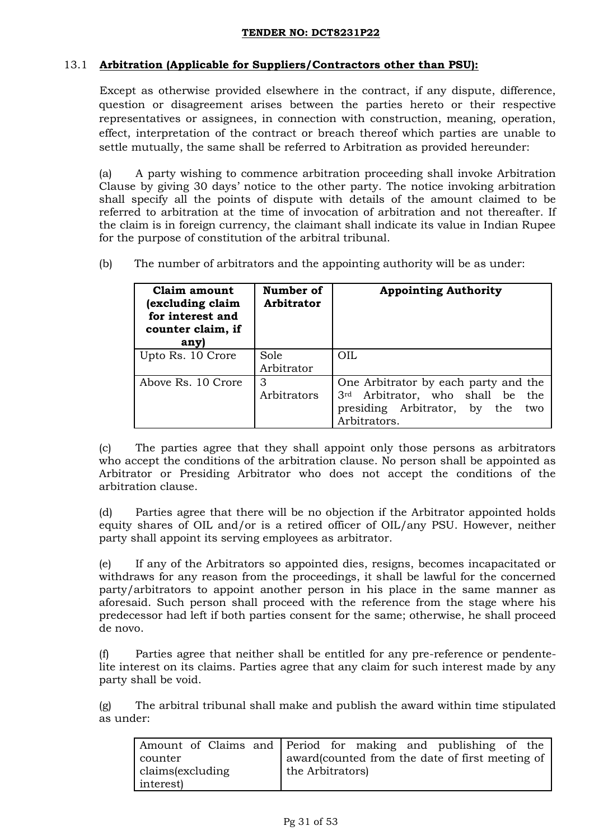# 13.1 **Arbitration (Applicable for Suppliers/Contractors other than PSU):**

Except as otherwise provided elsewhere in the contract, if any dispute, difference, question or disagreement arises between the parties hereto or their respective representatives or assignees, in connection with construction, meaning, operation, effect, interpretation of the contract or breach thereof which parties are unable to settle mutually, the same shall be referred to Arbitration as provided hereunder:

(a) A party wishing to commence arbitration proceeding shall invoke Arbitration Clause by giving 30 days' notice to the other party. The notice invoking arbitration shall specify all the points of dispute with details of the amount claimed to be referred to arbitration at the time of invocation of arbitration and not thereafter. If the claim is in foreign currency, the claimant shall indicate its value in Indian Rupee for the purpose of constitution of the arbitral tribunal.

(b) The number of arbitrators and the appointing authority will be as under:

| Claim amount<br>excluding claim<br>for interest and<br>counter claim, if<br>any) | Number of<br><b>Arbitrator</b> | <b>Appointing Authority</b>                                                                                                     |
|----------------------------------------------------------------------------------|--------------------------------|---------------------------------------------------------------------------------------------------------------------------------|
| Upto Rs. 10 Crore                                                                | Sole<br>Arbitrator             | OIL.                                                                                                                            |
| Above Rs. 10 Crore                                                               | 3<br>Arbitrators               | One Arbitrator by each party and the<br>3rd Arbitrator, who shall be the<br>presiding Arbitrator, by the<br>two<br>Arbitrators. |

(c) The parties agree that they shall appoint only those persons as arbitrators who accept the conditions of the arbitration clause. No person shall be appointed as Arbitrator or Presiding Arbitrator who does not accept the conditions of the arbitration clause.

(d) Parties agree that there will be no objection if the Arbitrator appointed holds equity shares of OIL and/or is a retired officer of OIL/any PSU. However, neither party shall appoint its serving employees as arbitrator.

(e) If any of the Arbitrators so appointed dies, resigns, becomes incapacitated or withdraws for any reason from the proceedings, it shall be lawful for the concerned party/arbitrators to appoint another person in his place in the same manner as aforesaid. Such person shall proceed with the reference from the stage where his predecessor had left if both parties consent for the same; otherwise, he shall proceed de novo.

(f) Parties agree that neither shall be entitled for any pre-reference or pendentelite interest on its claims. Parties agree that any claim for such interest made by any party shall be void.

(g) The arbitral tribunal shall make and publish the award within time stipulated as under:

|                  | Amount of Claims and Period for making and publishing of the |
|------------------|--------------------------------------------------------------|
| counter          | award(counted from the date of first meeting of              |
| claims(excluding | the Arbitrators)                                             |
| interest)        |                                                              |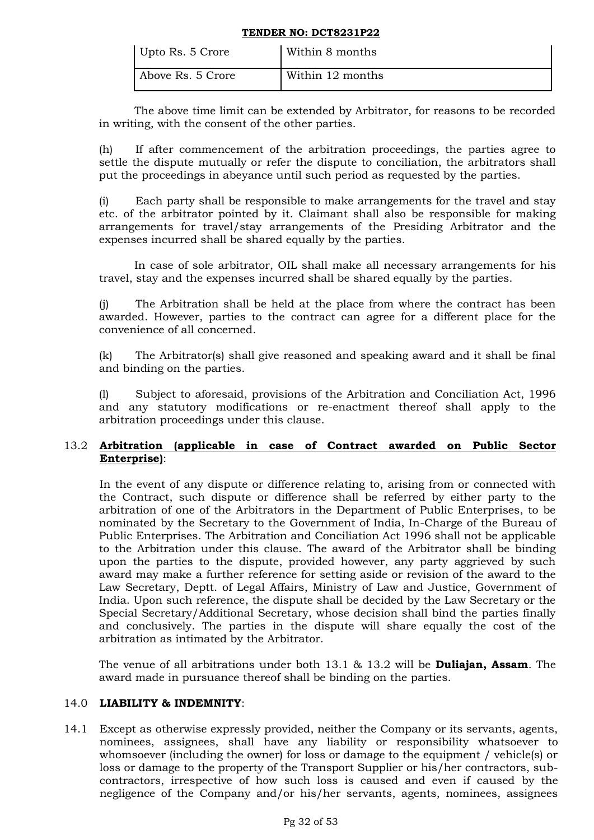| Upto Rs. 5 Crore  | Within 8 months  |
|-------------------|------------------|
| Above Rs. 5 Crore | Within 12 months |

The above time limit can be extended by Arbitrator, for reasons to be recorded in writing, with the consent of the other parties.

(h) If after commencement of the arbitration proceedings, the parties agree to settle the dispute mutually or refer the dispute to conciliation, the arbitrators shall put the proceedings in abeyance until such period as requested by the parties.

(i) Each party shall be responsible to make arrangements for the travel and stay etc. of the arbitrator pointed by it. Claimant shall also be responsible for making arrangements for travel/stay arrangements of the Presiding Arbitrator and the expenses incurred shall be shared equally by the parties.

In case of sole arbitrator, OIL shall make all necessary arrangements for his travel, stay and the expenses incurred shall be shared equally by the parties.

(j) The Arbitration shall be held at the place from where the contract has been awarded. However, parties to the contract can agree for a different place for the convenience of all concerned.

(k) The Arbitrator(s) shall give reasoned and speaking award and it shall be final and binding on the parties.

(l) Subject to aforesaid, provisions of the Arbitration and Conciliation Act, 1996 and any statutory modifications or re-enactment thereof shall apply to the arbitration proceedings under this clause.

# 13.2 **Arbitration (applicable in case of Contract awarded on Public Sector Enterprise)**:

In the event of any dispute or difference relating to, arising from or connected with the Contract, such dispute or difference shall be referred by either party to the arbitration of one of the Arbitrators in the Department of Public Enterprises, to be nominated by the Secretary to the Government of India, In-Charge of the Bureau of Public Enterprises. The Arbitration and Conciliation Act 1996 shall not be applicable to the Arbitration under this clause. The award of the Arbitrator shall be binding upon the parties to the dispute, provided however, any party aggrieved by such award may make a further reference for setting aside or revision of the award to the Law Secretary, Deptt. of Legal Affairs, Ministry of Law and Justice, Government of India. Upon such reference, the dispute shall be decided by the Law Secretary or the Special Secretary/Additional Secretary, whose decision shall bind the parties finally and conclusively. The parties in the dispute will share equally the cost of the arbitration as intimated by the Arbitrator.

The venue of all arbitrations under both 13.1 & 13.2 will be **Duliajan, Assam**. The award made in pursuance thereof shall be binding on the parties.

## 14.0 **LIABILITY & INDEMNITY**:

14.1 Except as otherwise expressly provided, neither the Company or its servants, agents, nominees, assignees, shall have any liability or responsibility whatsoever to whomsoever (including the owner) for loss or damage to the equipment / vehicle(s) or loss or damage to the property of the Transport Supplier or his/her contractors, subcontractors, irrespective of how such loss is caused and even if caused by the negligence of the Company and/or his/her servants, agents, nominees, assignees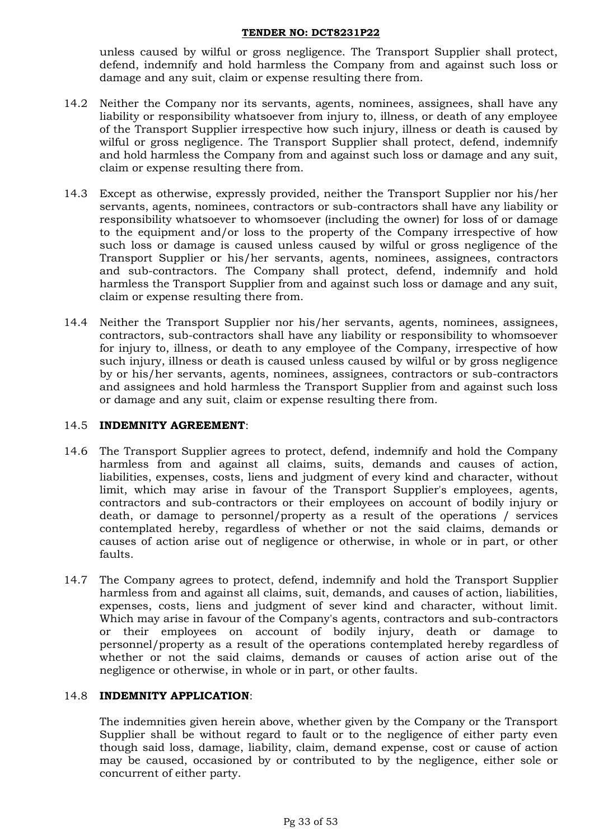unless caused by wilful or gross negligence. The Transport Supplier shall protect, defend, indemnify and hold harmless the Company from and against such loss or damage and any suit, claim or expense resulting there from.

- 14.2 Neither the Company nor its servants, agents, nominees, assignees, shall have any liability or responsibility whatsoever from injury to, illness, or death of any employee of the Transport Supplier irrespective how such injury, illness or death is caused by wilful or gross negligence. The Transport Supplier shall protect, defend, indemnify and hold harmless the Company from and against such loss or damage and any suit, claim or expense resulting there from.
- 14.3 Except as otherwise, expressly provided, neither the Transport Supplier nor his/her servants, agents, nominees, contractors or sub-contractors shall have any liability or responsibility whatsoever to whomsoever (including the owner) for loss of or damage to the equipment and/or loss to the property of the Company irrespective of how such loss or damage is caused unless caused by wilful or gross negligence of the Transport Supplier or his/her servants, agents, nominees, assignees, contractors and sub-contractors. The Company shall protect, defend, indemnify and hold harmless the Transport Supplier from and against such loss or damage and any suit, claim or expense resulting there from.
- 14.4 Neither the Transport Supplier nor his/her servants, agents, nominees, assignees, contractors, sub-contractors shall have any liability or responsibility to whomsoever for injury to, illness, or death to any employee of the Company, irrespective of how such injury, illness or death is caused unless caused by wilful or by gross negligence by or his/her servants, agents, nominees, assignees, contractors or sub-contractors and assignees and hold harmless the Transport Supplier from and against such loss or damage and any suit, claim or expense resulting there from.

## 14.5 **INDEMNITY AGREEMENT**:

- 14.6 The Transport Supplier agrees to protect, defend, indemnify and hold the Company harmless from and against all claims, suits, demands and causes of action, liabilities, expenses, costs, liens and judgment of every kind and character, without limit, which may arise in favour of the Transport Supplier's employees, agents, contractors and sub-contractors or their employees on account of bodily injury or death, or damage to personnel/property as a result of the operations / services contemplated hereby, regardless of whether or not the said claims, demands or causes of action arise out of negligence or otherwise, in whole or in part, or other faults.
- 14.7 The Company agrees to protect, defend, indemnify and hold the Transport Supplier harmless from and against all claims, suit, demands, and causes of action, liabilities, expenses, costs, liens and judgment of sever kind and character, without limit. Which may arise in favour of the Company's agents, contractors and sub-contractors or their employees on account of bodily injury, death or damage to personnel/property as a result of the operations contemplated hereby regardless of whether or not the said claims, demands or causes of action arise out of the negligence or otherwise, in whole or in part, or other faults.

## 14.8 **INDEMNITY APPLICATION**:

The indemnities given herein above, whether given by the Company or the Transport Supplier shall be without regard to fault or to the negligence of either party even though said loss, damage, liability, claim, demand expense, cost or cause of action may be caused, occasioned by or contributed to by the negligence, either sole or concurrent of either party.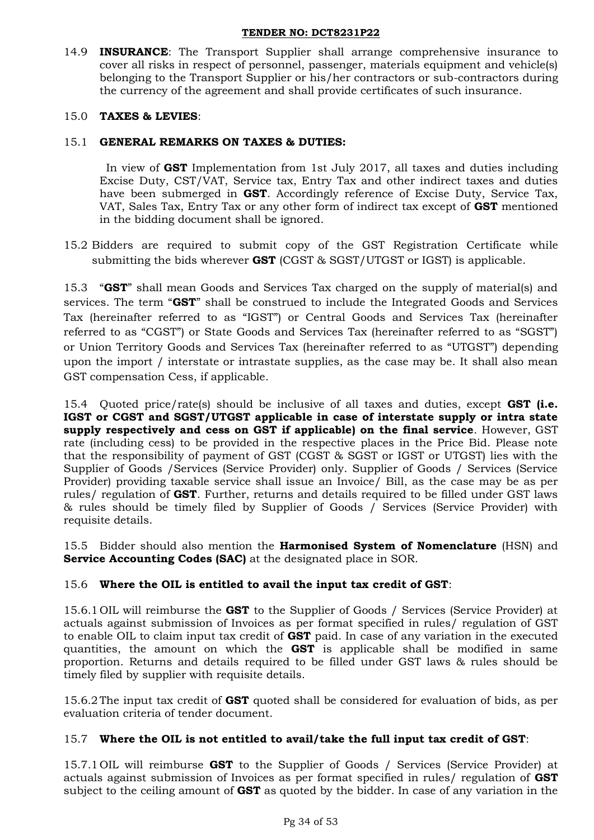14.9 **INSURANCE**: The Transport Supplier shall arrange comprehensive insurance to cover all risks in respect of personnel, passenger, materials equipment and vehicle(s) belonging to the Transport Supplier or his/her contractors or sub-contractors during the currency of the agreement and shall provide certificates of such insurance.

# 15.0 **TAXES & LEVIES**:

# 15.1 **GENERAL REMARKS ON TAXES & DUTIES:**

In view of **GST** Implementation from 1st July 2017, all taxes and duties including Excise Duty, CST/VAT, Service tax, Entry Tax and other indirect taxes and duties have been submerged in **GST**. Accordingly reference of Excise Duty, Service Tax, VAT, Sales Tax, Entry Tax or any other form of indirect tax except of **GST** mentioned in the bidding document shall be ignored.

15.2 Bidders are required to submit copy of the GST Registration Certificate while submitting the bids wherever **GST** (CGST & SGST/UTGST or IGST) is applicable.

15.3 "**GST**" shall mean Goods and Services Tax charged on the supply of material(s) and services. The term "**GST**" shall be construed to include the Integrated Goods and Services Tax (hereinafter referred to as "IGST") or Central Goods and Services Tax (hereinafter referred to as "CGST") or State Goods and Services Tax (hereinafter referred to as "SGST") or Union Territory Goods and Services Tax (hereinafter referred to as "UTGST") depending upon the import / interstate or intrastate supplies, as the case may be. It shall also mean GST compensation Cess, if applicable.

15.4 Quoted price/rate(s) should be inclusive of all taxes and duties, except **GST (i.e. IGST or CGST and SGST/UTGST applicable in case of interstate supply or intra state supply respectively and cess on GST if applicable) on the final service**. However, GST rate (including cess) to be provided in the respective places in the Price Bid. Please note that the responsibility of payment of GST (CGST & SGST or IGST or UTGST) lies with the Supplier of Goods /Services (Service Provider) only. Supplier of Goods / Services (Service Provider) providing taxable service shall issue an Invoice/ Bill, as the case may be as per rules/ regulation of **GST**. Further, returns and details required to be filled under GST laws & rules should be timely filed by Supplier of Goods / Services (Service Provider) with requisite details.

15.5 Bidder should also mention the **Harmonised System of Nomenclature** (HSN) and **Service Accounting Codes (SAC)** at the designated place in SOR.

# 15.6 **Where the OIL is entitled to avail the input tax credit of GST**:

15.6.1 OIL will reimburse the **GST** to the Supplier of Goods / Services (Service Provider) at actuals against submission of Invoices as per format specified in rules/ regulation of GST to enable OIL to claim input tax credit of **GST** paid. In case of any variation in the executed quantities, the amount on which the **GST** is applicable shall be modified in same proportion. Returns and details required to be filled under GST laws & rules should be timely filed by supplier with requisite details.

15.6.2The input tax credit of **GST** quoted shall be considered for evaluation of bids, as per evaluation criteria of tender document.

## 15.7 **Where the OIL is not entitled to avail/take the full input tax credit of GST**:

15.7.1 OIL will reimburse **GST** to the Supplier of Goods / Services (Service Provider) at actuals against submission of Invoices as per format specified in rules/ regulation of **GST** subject to the ceiling amount of **GST** as quoted by the bidder. In case of any variation in the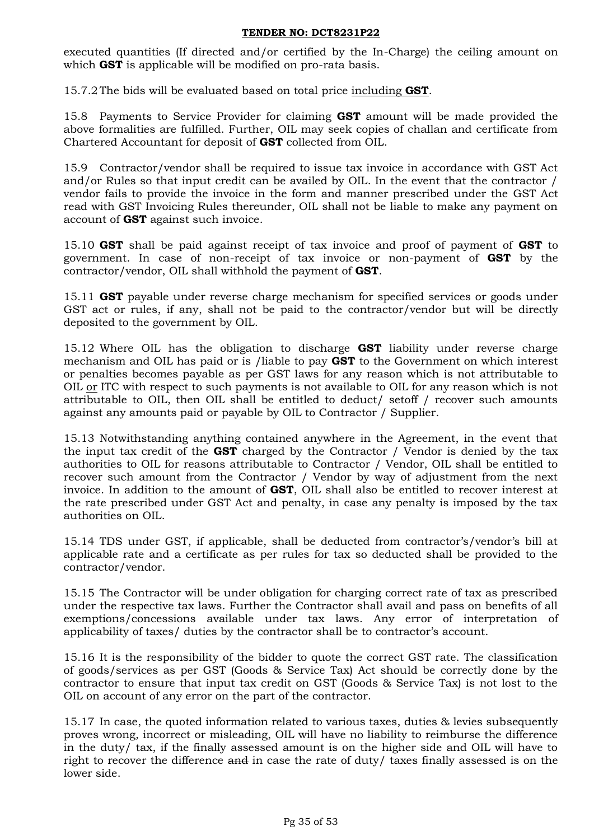executed quantities (If directed and/or certified by the In-Charge) the ceiling amount on which **GST** is applicable will be modified on pro-rata basis.

15.7.2The bids will be evaluated based on total price including **GST**.

15.8 Payments to Service Provider for claiming **GST** amount will be made provided the above formalities are fulfilled. Further, OIL may seek copies of challan and certificate from Chartered Accountant for deposit of **GST** collected from OIL.

15.9 Contractor/vendor shall be required to issue tax invoice in accordance with GST Act and/or Rules so that input credit can be availed by OIL. In the event that the contractor / vendor fails to provide the invoice in the form and manner prescribed under the GST Act read with GST Invoicing Rules thereunder, OIL shall not be liable to make any payment on account of **GST** against such invoice.

15.10 **GST** shall be paid against receipt of tax invoice and proof of payment of **GST** to government. In case of non-receipt of tax invoice or non-payment of **GST** by the contractor/vendor, OIL shall withhold the payment of **GST**.

15.11 **GST** payable under reverse charge mechanism for specified services or goods under GST act or rules, if any, shall not be paid to the contractor/vendor but will be directly deposited to the government by OIL.

15.12 Where OIL has the obligation to discharge **GST** liability under reverse charge mechanism and OIL has paid or is /liable to pay **GST** to the Government on which interest or penalties becomes payable as per GST laws for any reason which is not attributable to OIL or ITC with respect to such payments is not available to OIL for any reason which is not attributable to OIL, then OIL shall be entitled to deduct/ setoff / recover such amounts against any amounts paid or payable by OIL to Contractor / Supplier.

15.13 Notwithstanding anything contained anywhere in the Agreement, in the event that the input tax credit of the **GST** charged by the Contractor / Vendor is denied by the tax authorities to OIL for reasons attributable to Contractor / Vendor, OIL shall be entitled to recover such amount from the Contractor / Vendor by way of adjustment from the next invoice. In addition to the amount of **GST**, OIL shall also be entitled to recover interest at the rate prescribed under GST Act and penalty, in case any penalty is imposed by the tax authorities on OIL.

15.14 TDS under GST, if applicable, shall be deducted from contractor's/vendor's bill at applicable rate and a certificate as per rules for tax so deducted shall be provided to the contractor/vendor.

15.15 The Contractor will be under obligation for charging correct rate of tax as prescribed under the respective tax laws. Further the Contractor shall avail and pass on benefits of all exemptions/concessions available under tax laws. Any error of interpretation of applicability of taxes/ duties by the contractor shall be to contractor's account.

15.16 It is the responsibility of the bidder to quote the correct GST rate. The classification of goods/services as per GST (Goods & Service Tax) Act should be correctly done by the contractor to ensure that input tax credit on GST (Goods & Service Tax) is not lost to the OIL on account of any error on the part of the contractor.

15.17 In case, the quoted information related to various taxes, duties & levies subsequently proves wrong, incorrect or misleading, OIL will have no liability to reimburse the difference in the duty/ tax, if the finally assessed amount is on the higher side and OIL will have to right to recover the difference and in case the rate of duty/ taxes finally assessed is on the lower side.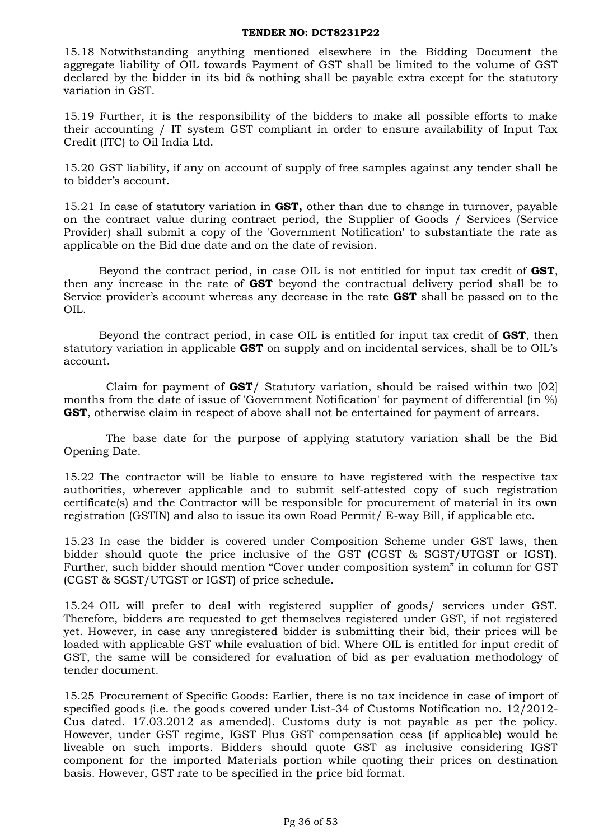15.18 Notwithstanding anything mentioned elsewhere in the Bidding Document the aggregate liability of OIL towards Payment of GST shall be limited to the volume of GST declared by the bidder in its bid & nothing shall be payable extra except for the statutory variation in GST.

15.19 Further, it is the responsibility of the bidders to make all possible efforts to make their accounting / IT system GST compliant in order to ensure availability of Input Tax Credit (ITC) to Oil India Ltd.

15.20 GST liability, if any on account of supply of free samples against any tender shall be to bidder's account.

15.21 In case of statutory variation in **GST,** other than due to change in turnover, payable on the contract value during contract period, the Supplier of Goods / Services (Service Provider) shall submit a copy of the 'Government Notification' to substantiate the rate as applicable on the Bid due date and on the date of revision.

Beyond the contract period, in case OIL is not entitled for input tax credit of **GST**, then any increase in the rate of **GST** beyond the contractual delivery period shall be to Service provider's account whereas any decrease in the rate **GST** shall be passed on to the OIL.

Beyond the contract period, in case OIL is entitled for input tax credit of **GST**, then statutory variation in applicable **GST** on supply and on incidental services, shall be to OIL's account.

Claim for payment of **GST**/ Statutory variation, should be raised within two [02] months from the date of issue of 'Government Notification' for payment of differential (in %) **GST**, otherwise claim in respect of above shall not be entertained for payment of arrears.

The base date for the purpose of applying statutory variation shall be the Bid Opening Date.

15.22 The contractor will be liable to ensure to have registered with the respective tax authorities, wherever applicable and to submit self-attested copy of such registration certificate(s) and the Contractor will be responsible for procurement of material in its own registration (GSTIN) and also to issue its own Road Permit/ E-way Bill, if applicable etc.

15.23 In case the bidder is covered under Composition Scheme under GST laws, then bidder should quote the price inclusive of the GST (CGST & SGST/UTGST or IGST). Further, such bidder should mention "Cover under composition system" in column for GST (CGST & SGST/UTGST or IGST) of price schedule.

15.24 OIL will prefer to deal with registered supplier of goods/ services under GST. Therefore, bidders are requested to get themselves registered under GST, if not registered yet. However, in case any unregistered bidder is submitting their bid, their prices will be loaded with applicable GST while evaluation of bid. Where OIL is entitled for input credit of GST, the same will be considered for evaluation of bid as per evaluation methodology of tender document.

15.25 Procurement of Specific Goods: Earlier, there is no tax incidence in case of import of specified goods (i.e. the goods covered under List-34 of Customs Notification no. 12/2012- Cus dated. 17.03.2012 as amended). Customs duty is not payable as per the policy. However, under GST regime, IGST Plus GST compensation cess (if applicable) would be liveable on such imports. Bidders should quote GST as inclusive considering IGST component for the imported Materials portion while quoting their prices on destination basis. However, GST rate to be specified in the price bid format.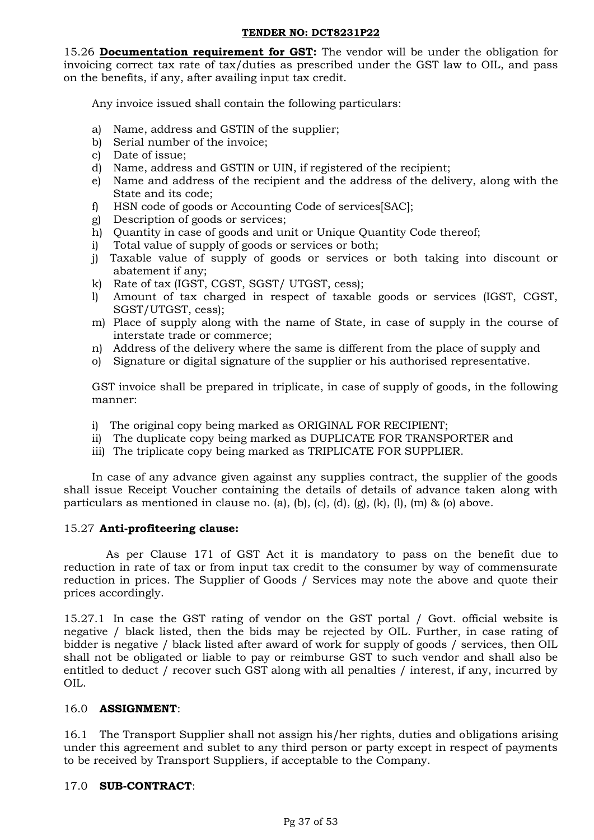15.26 **Documentation requirement for GST:** The vendor will be under the obligation for invoicing correct tax rate of tax/duties as prescribed under the GST law to OIL, and pass on the benefits, if any, after availing input tax credit.

Any invoice issued shall contain the following particulars:

- a) Name, address and GSTIN of the supplier;
- b) Serial number of the invoice;
- c) Date of issue;
- d) Name, address and GSTIN or UIN, if registered of the recipient;
- e) Name and address of the recipient and the address of the delivery, along with the State and its code;
- f) HSN code of goods or Accounting Code of services[SAC];
- g) Description of goods or services;
- h) Quantity in case of goods and unit or Unique Quantity Code thereof;
- i) Total value of supply of goods or services or both;
- j) Taxable value of supply of goods or services or both taking into discount or abatement if any;
- k) Rate of tax (IGST, CGST, SGST/ UTGST, cess);
- l) Amount of tax charged in respect of taxable goods or services (IGST, CGST, SGST/UTGST, cess);
- m) Place of supply along with the name of State, in case of supply in the course of interstate trade or commerce;
- n) Address of the delivery where the same is different from the place of supply and
- o) Signature or digital signature of the supplier or his authorised representative.

GST invoice shall be prepared in triplicate, in case of supply of goods, in the following manner:

- i) The original copy being marked as ORIGINAL FOR RECIPIENT;
- ii) The duplicate copy being marked as DUPLICATE FOR TRANSPORTER and
- iii) The triplicate copy being marked as TRIPLICATE FOR SUPPLIER.

In case of any advance given against any supplies contract, the supplier of the goods shall issue Receipt Voucher containing the details of details of advance taken along with particulars as mentioned in clause no. (a), (b), (c), (d),  $(g)$ ,  $(k)$ ,  $(l)$ ,  $(m)$  & (o) above.

## 15.27 **Anti-profiteering clause:**

As per Clause 171 of GST Act it is mandatory to pass on the benefit due to reduction in rate of tax or from input tax credit to the consumer by way of commensurate reduction in prices. The Supplier of Goods / Services may note the above and quote their prices accordingly.

15.27.1 In case the GST rating of vendor on the GST portal / Govt. official website is negative / black listed, then the bids may be rejected by OIL. Further, in case rating of bidder is negative / black listed after award of work for supply of goods / services, then OIL shall not be obligated or liable to pay or reimburse GST to such vendor and shall also be entitled to deduct / recover such GST along with all penalties / interest, if any, incurred by OIL.

## 16.0 **ASSIGNMENT**:

16.1 The Transport Supplier shall not assign his/her rights, duties and obligations arising under this agreement and sublet to any third person or party except in respect of payments to be received by Transport Suppliers, if acceptable to the Company.

## 17.0 **SUB-CONTRACT**: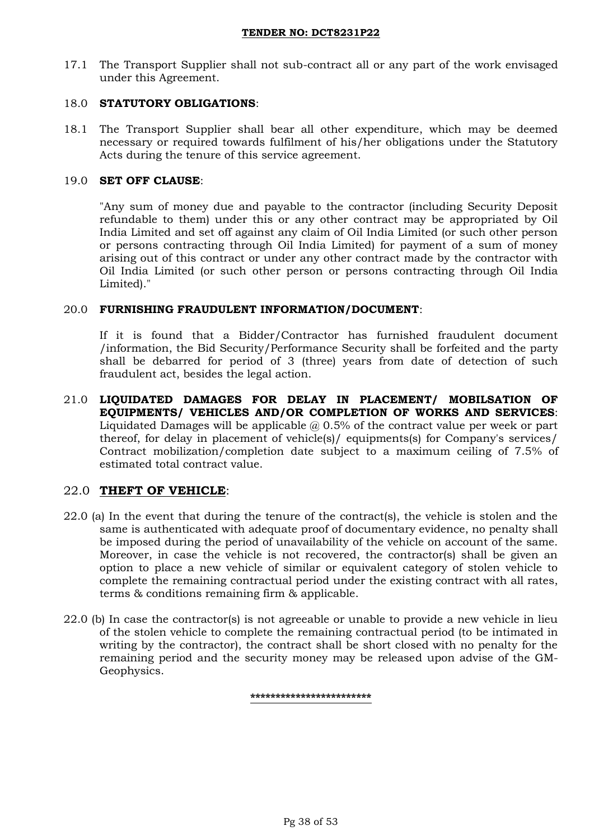17.1 The Transport Supplier shall not sub-contract all or any part of the work envisaged under this Agreement.

### 18.0 **STATUTORY OBLIGATIONS**:

18.1 The Transport Supplier shall bear all other expenditure, which may be deemed necessary or required towards fulfilment of his/her obligations under the Statutory Acts during the tenure of this service agreement.

### 19.0 **SET OFF CLAUSE**:

"Any sum of money due and payable to the contractor (including Security Deposit refundable to them) under this or any other contract may be appropriated by Oil India Limited and set off against any claim of Oil India Limited (or such other person or persons contracting through Oil India Limited) for payment of a sum of money arising out of this contract or under any other contract made by the contractor with Oil India Limited (or such other person or persons contracting through Oil India Limited)."

### 20.0 **FURNISHING FRAUDULENT INFORMATION/DOCUMENT**:

If it is found that a Bidder/Contractor has furnished fraudulent document /information, the Bid Security/Performance Security shall be forfeited and the party shall be debarred for period of 3 (three) years from date of detection of such fraudulent act, besides the legal action.

21.0 **LIQUIDATED DAMAGES FOR DELAY IN PLACEMENT/ MOBILSATION OF EQUIPMENTS/ VEHICLES AND/OR COMPLETION OF WORKS AND SERVICES**: Liquidated Damages will be applicable  $@0.5\%$  of the contract value per week or part thereof, for delay in placement of vehicle(s)/ equipments(s) for Company's services/ Contract mobilization/completion date subject to a maximum ceiling of 7.5% of estimated total contract value.

## 22.0 **THEFT OF VEHICLE**:

- 22.0 (a) In the event that during the tenure of the contract(s), the vehicle is stolen and the same is authenticated with adequate proof of documentary evidence, no penalty shall be imposed during the period of unavailability of the vehicle on account of the same. Moreover, in case the vehicle is not recovered, the contractor(s) shall be given an option to place a new vehicle of similar or equivalent category of stolen vehicle to complete the remaining contractual period under the existing contract with all rates, terms & conditions remaining firm & applicable.
- 22.0 (b) In case the contractor(s) is not agreeable or unable to provide a new vehicle in lieu of the stolen vehicle to complete the remaining contractual period (to be intimated in writing by the contractor), the contract shall be short closed with no penalty for the remaining period and the security money may be released upon advise of the GM-Geophysics.

**\*\*\*\*\*\*\*\*\*\*\*\*\*\*\*\*\*\*\*\*\*\*\*\***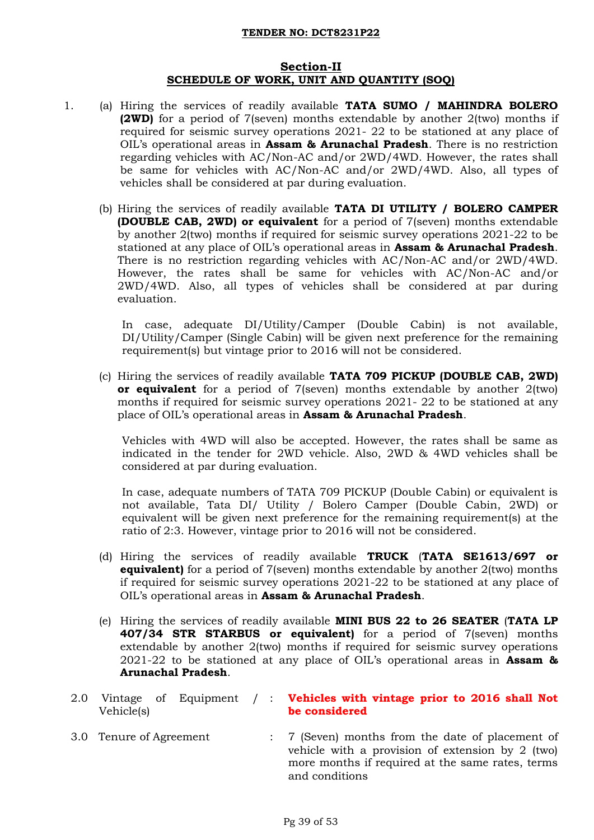## **Section-II SCHEDULE OF WORK, UNIT AND QUANTITY (SOQ)**

- 1. (a) Hiring the services of readily available **TATA SUMO / MAHINDRA BOLERO (2WD)** for a period of 7(seven) months extendable by another 2(two) months if required for seismic survey operations 2021- 22 to be stationed at any place of OIL's operational areas in **Assam & Arunachal Pradesh**. There is no restriction regarding vehicles with AC/Non-AC and/or 2WD/4WD. However, the rates shall be same for vehicles with AC/Non-AC and/or 2WD/4WD. Also, all types of vehicles shall be considered at par during evaluation.
	- (b) Hiring the services of readily available **TATA DI UTILITY / BOLERO CAMPER (DOUBLE CAB, 2WD) or equivalent** for a period of 7(seven) months extendable by another 2(two) months if required for seismic survey operations 2021-22 to be stationed at any place of OIL's operational areas in **Assam & Arunachal Pradesh**. There is no restriction regarding vehicles with AC/Non-AC and/or 2WD/4WD. However, the rates shall be same for vehicles with AC/Non-AC and/or 2WD/4WD. Also, all types of vehicles shall be considered at par during evaluation.

In case, adequate DI/Utility/Camper (Double Cabin) is not available, DI/Utility/Camper (Single Cabin) will be given next preference for the remaining requirement(s) but vintage prior to 2016 will not be considered.

(c) Hiring the services of readily available **TATA 709 PICKUP (DOUBLE CAB, 2WD) or equivalent** for a period of 7(seven) months extendable by another 2(two) months if required for seismic survey operations 2021- 22 to be stationed at any place of OIL's operational areas in **Assam & Arunachal Pradesh**.

Vehicles with 4WD will also be accepted. However, the rates shall be same as indicated in the tender for 2WD vehicle. Also, 2WD & 4WD vehicles shall be considered at par during evaluation.

In case, adequate numbers of TATA 709 PICKUP (Double Cabin) or equivalent is not available, Tata DI/ Utility / Bolero Camper (Double Cabin, 2WD) or equivalent will be given next preference for the remaining requirement(s) at the ratio of 2:3. However, vintage prior to 2016 will not be considered.

- (d) Hiring the services of readily available **TRUCK** (**TATA SE1613/697 or equivalent)** for a period of 7(seven) months extendable by another 2(two) months if required for seismic survey operations 2021-22 to be stationed at any place of OIL's operational areas in **Assam & Arunachal Pradesh**.
- (e) Hiring the services of readily available **MINI BUS 22 to 26 SEATER** (**TATA LP 407/34 STR STARBUS or equivalent)** for a period of 7(seven) months extendable by another 2(two) months if required for seismic survey operations 2021-22 to be stationed at any place of OIL's operational areas in **Assam & Arunachal Pradesh**.
- 2.0 Vintage of Equipment / : **Vehicles with vintage prior to 2016 shall Not**  Vehicle(s) **be considered**
- 3.0 Tenure of Agreement : 7 (Seven) months from the date of placement of vehicle with a provision of extension by 2 (two) more months if required at the same rates, terms and conditions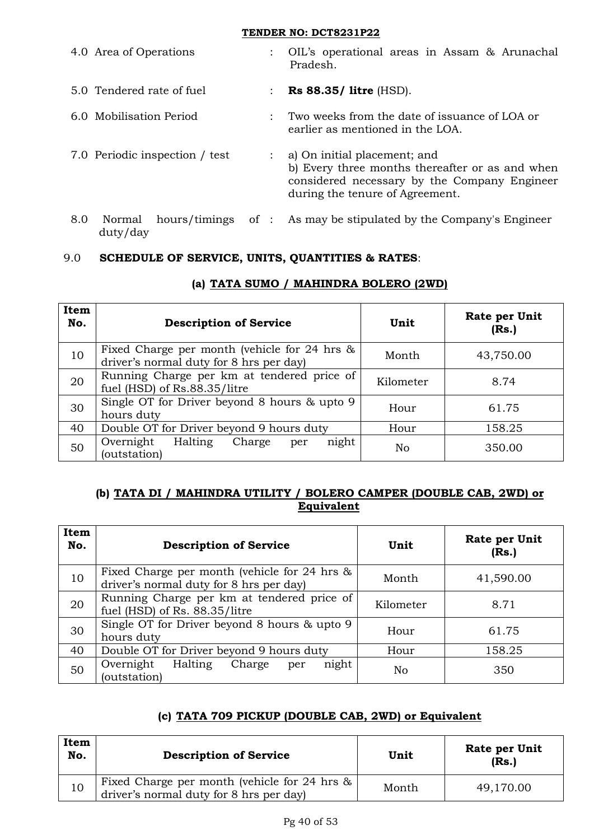|     | 4.0 Area of Operations         | $\mathcal{L}$  | OIL's operational areas in Assam & Arunachal<br>Pradesh.                                                                                                           |
|-----|--------------------------------|----------------|--------------------------------------------------------------------------------------------------------------------------------------------------------------------|
|     | 5.0 Tendered rate of fuel      | $\mathcal{L}$  | Rs $88.35/$ litre (HSD).                                                                                                                                           |
|     | 6.0 Mobilisation Period        | $\mathbb{R}^n$ | Two weeks from the date of issuance of LOA or<br>earlier as mentioned in the LOA.                                                                                  |
|     | 7.0 Periodic inspection / test |                | a) On initial placement; and<br>b) Every three months thereafter or as and when<br>considered necessary by the Company Engineer<br>during the tenure of Agreement. |
| 8.0 | Normal<br>duty/day             |                | hours/timings of : As may be stipulated by the Company's Engineer                                                                                                  |

# 9.0 **SCHEDULE OF SERVICE, UNITS, QUANTITIES & RATES**:

| Item<br>No. | <b>Description of Service</b>                                                                | Unit      | Rate per Unit<br>(Rs.) |
|-------------|----------------------------------------------------------------------------------------------|-----------|------------------------|
| 10          | Fixed Charge per month (vehicle for $24$ hrs $\&$<br>driver's normal duty for 8 hrs per day) | Month     | 43,750.00              |
| 20          | Running Charge per km at tendered price of<br>fuel (HSD) of Rs.88.35/litre                   | Kilometer | 8.74                   |
| 30          | Single OT for Driver beyond 8 hours & upto 9<br>hours duty                                   | Hour      | 61.75                  |
| 40          | Double OT for Driver beyond 9 hours duty                                                     | Hour      | 158.25                 |
| 50          | night<br>Overnight<br>Halting<br>Charge<br>per<br>(outstation)                               | No        | 350.00                 |

# **(a) TATA SUMO / MAHINDRA BOLERO (2WD)**

# **(b) TATA DI / MAHINDRA UTILITY / BOLERO CAMPER (DOUBLE CAB, 2WD) or Equivalent**

| Item<br>No. | <b>Description of Service</b>                                                                | Unit      | Rate per Unit<br>(Rs.) |
|-------------|----------------------------------------------------------------------------------------------|-----------|------------------------|
| 10          | Fixed Charge per month (vehicle for $24$ hrs $\&$<br>driver's normal duty for 8 hrs per day) | Month     | 41,590.00              |
| 20          | Running Charge per km at tendered price of<br>fuel (HSD) of Rs. 88.35/litre                  | Kilometer | 8.71                   |
| 30          | Single OT for Driver beyond 8 hours & upto 9<br>hours duty                                   | Hour      | 61.75                  |
| 40          | Double OT for Driver beyond 9 hours duty                                                     | Hour      | 158.25                 |
| 50          | Halting<br>Overnight<br>Charge<br>night<br>per<br>(outstation)                               | No        | 350                    |

# **(c) TATA 709 PICKUP (DOUBLE CAB, 2WD) or Equivalent**

| Item<br>No. | <b>Description of Service</b>                                                                | Unit  | Rate per Unit<br>(Rs.) |
|-------------|----------------------------------------------------------------------------------------------|-------|------------------------|
| 10          | Fixed Charge per month (vehicle for 24 hrs $\&$  <br>driver's normal duty for 8 hrs per day) | Month | 49,170.00              |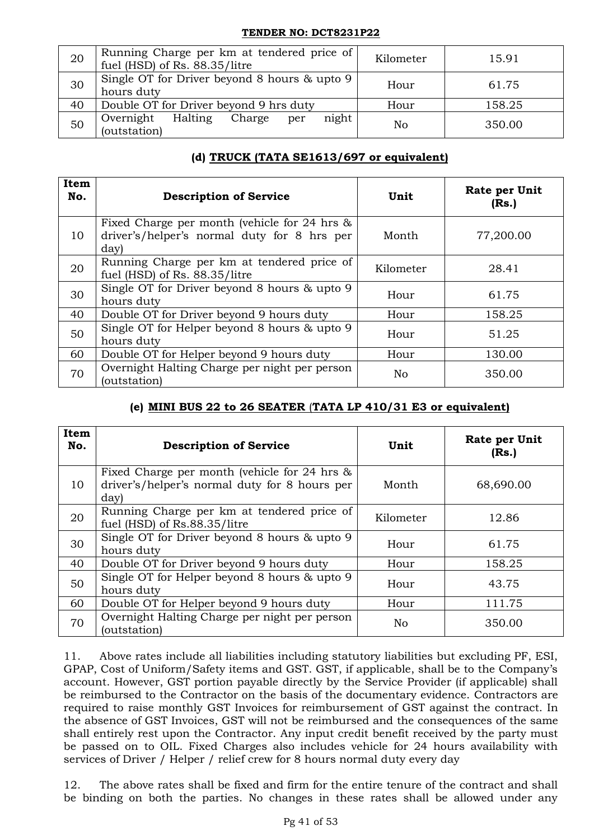| 20 | Running Charge per km at tendered price of<br>fuel (HSD) of Rs. 88.35/litre | Kilometer | 15.91  |
|----|-----------------------------------------------------------------------------|-----------|--------|
| 30 | Single OT for Driver beyond 8 hours & upto 9<br>hours duty                  | Hour      | 61.75  |
| 40 | Double OT for Driver beyond 9 hrs duty                                      | Hour      | 158.25 |
| 50 | night<br>Halting<br>Overnight<br>Charge<br>per<br>(outstation)              | No        | 350.00 |

# **(d) TRUCK (TATA SE1613/697 or equivalent)**

| Item<br>No. | <b>Description of Service</b>                                                                          | Unit           | Rate per Unit<br>(Rs.) |
|-------------|--------------------------------------------------------------------------------------------------------|----------------|------------------------|
| 10          | Fixed Charge per month (vehicle for 24 hrs $\&$<br>driver's/helper's normal duty for 8 hrs per<br>day) | Month          | 77,200.00              |
| 20          | Running Charge per km at tendered price of<br>fuel (HSD) of Rs. 88.35/litre                            | Kilometer      | 28.41                  |
| 30          | Single OT for Driver beyond 8 hours & upto 9<br>hours duty                                             | Hour           | 61.75                  |
| 40          | Double OT for Driver beyond 9 hours duty                                                               | Hour           | 158.25                 |
| 50          | Single OT for Helper beyond 8 hours & upto 9<br>hours duty                                             | Hour           | 51.25                  |
| 60          | Double OT for Helper beyond 9 hours duty                                                               | Hour           | 130.00                 |
| 70          | Overnight Halting Charge per night per person<br>(outstation)                                          | N <sub>o</sub> | 350.00                 |

# **(e) MINI BUS 22 to 26 SEATER** (**TATA LP 410/31 E3 or equivalent)**

| Item<br>No. | <b>Description of Service</b>                                                                            | Unit           | Rate per Unit<br>(Rs.) |
|-------------|----------------------------------------------------------------------------------------------------------|----------------|------------------------|
| 10          | Fixed Charge per month (vehicle for 24 hrs $\&$<br>driver's/helper's normal duty for 8 hours per<br>day) | Month          | 68,690.00              |
| 20          | Running Charge per km at tendered price of<br>fuel (HSD) of Rs.88.35/litre                               | Kilometer      | 12.86                  |
| 30          | Single OT for Driver beyond 8 hours & upto 9<br>hours duty                                               | Hour           | 61.75                  |
| 40          | Double OT for Driver beyond 9 hours duty                                                                 | Hour           | 158.25                 |
| 50          | Single OT for Helper beyond 8 hours & upto 9<br>hours duty                                               | Hour           | 43.75                  |
| 60          | Double OT for Helper beyond 9 hours duty                                                                 | Hour           | 111.75                 |
| 70          | Overnight Halting Charge per night per person<br>(outstation)                                            | N <sub>o</sub> | 350.00                 |

11. Above rates include all liabilities including statutory liabilities but excluding PF, ESI, GPAP, Cost of Uniform/Safety items and GST. GST, if applicable, shall be to the Company's account. However, GST portion payable directly by the Service Provider (if applicable) shall be reimbursed to the Contractor on the basis of the documentary evidence. Contractors are required to raise monthly GST Invoices for reimbursement of GST against the contract. In the absence of GST Invoices, GST will not be reimbursed and the consequences of the same shall entirely rest upon the Contractor. Any input credit benefit received by the party must be passed on to OIL. Fixed Charges also includes vehicle for 24 hours availability with services of Driver / Helper / relief crew for 8 hours normal duty every day

12. The above rates shall be fixed and firm for the entire tenure of the contract and shall be binding on both the parties. No changes in these rates shall be allowed under any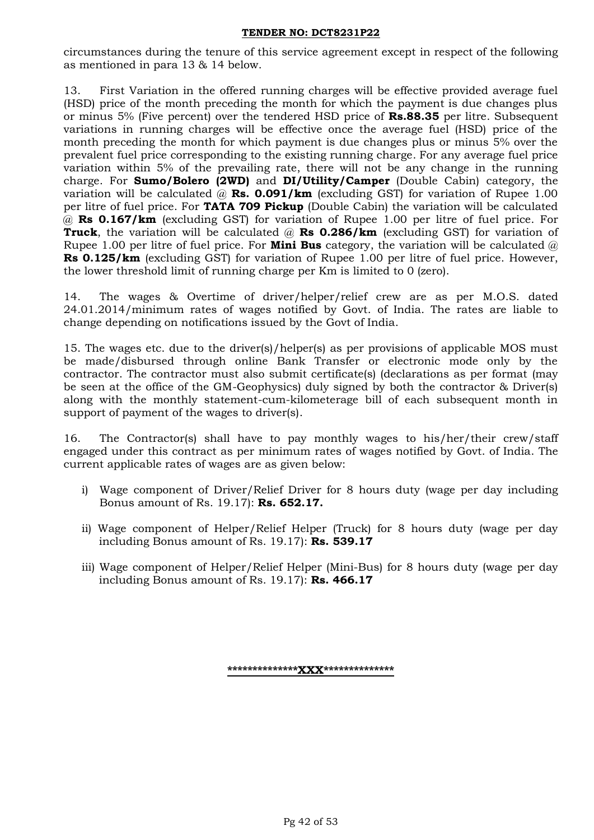circumstances during the tenure of this service agreement except in respect of the following as mentioned in para 13 & 14 below.

13. First Variation in the offered running charges will be effective provided average fuel (HSD) price of the month preceding the month for which the payment is due changes plus or minus 5% (Five percent) over the tendered HSD price of **Rs.88.35** per litre. Subsequent variations in running charges will be effective once the average fuel (HSD) price of the month preceding the month for which payment is due changes plus or minus 5% over the prevalent fuel price corresponding to the existing running charge. For any average fuel price variation within 5% of the prevailing rate, there will not be any change in the running charge. For **Sumo/Bolero (2WD)** and **DI/Utility/Camper** (Double Cabin) category, the variation will be calculated @ **Rs. 0.091/km** (excluding GST) for variation of Rupee 1.00 per litre of fuel price. For **TATA 709 Pickup** (Double Cabin) the variation will be calculated @ **Rs 0.167/km** (excluding GST) for variation of Rupee 1.00 per litre of fuel price. For **Truck**, the variation will be calculated @ **Rs 0.286/km** (excluding GST) for variation of Rupee 1.00 per litre of fuel price. For **Mini Bus** category, the variation will be calculated @ **Rs 0.125/km** (excluding GST) for variation of Rupee 1.00 per litre of fuel price. However, the lower threshold limit of running charge per Km is limited to 0 (zero).

14. The wages & Overtime of driver/helper/relief crew are as per M.O.S. dated 24.01.2014/minimum rates of wages notified by Govt. of India. The rates are liable to change depending on notifications issued by the Govt of India.

15. The wages etc. due to the driver(s)/helper(s) as per provisions of applicable MOS must be made/disbursed through online Bank Transfer or electronic mode only by the contractor. The contractor must also submit certificate(s) (declarations as per format (may be seen at the office of the GM-Geophysics) duly signed by both the contractor & Driver(s) along with the monthly statement-cum-kilometerage bill of each subsequent month in support of payment of the wages to driver(s).

16. The Contractor(s) shall have to pay monthly wages to his/her/their crew/staff engaged under this contract as per minimum rates of wages notified by Govt. of India. The current applicable rates of wages are as given below:

- i) Wage component of Driver/Relief Driver for 8 hours duty (wage per day including Bonus amount of Rs. 19.17): **Rs. 652.17.**
- ii) Wage component of Helper/Relief Helper (Truck) for 8 hours duty (wage per day including Bonus amount of Rs. 19.17): **Rs. 539.17**
- iii) Wage component of Helper/Relief Helper (Mini-Bus) for 8 hours duty (wage per day including Bonus amount of Rs. 19.17): **Rs. 466.17**

**\*\*\*\*\*\*\*\*\*\*\*\*\*\*XXX\*\*\*\*\*\*\*\*\*\*\*\*\*\***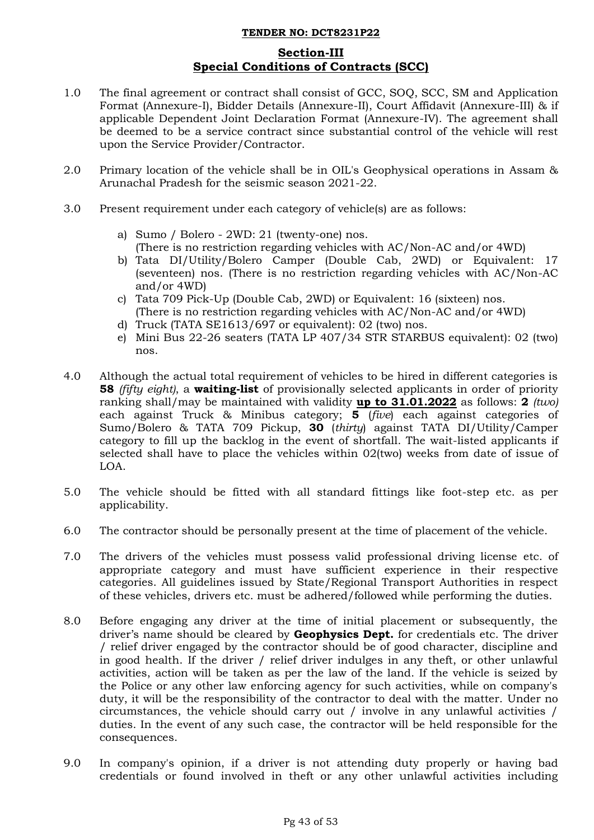# **Section-III Special Conditions of Contracts (SCC)**

- 1.0 The final agreement or contract shall consist of GCC, SOQ, SCC, SM and Application Format (Annexure-I), Bidder Details (Annexure-II), Court Affidavit (Annexure-III) & if applicable Dependent Joint Declaration Format (Annexure-IV). The agreement shall be deemed to be a service contract since substantial control of the vehicle will rest upon the Service Provider/Contractor.
- 2.0 Primary location of the vehicle shall be in OIL's Geophysical operations in Assam & Arunachal Pradesh for the seismic season 2021-22.
- 3.0 Present requirement under each category of vehicle(s) are as follows:
	- a) Sumo / Bolero 2WD: 21 (twenty-one) nos. (There is no restriction regarding vehicles with AC/Non-AC and/or 4WD)
	- b) Tata DI/Utility/Bolero Camper (Double Cab, 2WD) or Equivalent: 17 (seventeen) nos. (There is no restriction regarding vehicles with AC/Non-AC and/or 4WD)
	- c) Tata 709 Pick-Up (Double Cab, 2WD) or Equivalent: 16 (sixteen) nos. (There is no restriction regarding vehicles with AC/Non-AC and/or 4WD)
	- d) Truck (TATA SE1613/697 or equivalent): 02 (two) nos.
	- e) Mini Bus 22-26 seaters (TATA LP 407/34 STR STARBUS equivalent): 02 (two) nos.
- 4.0 Although the actual total requirement of vehicles to be hired in different categories is **58** *(fifty eight)*, a **waiting-list** of provisionally selected applicants in order of priority ranking shall/may be maintained with validity **up to 31.01.2022** as follows: **2** *(two)* each against Truck & Minibus category; **5** (*five*) each against categories of Sumo/Bolero & TATA 709 Pickup, **30** (*thirty*) against TATA DI/Utility/Camper category to fill up the backlog in the event of shortfall. The wait-listed applicants if selected shall have to place the vehicles within 02(two) weeks from date of issue of LOA.
- 5.0 The vehicle should be fitted with all standard fittings like foot-step etc. as per applicability.
- 6.0 The contractor should be personally present at the time of placement of the vehicle.
- 7.0 The drivers of the vehicles must possess valid professional driving license etc. of appropriate category and must have sufficient experience in their respective categories. All guidelines issued by State/Regional Transport Authorities in respect of these vehicles, drivers etc. must be adhered/followed while performing the duties.
- 8.0 Before engaging any driver at the time of initial placement or subsequently, the driver's name should be cleared by **Geophysics Dept.** for credentials etc. The driver / relief driver engaged by the contractor should be of good character, discipline and in good health. If the driver / relief driver indulges in any theft, or other unlawful activities, action will be taken as per the law of the land. If the vehicle is seized by the Police or any other law enforcing agency for such activities, while on company's duty, it will be the responsibility of the contractor to deal with the matter. Under no circumstances, the vehicle should carry out / involve in any unlawful activities / duties. In the event of any such case, the contractor will be held responsible for the consequences.
- 9.0 In company's opinion, if a driver is not attending duty properly or having bad credentials or found involved in theft or any other unlawful activities including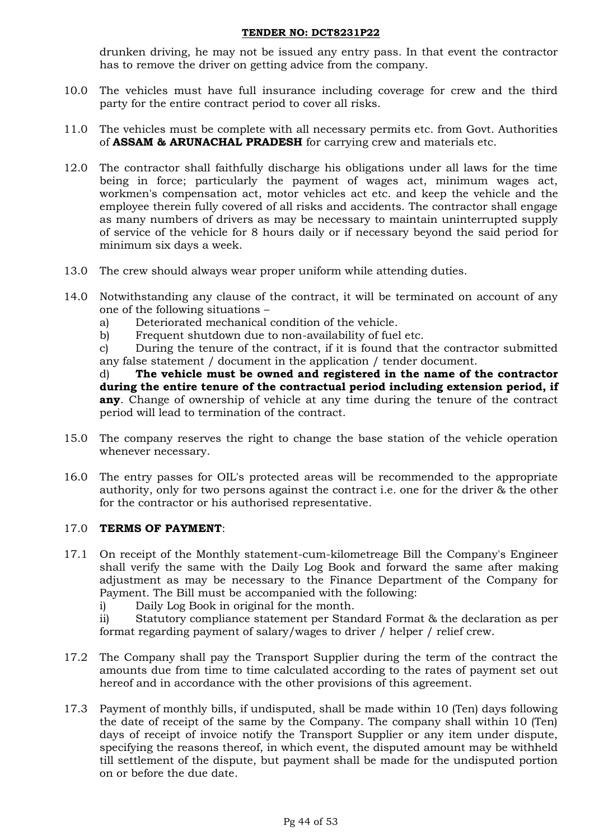drunken driving, he may not be issued any entry pass. In that event the contractor has to remove the driver on getting advice from the company.

- 10.0 The vehicles must have full insurance including coverage for crew and the third party for the entire contract period to cover all risks.
- 11.0 The vehicles must be complete with all necessary permits etc. from Govt. Authorities of **ASSAM & ARUNACHAL PRADESH** for carrying crew and materials etc.
- 12.0 The contractor shall faithfully discharge his obligations under all laws for the time being in force; particularly the payment of wages act, minimum wages act, workmen's compensation act, motor vehicles act etc. and keep the vehicle and the employee therein fully covered of all risks and accidents. The contractor shall engage as many numbers of drivers as may be necessary to maintain uninterrupted supply of service of the vehicle for 8 hours daily or if necessary beyond the said period for minimum six days a week.
- 13.0 The crew should always wear proper uniform while attending duties.
- 14.0 Notwithstanding any clause of the contract, it will be terminated on account of any one of the following situations –
	- a) Deteriorated mechanical condition of the vehicle.
	- b) Frequent shutdown due to non-availability of fuel etc.

c) During the tenure of the contract, if it is found that the contractor submitted any false statement / document in the application / tender document.

d) **The vehicle must be owned and registered in the name of the contractor during the entire tenure of the contractual period including extension period, if any**. Change of ownership of vehicle at any time during the tenure of the contract period will lead to termination of the contract.

- 15.0 The company reserves the right to change the base station of the vehicle operation whenever necessary.
- 16.0 The entry passes for OIL's protected areas will be recommended to the appropriate authority, only for two persons against the contract i.e. one for the driver & the other for the contractor or his authorised representative.

## 17.0 **TERMS OF PAYMENT**:

- 17.1 On receipt of the Monthly statement-cum-kilometreage Bill the Company's Engineer shall verify the same with the Daily Log Book and forward the same after making adjustment as may be necessary to the Finance Department of the Company for Payment. The Bill must be accompanied with the following:
	- i) Daily Log Book in original for the month.

ii) Statutory compliance statement per Standard Format & the declaration as per format regarding payment of salary/wages to driver / helper / relief crew.

- 17.2 The Company shall pay the Transport Supplier during the term of the contract the amounts due from time to time calculated according to the rates of payment set out hereof and in accordance with the other provisions of this agreement.
- 17.3 Payment of monthly bills, if undisputed, shall be made within 10 (Ten) days following the date of receipt of the same by the Company. The company shall within 10 (Ten) days of receipt of invoice notify the Transport Supplier or any item under dispute, specifying the reasons thereof, in which event, the disputed amount may be withheld till settlement of the dispute, but payment shall be made for the undisputed portion on or before the due date.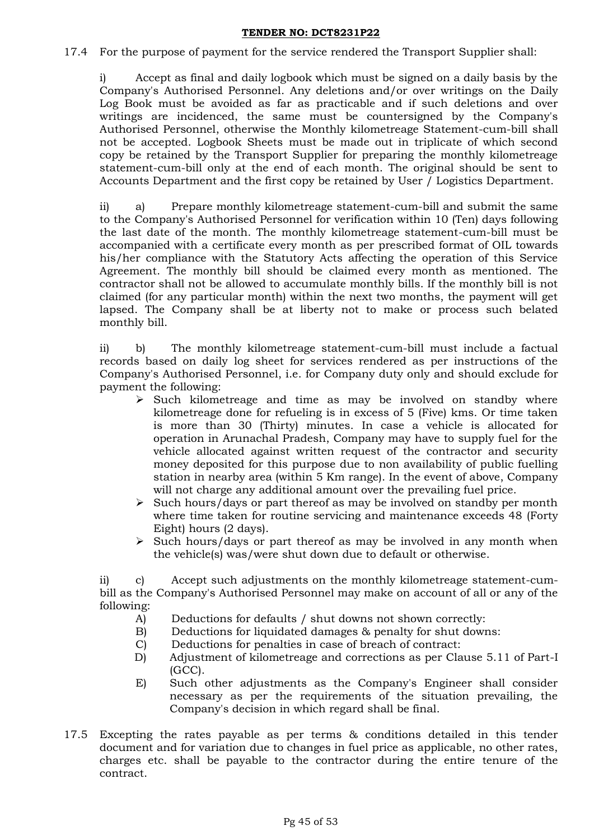17.4 For the purpose of payment for the service rendered the Transport Supplier shall:

i) Accept as final and daily logbook which must be signed on a daily basis by the Company's Authorised Personnel. Any deletions and/or over writings on the Daily Log Book must be avoided as far as practicable and if such deletions and over writings are incidenced, the same must be countersigned by the Company's Authorised Personnel, otherwise the Monthly kilometreage Statement-cum-bill shall not be accepted. Logbook Sheets must be made out in triplicate of which second copy be retained by the Transport Supplier for preparing the monthly kilometreage statement-cum-bill only at the end of each month. The original should be sent to Accounts Department and the first copy be retained by User / Logistics Department.

ii) a) Prepare monthly kilometreage statement-cum-bill and submit the same to the Company's Authorised Personnel for verification within 10 (Ten) days following the last date of the month. The monthly kilometreage statement-cum-bill must be accompanied with a certificate every month as per prescribed format of OIL towards his/her compliance with the Statutory Acts affecting the operation of this Service Agreement. The monthly bill should be claimed every month as mentioned. The contractor shall not be allowed to accumulate monthly bills. If the monthly bill is not claimed (for any particular month) within the next two months, the payment will get lapsed. The Company shall be at liberty not to make or process such belated monthly bill.

ii) b) The monthly kilometreage statement-cum-bill must include a factual records based on daily log sheet for services rendered as per instructions of the Company's Authorised Personnel, i.e. for Company duty only and should exclude for payment the following:

- $\triangleright$  Such kilometreage and time as may be involved on standby where kilometreage done for refueling is in excess of 5 (Five) kms. Or time taken is more than 30 (Thirty) minutes. In case a vehicle is allocated for operation in Arunachal Pradesh, Company may have to supply fuel for the vehicle allocated against written request of the contractor and security money deposited for this purpose due to non availability of public fuelling station in nearby area (within 5 Km range). In the event of above, Company will not charge any additional amount over the prevailing fuel price.
- $\triangleright$  Such hours/days or part thereof as may be involved on standby per month where time taken for routine servicing and maintenance exceeds 48 (Forty Eight) hours (2 days).
- $\triangleright$  Such hours/days or part thereof as may be involved in any month when the vehicle(s) was/were shut down due to default or otherwise.

ii) c) Accept such adjustments on the monthly kilometreage statement-cumbill as the Company's Authorised Personnel may make on account of all or any of the following:

- A) Deductions for defaults / shut downs not shown correctly:
- B) Deductions for liquidated damages & penalty for shut downs:
- C) Deductions for penalties in case of breach of contract:
- D) Adjustment of kilometreage and corrections as per Clause 5.11 of Part-I (GCC).
- E) Such other adjustments as the Company's Engineer shall consider necessary as per the requirements of the situation prevailing, the Company's decision in which regard shall be final.
- 17.5 Excepting the rates payable as per terms & conditions detailed in this tender document and for variation due to changes in fuel price as applicable, no other rates, charges etc. shall be payable to the contractor during the entire tenure of the contract.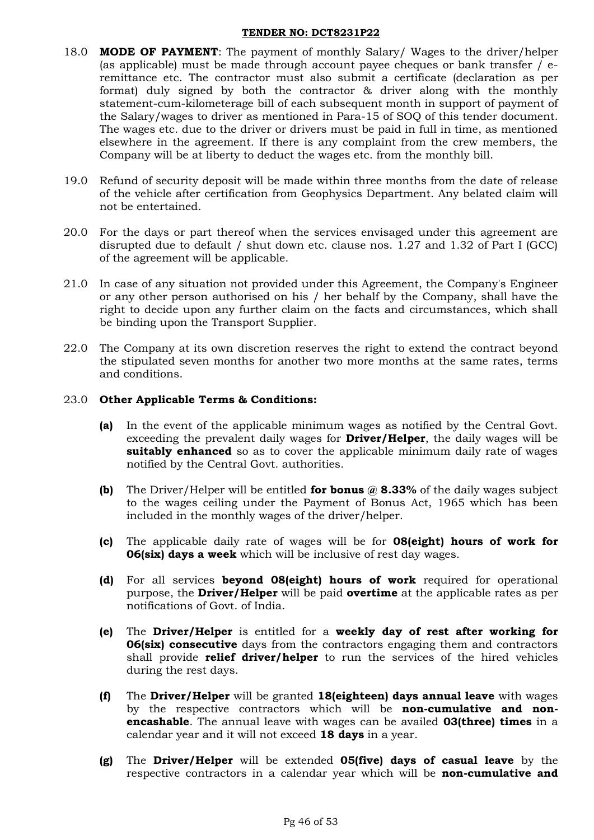- 18.0 **MODE OF PAYMENT**: The payment of monthly Salary/ Wages to the driver/helper (as applicable) must be made through account payee cheques or bank transfer / eremittance etc. The contractor must also submit a certificate (declaration as per format) duly signed by both the contractor & driver along with the monthly statement-cum-kilometerage bill of each subsequent month in support of payment of the Salary/wages to driver as mentioned in Para-15 of SOQ of this tender document. The wages etc. due to the driver or drivers must be paid in full in time, as mentioned elsewhere in the agreement. If there is any complaint from the crew members, the Company will be at liberty to deduct the wages etc. from the monthly bill.
- 19.0 Refund of security deposit will be made within three months from the date of release of the vehicle after certification from Geophysics Department. Any belated claim will not be entertained.
- 20.0 For the days or part thereof when the services envisaged under this agreement are disrupted due to default / shut down etc. clause nos. 1.27 and 1.32 of Part I (GCC) of the agreement will be applicable.
- 21.0 In case of any situation not provided under this Agreement, the Company's Engineer or any other person authorised on his / her behalf by the Company, shall have the right to decide upon any further claim on the facts and circumstances, which shall be binding upon the Transport Supplier.
- 22.0 The Company at its own discretion reserves the right to extend the contract beyond the stipulated seven months for another two more months at the same rates, terms and conditions.

### 23.0 **Other Applicable Terms & Conditions:**

- **(a)** In the event of the applicable minimum wages as notified by the Central Govt. exceeding the prevalent daily wages for **Driver/Helper**, the daily wages will be **suitably enhanced** so as to cover the applicable minimum daily rate of wages notified by the Central Govt. authorities.
- **(b)** The Driver/Helper will be entitled **for bonus @ 8.33%** of the daily wages subject to the wages ceiling under the Payment of Bonus Act, 1965 which has been included in the monthly wages of the driver/helper.
- **(c)** The applicable daily rate of wages will be for **08(eight) hours of work for 06(six) days a week** which will be inclusive of rest day wages.
- **(d)** For all services **beyond 08(eight) hours of work** required for operational purpose, the **Driver/Helper** will be paid **overtime** at the applicable rates as per notifications of Govt. of India.
- **(e)** The **Driver/Helper** is entitled for a **weekly day of rest after working for 06(six) consecutive** days from the contractors engaging them and contractors shall provide **relief driver/helper** to run the services of the hired vehicles during the rest days.
- **(f)** The **Driver/Helper** will be granted **18(eighteen) days annual leave** with wages by the respective contractors which will be **non-cumulative and nonencashable**. The annual leave with wages can be availed **03(three) times** in a calendar year and it will not exceed **18 days** in a year.
- **(g)** The **Driver/Helper** will be extended **05(five) days of casual leave** by the respective contractors in a calendar year which will be **non-cumulative and**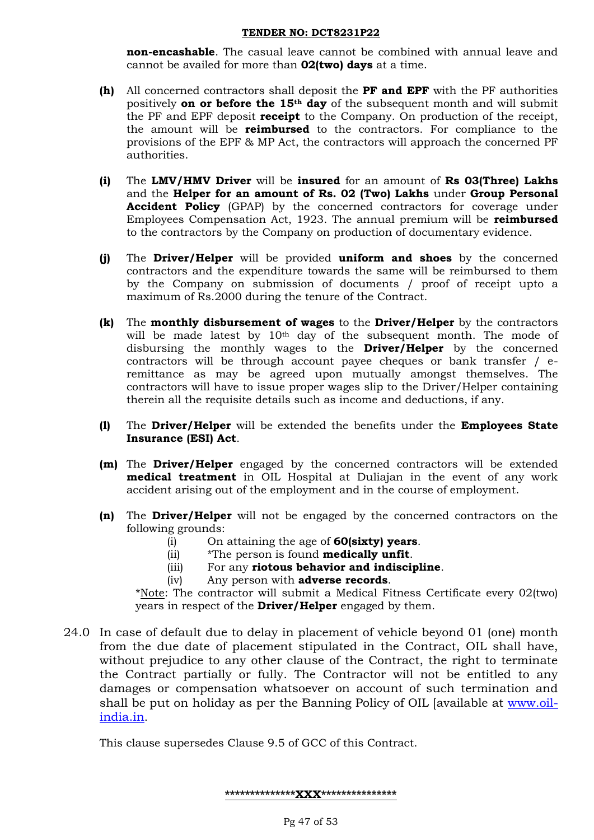**non-encashable**. The casual leave cannot be combined with annual leave and cannot be availed for more than **02(two) days** at a time.

- **(h)** All concerned contractors shall deposit the **PF and EPF** with the PF authorities positively **on or before the 15th day** of the subsequent month and will submit the PF and EPF deposit **receipt** to the Company. On production of the receipt, the amount will be **reimbursed** to the contractors. For compliance to the provisions of the EPF & MP Act, the contractors will approach the concerned PF authorities.
- **(i)** The **LMV/HMV Driver** will be **insured** for an amount of **Rs 03(Three) Lakhs**  and the **Helper for an amount of Rs. 02 (Two) Lakhs** under **Group Personal Accident Policy** (GPAP) by the concerned contractors for coverage under Employees Compensation Act, 1923. The annual premium will be **reimbursed** to the contractors by the Company on production of documentary evidence.
- **(j)** The **Driver/Helper** will be provided **uniform and shoes** by the concerned contractors and the expenditure towards the same will be reimbursed to them by the Company on submission of documents / proof of receipt upto a maximum of Rs.2000 during the tenure of the Contract.
- **(k)** The **monthly disbursement of wages** to the **Driver/Helper** by the contractors will be made latest by 10<sup>th</sup> day of the subsequent month. The mode of disbursing the monthly wages to the **Driver/Helper** by the concerned contractors will be through account payee cheques or bank transfer / eremittance as may be agreed upon mutually amongst themselves. The contractors will have to issue proper wages slip to the Driver/Helper containing therein all the requisite details such as income and deductions, if any.
- **(l)** The **Driver/Helper** will be extended the benefits under the **Employees State Insurance (ESI) Act**.
- **(m)** The **Driver/Helper** engaged by the concerned contractors will be extended **medical treatment** in OIL Hospital at Duliajan in the event of any work accident arising out of the employment and in the course of employment.
- **(n)** The **Driver/Helper** will not be engaged by the concerned contractors on the following grounds:
	- (i) On attaining the age of **60(sixty) years**.
	- (ii) \*The person is found **medically unfit**.
	- (iii) For any **riotous behavior and indiscipline**.
	- (iv) Any person with **adverse records**.

\*Note: The contractor will submit a Medical Fitness Certificate every 02(two) years in respect of the **Driver/Helper** engaged by them.

24.0 In case of default due to delay in placement of vehicle beyond 01 (one) month from the due date of placement stipulated in the Contract, OIL shall have, without prejudice to any other clause of the Contract, the right to terminate the Contract partially or fully. The Contractor will not be entitled to any damages or compensation whatsoever on account of such termination and shall be put on holiday as per the Banning Policy of OIL [available at [www.oil](https://ind01.safelinks.protection.outlook.com/?url=http%3A%2F%2Fwww.oil-india.in%2F&data=04%7C01%7Cnj_saikia%40oilindia.in%7C09bee7af5cf24878af7208d924a2e64a%7Ce31a7fb602724369aa63b1e02fa1144d%7C1%7C0%7C637581104329026304%7CUnknown%7CTWFpbGZsb3d8eyJWIjoiMC4wLjAwMDAiLCJQIjoiV2luMzIiLCJBTiI6Ik1haWwiLCJXVCI6Mn0%3D%7C1000&sdata=D%2BqM9tIDE4xK12eMHJUQ4hZRWTA8u%2F05wKPr3pr1eb8%3D&reserved=0)[india.in](https://ind01.safelinks.protection.outlook.com/?url=http%3A%2F%2Fwww.oil-india.in%2F&data=04%7C01%7Cnj_saikia%40oilindia.in%7C09bee7af5cf24878af7208d924a2e64a%7Ce31a7fb602724369aa63b1e02fa1144d%7C1%7C0%7C637581104329026304%7CUnknown%7CTWFpbGZsb3d8eyJWIjoiMC4wLjAwMDAiLCJQIjoiV2luMzIiLCJBTiI6Ik1haWwiLCJXVCI6Mn0%3D%7C1000&sdata=D%2BqM9tIDE4xK12eMHJUQ4hZRWTA8u%2F05wKPr3pr1eb8%3D&reserved=0).

This clause supersedes Clause 9.5 of GCC of this Contract.

**\*\*\*\*\*\*\*\*\*\*\*\*\*\*XXX\*\*\*\*\*\*\*\*\*\*\*\*\*\*\***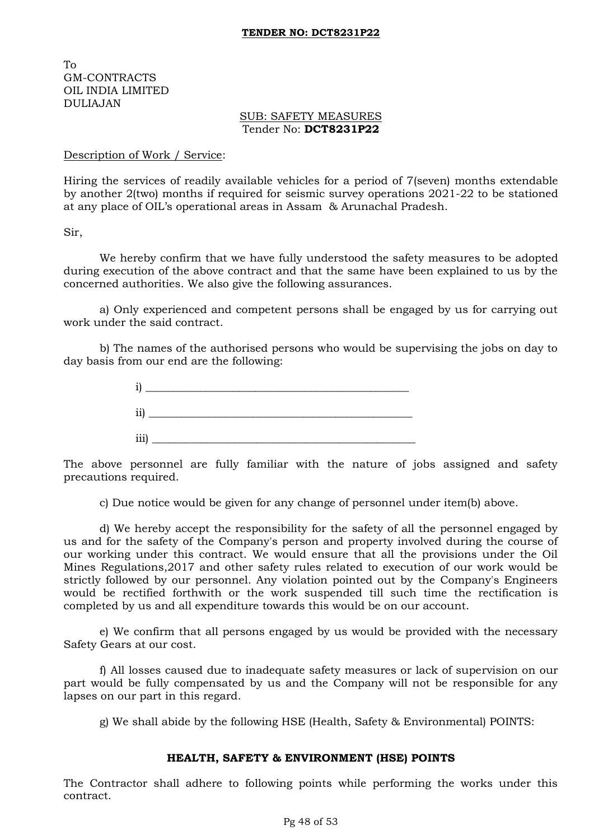To GM-CONTRACTS OIL INDIA LIMITED DULIAJAN

### SUB: SAFETY MEASURES Tender No: **DCT8231P22**

### Description of Work / Service:

Hiring the services of readily available vehicles for a period of 7(seven) months extendable by another 2(two) months if required for seismic survey operations 2021-22 to be stationed at any place of OIL's operational areas in Assam & Arunachal Pradesh.

Sir,

We hereby confirm that we have fully understood the safety measures to be adopted during execution of the above contract and that the same have been explained to us by the concerned authorities. We also give the following assurances.

a) Only experienced and competent persons shall be engaged by us for carrying out work under the said contract.

b) The names of the authorised persons who would be supervising the jobs on day to day basis from our end are the following:



The above personnel are fully familiar with the nature of jobs assigned and safety precautions required.

c) Due notice would be given for any change of personnel under item(b) above.

d) We hereby accept the responsibility for the safety of all the personnel engaged by us and for the safety of the Company's person and property involved during the course of our working under this contract. We would ensure that all the provisions under the Oil Mines Regulations,2017 and other safety rules related to execution of our work would be strictly followed by our personnel. Any violation pointed out by the Company's Engineers would be rectified forthwith or the work suspended till such time the rectification is completed by us and all expenditure towards this would be on our account.

e) We confirm that all persons engaged by us would be provided with the necessary Safety Gears at our cost.

f) All losses caused due to inadequate safety measures or lack of supervision on our part would be fully compensated by us and the Company will not be responsible for any lapses on our part in this regard.

g) We shall abide by the following HSE (Health, Safety & Environmental) POINTS:

## **HEALTH, SAFETY & ENVIRONMENT (HSE) POINTS**

The Contractor shall adhere to following points while performing the works under this contract.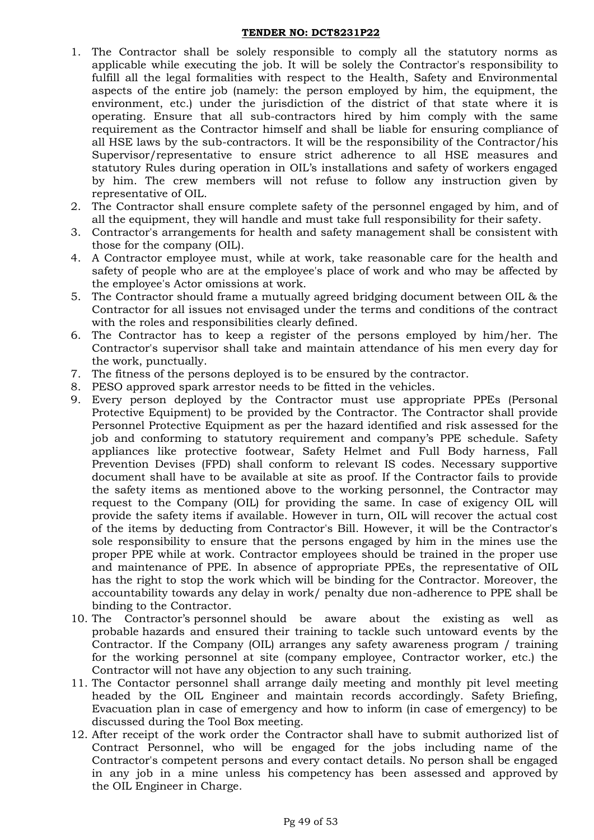- 1. The Contractor shall be solely responsible to comply all the statutory norms as applicable while executing the job. It will be solely the Contractor's responsibility to fulfill all the legal formalities with respect to the Health, Safety and Environmental aspects of the entire job (namely: the person employed by him, the equipment, the environment, etc.) under the jurisdiction of the district of that state where it is operating. Ensure that all sub-contractors hired by him comply with the same requirement as the Contractor himself and shall be liable for ensuring compliance of all HSE laws by the sub-contractors. It will be the responsibility of the Contractor/his Supervisor/representative to ensure strict adherence to all HSE measures and statutory Rules during operation in OIL's installations and safety of workers engaged by him. The crew members will not refuse to follow any instruction given by representative of OIL.
- 2. The Contractor shall ensure complete safety of the personnel engaged by him, and of all the equipment, they will handle and must take full responsibility for their safety.
- 3. Contractor's arrangements for health and safety management shall be consistent with those for the company (OIL).
- 4. A Contractor employee must, while at work, take reasonable care for the health and safety of people who are at the employee's place of work and who may be affected by the employee's Actor omissions at work.
- 5. The Contractor should frame a mutually agreed bridging document between OIL & the Contractor for all issues not envisaged under the terms and conditions of the contract with the roles and responsibilities clearly defined.
- 6. The Contractor has to keep a register of the persons employed by him/her. The Contractor's supervisor shall take and maintain attendance of his men every day for the work, punctually.
- 7. The fitness of the persons deployed is to be ensured by the contractor.
- 8. PESO approved spark arrestor needs to be fitted in the vehicles.
- 9. Every person deployed by the Contractor must use appropriate PPEs (Personal Protective Equipment) to be provided by the Contractor. The Contractor shall provide Personnel Protective Equipment as per the hazard identified and risk assessed for the job and conforming to statutory requirement and company's PPE schedule. Safety appliances like protective footwear, Safety Helmet and Full Body harness, Fall Prevention Devises (FPD) shall conform to relevant IS codes. Necessary supportive document shall have to be available at site as proof. If the Contractor fails to provide the safety items as mentioned above to the working personnel, the Contractor may request to the Company (OIL) for providing the same. In case of exigency OIL will provide the safety items if available. However in turn, OIL will recover the actual cost of the items by deducting from Contractor's Bill. However, it will be the Contractor's sole responsibility to ensure that the persons engaged by him in the mines use the proper PPE while at work. Contractor employees should be trained in the proper use and maintenance of PPE. In absence of appropriate PPEs, the representative of OIL has the right to stop the work which will be binding for the Contractor. Moreover, the accountability towards any delay in work/ penalty due non-adherence to PPE shall be binding to the Contractor.
- 10. The Contractor's personnel should be aware about the existing as well as probable hazards and ensured their training to tackle such untoward events by the Contractor. If the Company (OIL) arranges any safety awareness program / training for the working personnel at site (company employee, Contractor worker, etc.) the Contractor will not have any objection to any such training.
- 11. The Contactor personnel shall arrange daily meeting and monthly pit level meeting headed by the OIL Engineer and maintain records accordingly. Safety Briefing, Evacuation plan in case of emergency and how to inform (in case of emergency) to be discussed during the Tool Box meeting.
- 12. After receipt of the work order the Contractor shall have to submit authorized list of Contract Personnel, who will be engaged for the jobs including name of the Contractor's competent persons and every contact details. No person shall be engaged in any job in a mine unless his competency has been assessed and approved by the OIL Engineer in Charge.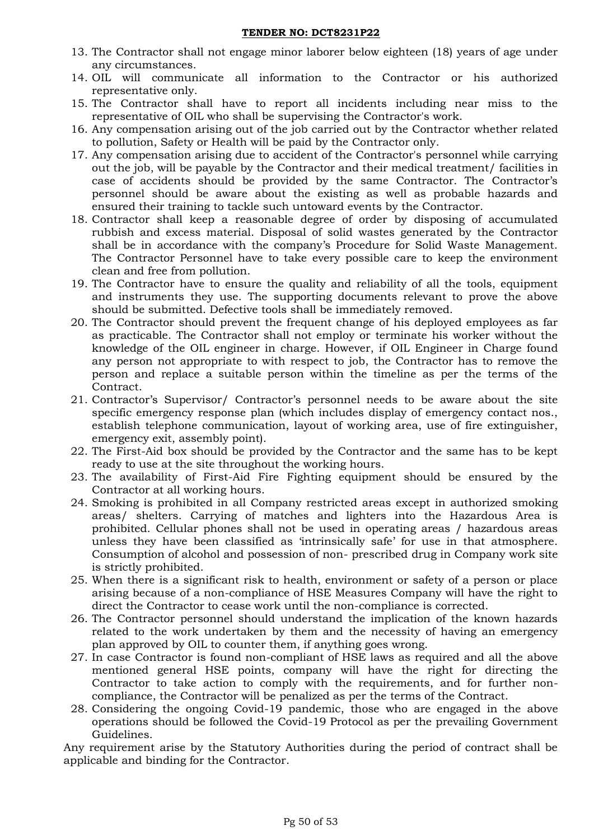- 13. The Contractor shall not engage minor laborer below eighteen (18) years of age under any circumstances.
- 14. OIL will communicate all information to the Contractor or his authorized representative only.
- 15. The Contractor shall have to report all incidents including near miss to the representative of OIL who shall be supervising the Contractor's work.
- 16. Any compensation arising out of the job carried out by the Contractor whether related to pollution, Safety or Health will be paid by the Contractor only.
- 17. Any compensation arising due to accident of the Contractor's personnel while carrying out the job, will be payable by the Contractor and their medical treatment/ facilities in case of accidents should be provided by the same Contractor. The Contractor's personnel should be aware about the existing as well as probable hazards and ensured their training to tackle such untoward events by the Contractor.
- 18. Contractor shall keep a reasonable degree of order by disposing of accumulated rubbish and excess material. Disposal of solid wastes generated by the Contractor shall be in accordance with the company's Procedure for Solid Waste Management. The Contractor Personnel have to take every possible care to keep the environment clean and free from pollution.
- 19. The Contractor have to ensure the quality and reliability of all the tools, equipment and instruments they use. The supporting documents relevant to prove the above should be submitted. Defective tools shall be immediately removed.
- 20. The Contractor should prevent the frequent change of his deployed employees as far as practicable. The Contractor shall not employ or terminate his worker without the knowledge of the OIL engineer in charge. However, if OIL Engineer in Charge found any person not appropriate to with respect to job, the Contractor has to remove the person and replace a suitable person within the timeline as per the terms of the Contract.
- 21. Contractor's Supervisor/ Contractor's personnel needs to be aware about the site specific emergency response plan (which includes display of emergency contact nos., establish telephone communication, layout of working area, use of fire extinguisher, emergency exit, assembly point).
- 22. The First-Aid box should be provided by the Contractor and the same has to be kept ready to use at the site throughout the working hours.
- 23. The availability of First-Aid Fire Fighting equipment should be ensured by the Contractor at all working hours.
- 24. Smoking is prohibited in all Company restricted areas except in authorized smoking areas/ shelters. Carrying of matches and lighters into the Hazardous Area is prohibited. Cellular phones shall not be used in operating areas / hazardous areas unless they have been classified as 'intrinsically safe' for use in that atmosphere. Consumption of alcohol and possession of non- prescribed drug in Company work site is strictly prohibited.
- 25. When there is a significant risk to health, environment or safety of a person or place arising because of a non-compliance of HSE Measures Company will have the right to direct the Contractor to cease work until the non-compliance is corrected.
- 26. The Contractor personnel should understand the implication of the known hazards related to the work undertaken by them and the necessity of having an emergency plan approved by OIL to counter them, if anything goes wrong.
- 27. In case Contractor is found non-compliant of HSE laws as required and all the above mentioned general HSE points, company will have the right for directing the Contractor to take action to comply with the requirements, and for further noncompliance, the Contractor will be penalized as per the terms of the Contract.
- 28. Considering the ongoing Covid-19 pandemic, those who are engaged in the above operations should be followed the Covid-19 Protocol as per the prevailing Government Guidelines.

Any requirement arise by the Statutory Authorities during the period of contract shall be applicable and binding for the Contractor.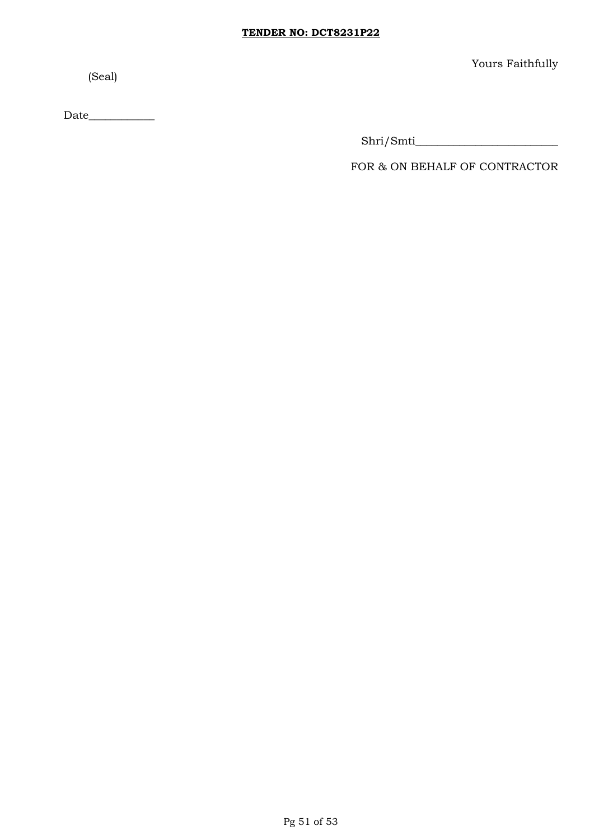(Seal)

Yours Faithfully

 $\text{Date}\underline{\hspace{2cm}}$ 

Shri/Smti\_\_\_\_\_\_\_\_\_\_\_\_\_\_\_\_\_\_\_\_\_\_\_\_\_\_

FOR & ON BEHALF OF CONTRACTOR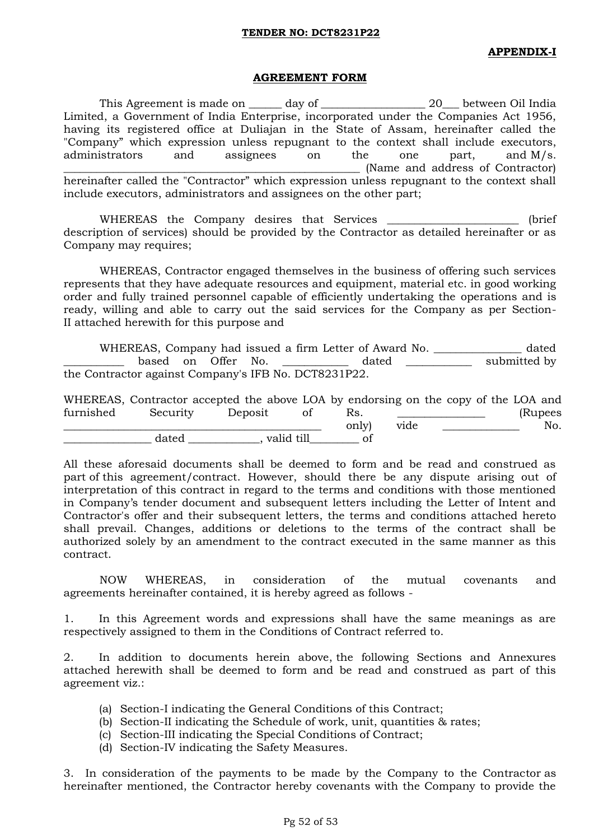### **APPENDIX-I**

### **AGREEMENT FORM**

This Agreement is made on \_\_\_\_\_\_ day of \_\_\_\_\_\_\_\_\_\_\_\_\_\_\_\_\_\_\_\_\_ 20\_\_\_ between Oil India Limited, a Government of India Enterprise, incorporated under the Companies Act 1956, having its registered office at Duliajan in the State of Assam, hereinafter called the "Company" which expression unless repugnant to the context shall include executors, administrators and assignees on the one part, and M/s. (Name and address of Contractor) hereinafter called the "Contractor" which expression unless repugnant to the context shall include executors, administrators and assignees on the other part;

WHEREAS the Company desires that Services \_\_\_\_\_\_\_\_\_\_\_\_\_\_\_\_\_\_\_\_\_\_\_ (brief description of services) should be provided by the Contractor as detailed hereinafter or as Company may requires;

WHEREAS, Contractor engaged themselves in the business of offering such services represents that they have adequate resources and equipment, material etc. in good working order and fully trained personnel capable of efficiently undertaking the operations and is ready, willing and able to carry out the said services for the Company as per Section-II attached herewith for this purpose and

WHEREAS, Company had issued a firm Letter of Award No. \_\_\_\_\_\_\_\_\_\_\_\_\_\_\_\_ dated based on Offer No. \_\_\_\_\_\_\_\_\_\_\_ dated \_\_\_\_\_\_\_\_\_\_ submitted by the Contractor against Company's IFB No. DCT8231P22.

WHEREAS, Contractor accepted the above LOA by endorsing on the copy of the LOA and furnished Security Deposit of Rs. \_\_\_\_\_\_\_\_\_\_\_\_\_ (Rupees \_\_\_\_\_\_\_\_\_\_\_\_\_\_\_\_\_\_\_\_\_\_\_\_\_\_\_\_\_\_\_\_\_\_\_\_\_\_\_\_\_\_\_\_\_\_\_ only) vide \_\_\_\_\_\_\_\_\_\_\_\_\_\_ No. dated end and till of

All these aforesaid documents shall be deemed to form and be read and construed as part of this agreement/contract. However, should there be any dispute arising out of interpretation of this contract in regard to the terms and conditions with those mentioned in Company's tender document and subsequent letters including the Letter of Intent and Contractor's offer and their subsequent letters, the terms and conditions attached hereto shall prevail. Changes, additions or deletions to the terms of the contract shall be authorized solely by an amendment to the contract executed in the same manner as this contract.

NOW WHEREAS, in consideration of the mutual covenants and agreements hereinafter contained, it is hereby agreed as follows -

1. In this Agreement words and expressions shall have the same meanings as are respectively assigned to them in the Conditions of Contract referred to.

2. In addition to documents herein above, the following Sections and Annexures attached herewith shall be deemed to form and be read and construed as part of this agreement viz.:

- (a) Section-I indicating the General Conditions of this Contract;
- (b) Section-II indicating the Schedule of work, unit, quantities & rates;
- (c) Section-III indicating the Special Conditions of Contract;
- (d) Section-IV indicating the Safety Measures.

3. In consideration of the payments to be made by the Company to the Contractor as hereinafter mentioned, the Contractor hereby covenants with the Company to provide the